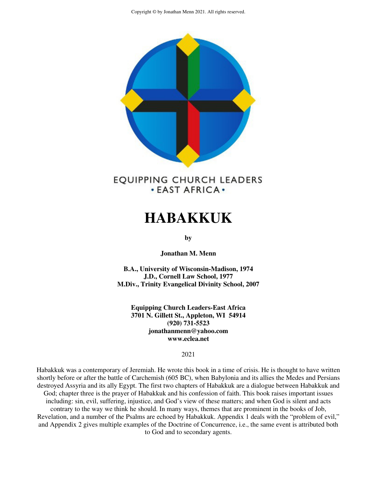

 $\cdot$  EAST AFRICA $\cdot$ 

# **HABAKKUK**

**by** 

**Jonathan M. Menn** 

**B.A., University of Wisconsin-Madison, 1974 J.D., Cornell Law School, 1977 M.Div., Trinity Evangelical Divinity School, 2007** 

**Equipping Church Leaders-East Africa 3701 N. Gillett St., Appleton, WI 54914 (920) 731-5523 jonathanmenn@yahoo.com www.eclea.net** 

#### 2021

Habakkuk was a contemporary of Jeremiah. He wrote this book in a time of crisis. He is thought to have written shortly before or after the battle of Carchemish (605 BC), when Babylonia and its allies the Medes and Persians destroyed Assyria and its ally Egypt. The first two chapters of Habakkuk are a dialogue between Habakkuk and God; chapter three is the prayer of Habakkuk and his confession of faith. This book raises important issues including: sin, evil, suffering, injustice, and God's view of these matters; and when God is silent and acts contrary to the way we think he should. In many ways, themes that are prominent in the books of Job, Revelation, and a number of the Psalms are echoed by Habakkuk. Appendix 1 deals with the "problem of evil," and Appendix 2 gives multiple examples of the Doctrine of Concurrence, i.e., the same event is attributed both to God and to secondary agents.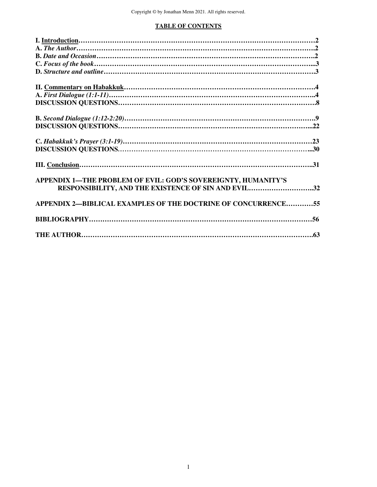# **TABLE OF CONTENTS**

| <b>APPENDIX 1-THE PROBLEM OF EVIL: GOD'S SOVEREIGNTY, HUMANITY'S</b> |  |
|----------------------------------------------------------------------|--|
| RESPONSIBILITY, AND THE EXISTENCE OF SIN AND EVIL32                  |  |
|                                                                      |  |
| APPENDIX 2-BIBLICAL EXAMPLES OF THE DOCTRINE OF CONCURRENCE55        |  |
|                                                                      |  |
|                                                                      |  |
|                                                                      |  |
|                                                                      |  |
|                                                                      |  |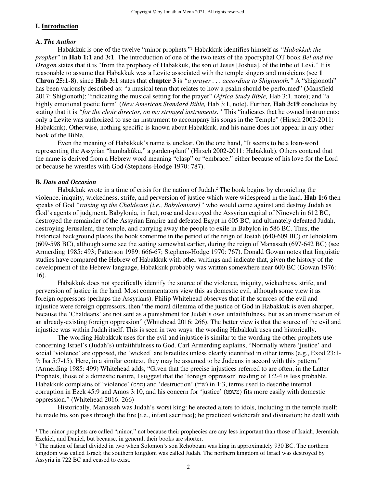## **I. Introduction**

#### **A.** *The Author*

 Habakkuk is one of the twelve "minor prophets."<sup>1</sup> Habakkuk identifies himself as *"Habakkuk the prophet"* in **Hab 1:1** and **3:1**. The introduction of one of the two texts of the apocryphal OT book *Bel and the Dragon* states that it is "from the prophecy of Habakkuk, the son of Jesus [Joshua], of the tribe of Levi." It is reasonable to assume that Habakkuk was a Levite associated with the temple singers and musicians (see **1 Chron 25:1-8**), since **Hab 3:1** states that **chapter 3** is *"a prayer . . . according to Shigionoth."* A "shigionoth" has been variously described as: "a musical term that relates to how a psalm should be performed" (Mansfield 2017: Shigionoth); "indicating the musical setting for the prayer" (*Africa Study Bible,* Hab 3:1, note); and "a highly emotional poetic form" (*New American Standard Bible,* Hab 3:1, note). Further, **Hab 3:19** concludes by stating that it is *"for the choir director, on my stringed instruments."* This "indicates that he owned instruments: only a Levite was authorized to use an instrument to accompany his songs in the Temple" (Hirsch 2002-2011: Habakkuk). Otherwise, nothing specific is known about Habakkuk, and his name does not appear in any other book of the Bible.

 Even the meaning of Habakkuk's name is unclear. On the one hand, "It seems to be a loan-word representing the Assyrian "hambakûku," a garden-plant" (Hirsch 2002-2011: Habakkuk). Others contend that the name is derived from a Hebrew word meaning "clasp" or "embrace," either because of his love for the Lord or because he wrestles with God (Stephens-Hodge 1970: 787).

#### **B.** *Date and Occasion*

Habakkuk wrote in a time of crisis for the nation of Judah.<sup>2</sup> The book begins by chronicling the violence, iniquity, wickedness, strife, and perversion of justice which were widespread in the land. **Hab 1:6** then speaks of God *"raising up the Chaldeans [i.e., Babylonians]"* who would come against and destroy Judah as God's agents of judgment. Babylonia, in fact, rose and destroyed the Assyrian capital of Nineveh in 612 BC, destroyed the remainder of the Assyrian Empire and defeated Egypt in 605 BC, and ultimately defeated Judah, destroying Jerusalem, the temple, and carrying away the people to exile in Babylon in 586 BC. Thus, the historical background places the book sometime in the period of the reign of Josiah (640-609 BC) or Jehoiakim (609-598 BC), although some see the setting somewhat earlier, during the reign of Manasseh (697-642 BC) (see Armerding 1985: 493; Patterson 1989: 666-67; Stephens-Hodge 1970: 767). Donald Gowan notes that linguistic studies have compared the Hebrew of Habakkuk with other writings and indicate that, given the history of the development of the Hebrew language, Habakkuk probably was written somewhere near 600 BC (Gowan 1976: 16).

Habakkuk does not specifically identify the source of the violence, iniquity, wickedness, strife, and perversion of justice in the land. Most commentators view this as domestic evil, although some view it as foreign oppressors (perhaps the Assyrians). Philip Whitehead observes that if the sources of the evil and injustice were foreign oppressors, then "the moral dilemma of the justice of God in Habakkuk is even sharper, because the 'Chaldeans' are not sent as a punishment for Judah's own unfaithfulness, but as an intensification of an already-existing foreign oppression" (Whitehead 2016: 266). The better view is that the source of the evil and injustice was within Judah itself. This is seen in two ways: the wording Habakkuk uses and historically.

The wording Habakkuk uses for the evil and injustice is similar to the wording the other prophets use concerning Israel's (Judah's) unfaithfulness to God. Carl Armerding explains, "Normally where 'justice' and social 'violence' are opposed, the 'wicked' are Israelites unless clearly identified in other terms (e.g., Exod 23:1- 9; Isa 5:7-15). Here, in a similar context, they may be assumed to be Judeans in accord with this pattern." (Armerding 1985: 499) Whitehead adds, "Given that the precise injustices referred to are often, in the Latter Prophets, those of a domestic nature, I suggest that the 'foreign oppressor' reading of 1:2-4 is less probable. Habakkuk complains of 'violence' (חמס) and 'destruction' ( $\pi w$ ) in 1:3, terms used to describe internal corruption in Ezek 45:9 and Amos 3:10, and his concern for 'justice' (משפט (fits more easily with domestic oppression." (Whitehead 2016: 266)

Historically, Manasseh was Judah's worst king: he erected alters to idols, including in the temple itself; he made his son pass through the fire [i.e., infant sacrifice]; he practiced witchcraft and divination; he dealt with

<sup>&</sup>lt;sup>1</sup> The minor prophets are called "minor," not because their prophecies are any less important than those of Isaiah, Jeremiah, Ezekiel, and Daniel, but because, in general, their books are shorter.

 $2$  The nation of Israel divided in two when Solomon's son Rehoboam was king in approximately 930 BC. The northern kingdom was called Israel; the southern kingdom was called Judah. The northern kingdom of Israel was destroyed by Assyria in 722 BC and ceased to exist.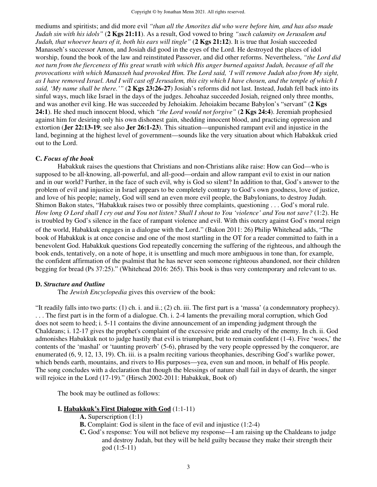mediums and spiritists; and did more evil *"than all the Amorites did who were before him, and has also made Judah sin with his idols"* (**2 Kgs 21:11**). As a result, God vowed to bring *"such calamity on Jerusalem and Judah, that whoever hears of it, both his ears will tingle"* (2 Kgs 21:12). It is true that Josiah succeeded Manasseh's successor Amon, and Josiah did good in the eyes of the Lord. He destroyed the places of idol worship, found the book of the law and reinstituted Passover, and did other reforms. Nevertheless, *"the Lord did not turn from the fierceness of His great wrath with which His anger burned against Judah, because of all the provocations with which Manasseh had provoked Him. The Lord said, 'I will remove Judah also from My sight, as I have removed Israel. And I will cast off Jerusalem, this city which I have chosen, and the temple of which I said, 'My name shall be there.'"* (**2 Kgs 23:26-27**) Josiah's reforms did not last. Instead, Judah fell back into its sinful ways, much like Israel in the days of the judges. Jehoahaz succeeded Josiah, reigned only three months, and was another evil king. He was succeeded by Jehoiakim. Jehoiakim became Babylon's "servant" (**2 Kgs 24:1**). He shed much innocent blood, which *"the Lord would not forgive"* (**2 Kgs 24:4**). Jeremiah prophesied against him for desiring only his own dishonest gain, shedding innocent blood, and practicing oppression and extortion (**Jer 22:13-19**; see also **Jer 26:1-23**). This situation—unpunished rampant evil and injustice in the land, beginning at the highest level of government—sounds like the very situation about which Habakkuk cried out to the Lord.

#### **C.** *Focus of the book*

Habakkuk raises the questions that Christians and non-Christians alike raise: How can God—who is supposed to be all-knowing, all-powerful, and all-good—ordain and allow rampant evil to exist in our nation and in our world? Further, in the face of such evil, why is God so silent? In addition to that, God's answer to the problem of evil and injustice in Israel appears to be completely contrary to God's own goodness, love of justice, and love of his people; namely, God will send an even more evil people, the Babylonians, to destroy Judah. Shimon Bakon states, "Habakkuk raises two or possibly three complaints, questioning . . . God's moral rule. *How long O Lord shall I cry out and You not listen? Shall I shout to You 'violence' and You not save?* (1:2). He is troubled by God's silence in the face of rampant violence and evil. With this outcry against God's moral reign of the world, Habakkuk engages in a dialogue with the Lord." (Bakon 2011: 26) Philip Whitehead adds, "The book of Habakkuk is at once concise and one of the most startling in the OT for a reader committed to faith in a benevolent God. Habakkuk questions God repeatedly concerning the suffering of the righteous, and although the book ends, tentatively, on a note of hope, it is unsettling and much more ambiguous in tone than, for example, the confident affirmation of the psalmist that he has never seen someone righteous abandoned, nor their children begging for bread (Ps 37:25)." (Whitehead 2016: 265). This book is thus very contemporary and relevant to us.

#### **D.** *Structure and Outline*

The *Jewish Encyclopedia* gives this overview of the book:

"It readily falls into two parts: (1) ch. i. and ii.; (2) ch. iii. The first part is a 'massa' (a condemnatory prophecy). . . . The first part is in the form of a dialogue. Ch. i. 2-4 laments the prevailing moral corruption, which God does not seem to heed; i. 5-11 contains the divine announcement of an impending judgment through the Chaldeans; i. 12-17 gives the prophet's complaint of the excessive pride and cruelty of the enemy. In ch. ii. God admonishes Habakkuk not to judge hastily that evil is triumphant, but to remain confident (1-4). Five 'woes,' the contents of the 'mashal' or 'taunting proverb' (5-6), phrased by the very people oppressed by the conqueror, are enumerated (6, 9, 12, 13, 19). Ch. iii. is a psalm reciting various theophanies, describing God's warlike power, which bends earth, mountains, and rivers to His purposes—yea, even sun and moon, in behalf of His people. The song concludes with a declaration that though the blessings of nature shall fail in days of dearth, the singer will rejoice in the Lord (17-19)." (Hirsch 2002-2011: Habakkuk, Book of)

The book may be outlined as follows:

#### **I. Habakkuk's First Dialogue with God** (1:1-11)

- **A.** Superscription (1:1)
- **B.** Complaint: God is silent in the face of evil and injustice (1:2-4)
- **C.** God's response: You will not believe my response—I am raising up the Chaldeans to judge and destroy Judah, but they will be held guilty because they make their strength their god (1:5-11)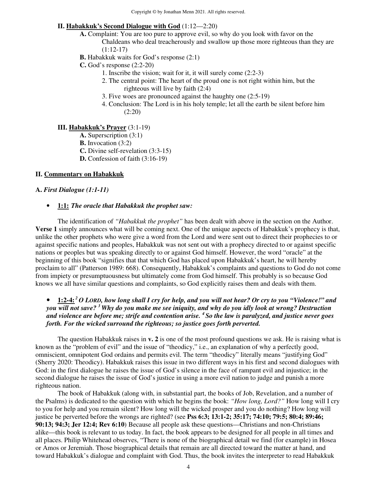#### **II. Habakkuk's Second Dialogue with God** (1:12—2:20)

- **A.** Complaint: You are too pure to approve evil, so why do you look with favor on the Chaldeans who deal treacherously and swallow up those more righteous than they are  $(1:12-17)$
- **B.** Habakkuk waits for God's response (2:1)
- **C.** God's response (2:2-20)
	- 1. Inscribe the vision; wait for it, it will surely come (2:2-3)
	- 2. The central point: The heart of the proud one is not right within him, but the righteous will live by faith (2:4)
	- 3. Five woes are pronounced against the haughty one (2:5-19)
	- 4. Conclusion: The Lord is in his holy temple; let all the earth be silent before him (2:20)

**III. Habakkuk's Prayer** (3:1-19)

- **A.** Superscription (3:1)
- **B.** Invocation (3:2)

**C.** Divine self-revelation (3:3-15)

**D.** Confession of faith (3:16-19)

#### **II. Commentary on Habakkuk**

#### **A.** *First Dialogue (1:1-11)*

#### • **1:1:** *The oracle that Habakkuk the prophet saw:*

The identification of *"Habakkuk the prophet"* has been dealt with above in the section on the Author. **Verse 1** simply announces what will be coming next. One of the unique aspects of Habakkuk's prophecy is that, unlike the other prophets who were give a word from the Lord and were sent out to direct their prophecies to or against specific nations and peoples, Habakkuk was not sent out with a prophecy directed to or against specific nations or peoples but was speaking directly to or against God himself. However, the word "oracle" at the beginning of this book "signifies that that which God has placed upon Habakkuk's heart, he will hereby proclaim to all" (Patterson 1989: 668). Consequently, Habakkuk's complaints and questions to God do not come from impiety or presumptuousness but ultimately come from God himself. This probably is so because God knows we all have similar questions and complaints, so God explicitly raises them and deals with them.

• **1:2-4:** *<sup>2</sup>O LORD, how long shall I cry for help, and you will not hear? Or cry to you "Violence!" and you will not save? <sup>3</sup>Why do you make me see iniquity, and why do you idly look at wrong? Destruction and violence are before me; strife and contention arise. <sup>4</sup>So the law is paralyzed, and justice never goes forth. For the wicked surround the righteous; so justice goes forth perverted.*

The question Habakkuk raises in **v. 2** is one of the most profound questions we ask. He is raising what is known as the "problem of evil" and the issue of "theodicy," i.e., an explanation of why a perfectly good, omniscient, omnipotent God ordains and permits evil. The term "theodicy" literally means "justifying God" (Sherry 2020: Theodicy). Habakkuk raises this issue in two different ways in his first and second dialogues with God: in the first dialogue he raises the issue of God's silence in the face of rampant evil and injustice; in the second dialogue he raises the issue of God's justice in using a more evil nation to judge and punish a more righteous nation.

The book of Habakkuk (along with, in substantial part, the books of Job, Revelation, and a number of the Psalms) is dedicated to the question with which he begins the book: *"How long, Lord?"* How long will I cry to you for help and you remain silent? How long will the wicked prosper and you do nothing? How long will justice be perverted before the wrongs are righted? (see **Pss 6:3; 13:1-2; 35:17; 74:10; 79:5; 80:4; 89:46; 90:13; 94:3; Jer 12:4; Rev 6:10**) Because all people ask these questions—Christians and non-Christians alike—this book is relevant to us today. In fact, the book appears to be designed for all people in all times and all places. Philip Whitehead observes, "There is none of the biographical detail we find (for example) in Hosea or Amos or Jeremiah. Those biographical details that remain are all directed toward the matter at hand, and toward Habakkuk's dialogue and complaint with God. Thus, the book invites the interpreter to read Habakkuk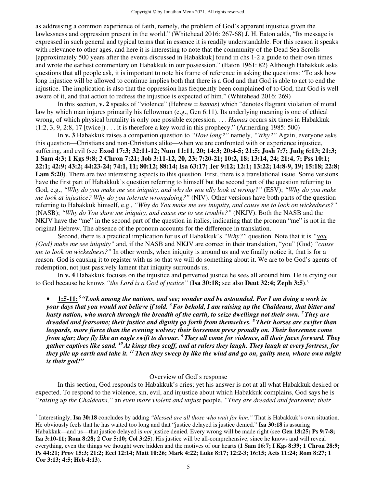as addressing a common experience of faith, namely, the problem of God's apparent injustice given the lawlessness and oppression present in the world." (Whitehead 2016: 267-68) J. H. Eaton adds, "Its message is expressed in such general and typical terms that in essence it is readily understandable. For this reason it speaks with relevance to other ages, and here it is interesting to note that the community of the Dead Sea Scrolls [approximately 500 years after the events discussed in Habakkuk] found in chs 1-2 a guide to their own times and wrote the earliest commentary on Habakkuk in our possession." (Eaton 1961: 82) Although Habakkuk asks questions that all people ask, it is important to note his frame of reference in asking the questions: "To ask how long injustice will be allowed to continue implies both that there is a God and that God is able to act to end the injustice. The implication is also that the oppression has frequently been complained of to God, that God is well aware of it, and that action to redress the injustice is expected of him." (Whitehead 2016: 269)

In this section, **v. 2** speaks of "violence" (Hebrew = *hamas*) which "denotes flagrant violation of moral law by which man injures primarily his fellowman (e.g., Gen 6:11). Its underlying meaning is one of ethical wrong, of which physical brutality is only one possible expression. . . . *Hamas* occurs six times in Habakkuk  $(1:2, 3, 9, 2:8, 17$  [twice])  $\dots$  it is therefore a key word in this prophecy." (Armerding 1985: 500)

In **v. 3** Habakkuk raises a companion question to *"How long?"* namely, *"Why?"* Again, everyone asks this question—Christians and non-Christians alike—when we are confronted with or experience injustice, suffering, and evil (see **Exod 17:3; 32:11-12; Num 11:11, 20; 14:3; 20:4-5; 21:5; Josh 7:7; Judg 6:13; 21:3; 1 Sam 4:3; 1 Kgs 9:8; 2 Chron 7:21; Job 3:11-12, 20, 23; 7:20-21; 10:2, 18; 13:14, 24; 21:4, 7; Pss 10:1; 22:1; 42:9; 43:2; 44:23-24; 74:1, 11; 80:12; 88:14; Isa 63:17; Jer 9:12; 12:1; 13:22; 14:8-9, 19; 15:18; 22:8; Lam 5:20**). There are two interesting aspects to this question. First, there is a translational issue. Some versions have the first part of Habakkuk's question referring to himself but the second part of the question referring to God, e.g., *"Why do you make me see iniquity, and why do you idly look at wrong?"* (ESV); *"Why do you make me look at injustice? Why do you tolerate wrongdoing?"* (NIV). Other versions have both parts of the question referring to Habakkuk himself, e.g., *"Why do You make me see iniquity, and cause me to look on wickedness?"*  (NASB); *"Why do You show me iniquity, and cause me to see trouble?"* (NKJV). Both the NASB and the NKJV have the "me" in the second part of the question in italics, indicating that the pronoun "me" is not in the original Hebrew. The absence of the pronoun accounts for the difference in translation.

Second, there is a practical implication for us of Habakkuk's *"Why?"* question. Note that it is *"you [God] make me see iniquity"* and, if the NASB and NKJV are correct in their translation, "you" (God) *"cause me to look on wickedness?"* In other words, when iniquity is around us and we finally notice it, that is for a reason. God is causing it to register with us so that we will do something about it. We are to be God's agents of redemption, not just passively lament that iniquity surrounds us.

In **v. 4** Habakkuk focuses on the injustice and perverted justice he sees all around him. He is crying out to God because he knows *"the Lord is a God of justice"* (**Isa 30:18;** see also **Deut 32:4; Zeph 3:5**).<sup>3</sup>

• **1:5-11:** *<sup>5</sup>"Look among the nations, and see; wonder and be astounded. For I am doing a work in your days that you would not believe if told. <sup>6</sup>For behold, I am raising up the Chaldeans, that bitter and hasty nation, who march through the breadth of the earth, to seize dwellings not their own. <sup>7</sup>They are dreaded and fearsome; their justice and dignity go forth from themselves. <sup>8</sup>Their horses are swifter than leopards, more fierce than the evening wolves; their horsemen press proudly on. Their horsemen come from afar; they fly like an eagle swift to devour. <sup>9</sup>They all come for violence, all their faces forward. They gather captives like sand. <sup>10</sup>At kings they scoff, and at rulers they laugh. They laugh at every fortress, for they pile up earth and take it. <sup>11</sup>Then they sweep by like the wind and go on, guilty men, whose own might is their god!"*

### Overview of God's response

In this section, God responds to Habakkuk's cries; yet his answer is not at all what Habakkuk desired or expected. To respond to the violence, sin, evil, and injustice about which Habakkuk complains, God says he is *"raising up the Chaldeans,"* an *even more violent and unjust* people. *"They are dreaded and fearsome; their* 

<sup>3</sup> Interestingly, **Isa 30:18** concludes by adding *"blessed are all those who wait for him."* That is Habakkuk's own situation. He obviously feels that he has waited too long and that "justice delayed is justice denied." **Isa 30:18** is assuring Habakkuk—and us—that justice delayed is *not* justice denied. Every wrong will be made right (see **Gen 18:25; Ps 9:7-8; Isa 3:10-11; Rom 8:28; 2 Cor 5:10; Col 3:25**). His justice will be all-comprehensive, since he knows and will reveal everything, even the things we thought were hidden and the motives of our hearts (**1 Sam 16:7; I Kgs 8:39; 1 Chron 28:9; Ps 44:21; Prov 15:3; 21:2; Eccl 12:14; Matt 10:26; Mark 4:22; Luke 8:17; 12:2-3; 16:15; Acts 11:24; Rom 8:27; 1 Cor 3:13; 4:5; Heb 4:13**).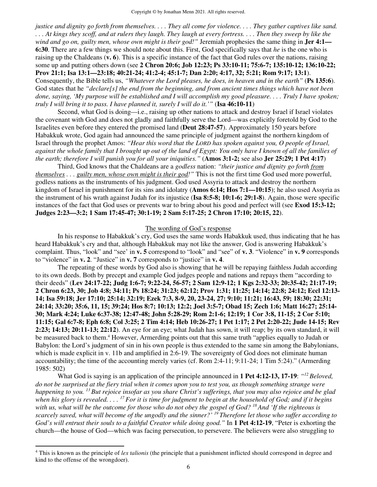*justice and dignity go forth from themselves. . . . They all come for violence. . . . They gather captives like sand. . . . At kings they scoff, and at rulers they laugh. They laugh at every fortress. . . . Then they sweep by like the wind and go on, guilty men, whose own might is their god!*" Jeremiah prophesies the same thing in **Jer 4:1— 6:30**. There are a few things we should note about this. First, God specifically says that *he* is the one who is raising up the Chaldeans (**v. 6**). This is a specific instance of the fact that God rules over the nations, raising some up and putting others down (see **2 Chron 20:6; Job 12:23; Ps 33:10-11; 75:6-7; 135:10-12; 136:10-22; Prov 21:1; Isa 13:1—23:18; 40:21-24; 41:2-4; 45:1-7; Dan 2:20; 4:17, 32; 5:21; Rom 9:17; 13:1**). Consequently, the Bible tells us, *"Whatever the Lord pleases, he does, in heaven and in the earth"* (**Ps 135:6**). God states that he *"declare[s] the end from the beginning, and from ancient times things which have not been*  done, saying, 'My purpose will be established and I will accomplish my good pleasure.... Truly I have spoken; *truly I will bring it to pass. I have planned it, surely I will do it.'"* (**Isa 46:10-11**)

Second, what God is doing—i.e., raising up other nations to attack and destroy Israel if Israel violates the covenant with God and does not gladly and faithfully serve the Lord—was explicitly foretold by God to the Israelites even before they entered the promised land (**Deut 28:47-57**). Approximately 150 years before Habakkuk wrote, God again had announced the same principle of judgment against the northern kingdom of Israel through the prophet Amos: *"Hear this word that the LORD has spoken against you, O people of Israel, against the whole family that I brought up out of the land of Egypt: You only have I known of all the families of the earth; therefore I will punish you for all your iniquities."* (**Amos 3:1-2;** see also **Jer 25:29; 1 Pet 4:17**)

Third, God knows that the Chaldeans are a *godless* nation: *"their justice and dignity go forth from themselves . . . guilty men, whose own might is their god!"* This is not the first time God used more powerful, godless nations as the instruments of his judgment. God used Assyria to attack and destroy the northern kingdom of Israel in punishment for its sins and idolatry (**Amos 6:14; Hos 7:1—10:15**); he also used Assyria as the instrument of his wrath against Judah for its injustice (**Isa 8:5-8; 10:1-6; 29:1-8**). Again, those were specific instances of the fact that God uses or prevents war to bring about his good and perfect will (see **Exod 15:3-12; Judges 2:23—3:2; 1 Sam 17:45-47; 30:1-19; 2 Sam 5:17-25; 2 Chron 17:10; 20:15, 22**).

#### The wording of God's response

In his response to Habakkuk's cry, God uses the same words Habakkuk used, thus indicating that he has heard Habakkuk's cry and that, although Habakkuk may not like the answer, God is answering Habakkuk's complaint. Thus, "look" and "see' in **v. 5** correspond to "look" and "see" of **v. 3**. "Violence" in **v. 9** corresponds to "violence" in **v. 2**. "Justice" in **v. 7** corresponds to "justice" in **v. 4**.

The repeating of these words by God also is showing that he will be repaying faithless Judah according to its own deeds. Both by precept and example God judges people and nations and repays them "according to their deeds" (**Lev 24:17-22; Judg 1:6-7; 9:22-24, 56-57; 2 Sam 12:9-12; 1 Kgs 2:32-33; 20:35-42; 21:17-19; 2 Chron 6:23, 30; Job 4:8; 34:11; Ps 18:24; 31:23; 62:12; Prov 1:31; 11:25; 14:14; 22:8; 24:12; Eccl 12:13- 14; Isa 59:18; Jer 17:10; 25:14; 32:19; Ezek 7:3, 8-9, 20, 23-24, 27; 9:10; 11:21; 16:43, 59; 18:30; 22:31; 24:14; 33:20; 35:6, 11, 15; 39:24; Hos 8:7; 10:13; 12:2; Joel 3:5-7; Obad 15; Zech 1:6; Matt 16:27; 25:14- 30; Mark 4:24; Luke 6:37-38; 12:47-48; John 5:28-29; Rom 2:1-6; 12:19; 1 Cor 3:8, 11-15; 2 Cor 5:10; 11:15; Gal 6:7-8; Eph 6:8; Col 3:25; 2 Tim 4:14; Heb 10:26-27; 1 Pet 1:17; 2 Pet 2:20-22; Jude 14-15; Rev 2:23; 14:13; 20:11-13; 22:12**). An eye for an eye; what Judah has sown, it will reap; by its own standard, it will be measured back to them.<sup>4</sup> However, Armerding points out that this same truth "applies equally to Judah or Babylon: the Lord's judgment of sin in his own people is thus extended to the same sin among the Babylonians, which is made explicit in v. 11b and amplified in 2:6-19. The sovereignty of God does not eliminate human accountability; the time of the accounting merely varies (cf. Rom 2:4-11; 9:11-24; 1 Tim 5:24)." (Armerding 1985: 502)

What God is saying is an application of the principle announced in 1 Pet 4:12-13, 17-19: *"*<sup>12</sup> Beloved, *do not be surprised at the fiery trial when it comes upon you to test you, as though something strange were happening to you. <sup>13</sup>But rejoice insofar as you share Christ's sufferings, that you may also rejoice and be glad when his glory is revealed. . . . <sup>17</sup>For it is time for judgment to begin at the household of God; and if it begins with us, what will be the outcome for those who do not obey the gospel of God? <sup>18</sup>And 'If the righteous is scarcely saved, what will become of the ungodly and the sinner?' <sup>19</sup>Therefore let those who suffer according to God's will entrust their souls to a faithful Creator while doing good."* In **1 Pet 4:12-19**, "Peter is exhorting the church—the house of God—which was facing persecution, to persevere. The believers were also struggling to

<sup>4</sup> This is known as the principle of *lex talionis* (the principle that a punishment inflicted should correspond in degree and kind to the offense of the wrongdoer).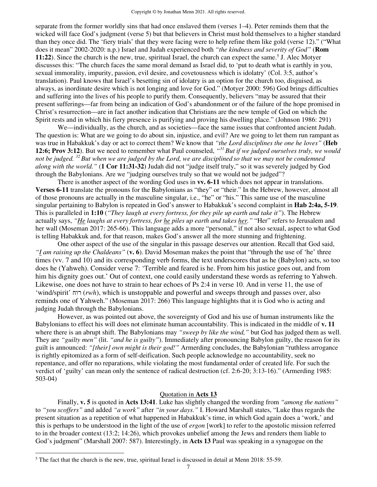separate from the former worldly sins that had once enslaved them (verses 1–4). Peter reminds them that the wicked will face God's judgment (verse 5) but that believers in Christ must hold themselves to a higher standard than they once did. The 'fiery trials' that they were facing were to help refine them like gold (verse 12)." ("What does it mean" 2002-2020: n.p.) Israel and Judah experienced both *"the kindness and severity of God"* (**Rom 11:22**). Since the church is the new, true, spiritual Israel, the church can expect the same.<sup>5</sup> J. Alec Motyer discusses this: "The church faces the same moral demand as Israel did, to 'put to death what is earthly in you, sexual immorality, impurity, passion, evil desire, and covetousness which is idolatry' (Col. 3:5, author's translation). Paul knows that Israel's besetting sin of idolatry is an option for the church too, disguised, as always, as inordinate desire which is not longing and love for God." (Motyer 2000: 596) God brings difficulties and suffering into the lives of his people to purify them. Consequently, believers "may be assured that their present sufferings—far from being an indication of God's abandonment or of the failure of the hope promised in Christ's resurrection—are in fact another indication that Christians are the new temple of God on which the Spirit rests and in which his fiery presence is purifying and proving his dwelling place." (Johnson 1986: 291)

We—individually, as the church, and as societies—face the same issues that confronted ancient Judah. The question is: What are we going to do about sin, injustice, and evil? Are we going to let them run rampant as was true in Habakkuk's day or act to correct them? We know that *"the Lord disciplines the one he loves"* (**Heb 12:6; Prov 3:12**). But we need to remember what Paul counseled, *" <sup>31</sup>But if we judged ourselves truly, we would not be judged. <sup>32</sup>But when we are judged by the Lord, we are disciplined so that we may not be condemned along with the world."* (**1 Cor 11:31-32**) Judah did not "judge itself truly," so it was severely judged by God through the Babylonians. Are we "judging ourselves truly so that we would not be judged"?

There is another aspect of the wording God uses in **vv. 6-11** which does not appear in translations. **Verses 6-11** translate the pronouns for the Babylonians as "they" or "their." In the Hebrew, however, almost all of those pronouns are actually in the masculine singular, i.e., "he" or "his." This same use of the masculine singular pertaining to Babylon is repeated in God's answer to Habakkuk's second complaint in **Hab 2:4a, 5-19**. This is paralleled in **1:10** (*"They laugh at every fortress, for they pile up earth and take it"*). The Hebrew actually says, *"He laughs at every fortress, for he piles up earth and takes her."* "Her" refers to Jerusalem and her wall (Moseman 2017: 265-66). This language adds a more "personal," if not also sexual, aspect to what God is telling Habakkuk and, for that reason, makes God's answer all the more stunning and frightening.

One other aspect of the use of the singular in this passage deserves our attention. Recall that God said, *"I am raising up the Chaldeans"* (**v. 6**). David Moseman makes the point that "through the use of 'he' three times (vv. 7 and 10) and its corresponding verb forms, the text underscores that as he (Babylon) acts, so too does he (Yahweh). Consider verse 7: 'Terrible and feared is he. From him his justice goes out, and from him his dignity goes out.' Out of context, one could easily understand these words as referring to Yahweh. Likewise, one does not have to strain to hear echoes of Ps 2:4 in verse 10. And in verse 11, the use of 'wind/spirit' חרו) *rwh*), which is unstoppable and powerful and sweeps through and passes over, also reminds one of Yahweh." (Moseman 2017: 266) This language highlights that it is God who is acting and judging Judah through the Babylonians.

However, as was pointed out above, the sovereignty of God and his use of human instruments like the Babylonians to effect his will does not eliminate human accountability. This is indicated in the middle of **v. 11** where there is an abrupt shift. The Babylonians may *"sweep by like the wind,"* but God has judged them as well. They are *"guilty men"* (lit. *"and he is guilty"*). Immediately after pronouncing Babylon guilty, the reason for its guilt is announced: *"[their] own might is their god!"* Armerding concludes, the Babylonian "ruthless arrogance is rightly epitomized as a form of self-deification. Such people acknowledge no accountability, seek no repentance, and offer no reparations, while violating the most fundamental order of created life. For such the verdict of 'guilty' can mean only the sentence of radical destruction (cf. 2:6-20; 3:13-16)." (Armerding 1985: 503-04)

## Quotation in **Acts 13**

Finally, **v. 5** is quoted in **Acts 13:41**. Luke has slightly changed the wording from *"among the nations"*  to *"you scoffers"* and added *"a work"* after *"in your days."* I. Howard Marshall states, "Luke thus regards the present situation as a repetition of what happened in Habakkuk's time, in which God again does a 'work,' and this is perhaps to be understood in the light of the use of *ergon* [work] to refer to the apostolic mission referred to in the broader context (13:2; 14:26), which provokes unbelief among the Jews and renders them liable to God's judgment" (Marshall 2007: 587). Interestingly, in **Acts 13** Paul was speaking in a synagogue on the

<sup>&</sup>lt;sup>5</sup> The fact that the church is the new, true, spiritual Israel is discussed in detail at Menn 2018: 55-59.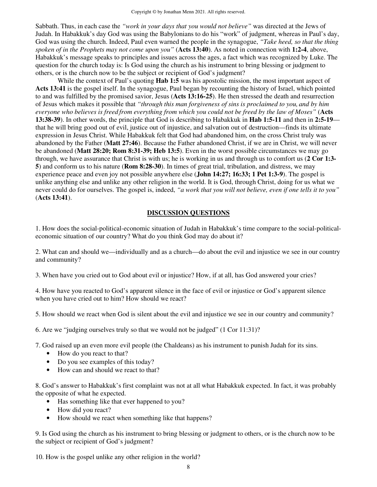Sabbath. Thus, in each case the *"work in your days that you would not believe"* was directed at the Jews of Judah. In Habakkuk's day God was using the Babylonians to do his "work" of judgment, whereas in Paul's day, God was using the church. Indeed, Paul even warned the people in the synagogue, *"Take heed, so that the thing spoken of in the Prophets may not come upon you"* (**Acts 13:40**). As noted in connection with **1:2-4**, above, Habakkuk's message speaks to principles and issues across the ages, a fact which was recognized by Luke. The question for the church today is: Is God using the church as his instrument to bring blessing or judgment to others, or is the church now to be the subject or recipient of God's judgment?

While the context of Paul's quoting **Hab 1:5** was his apostolic mission, the most important aspect of **Acts 13:41** is the gospel itself. In the synagogue, Paul began by recounting the history of Israel, which pointed to and was fulfilled by the promised savior, Jesus (**Acts 13:16-25**). He then stressed the death and resurrection of Jesus which makes it possible that *"through this man forgiveness of sins is proclaimed to you, and by him everyone who believes is freed from everything from which you could not be freed by the law of Moses"* (**Acts 13:38-39**). In other words, the principle that God is describing to Habakkuk in **Hab 1:5-11** and then in **2:5-19** that he will bring good out of evil, justice out of injustice, and salvation out of destruction—finds its ultimate expression in Jesus Christ. While Habakkuk felt that God had abandoned him, on the cross Christ truly was abandoned by the Father (**Matt 27:46**). Because the Father abandoned Christ, if we are in Christ, we will never be abandoned (**Matt 28:20; Rom 8:31-39; Heb 13:5**). Even in the worst possible circumstances we may go through, we have assurance that Christ is with us; he is working in us and through us to comfort us (**2 Cor 1:3- 5**) and conform us to his nature (**Rom 8:28-30**). In times of great trial, tribulation, and distress, we may experience peace and even joy not possible anywhere else (**John 14:27; 16:33; 1 Pet 1:3-9**). The gospel is unlike anything else and unlike any other religion in the world. It is God, through Christ, doing for us what we never could do for ourselves. The gospel is, indeed, *"a work that you will not believe, even if one tells it to you"* (**Acts 13:41**).

# **DISCUSSION QUESTIONS**

1. How does the social-political-economic situation of Judah in Habakkuk's time compare to the social-politicaleconomic situation of our country? What do you think God may do about it?

2. What can and should we—individually and as a church—do about the evil and injustice we see in our country and community?

3. When have you cried out to God about evil or injustice? How, if at all, has God answered your cries?

4. How have you reacted to God's apparent silence in the face of evil or injustice or God's apparent silence when you have cried out to him? How should we react?

5. How should we react when God is silent about the evil and injustice we see in our country and community?

6. Are we "judging ourselves truly so that we would not be judged" (1 Cor 11:31)?

7. God raised up an even more evil people (the Chaldeans) as his instrument to punish Judah for its sins.

- How do you react to that?
- Do you see examples of this today?
- How can and should we react to that?

8. God's answer to Habakkuk's first complaint was not at all what Habakkuk expected. In fact, it was probably the opposite of what he expected.

- Has something like that ever happened to you?
- How did you react?
- How should we react when something like that happens?

9. Is God using the church as his instrument to bring blessing or judgment to others, or is the church now to be the subject or recipient of God's judgment?

10. How is the gospel unlike any other religion in the world?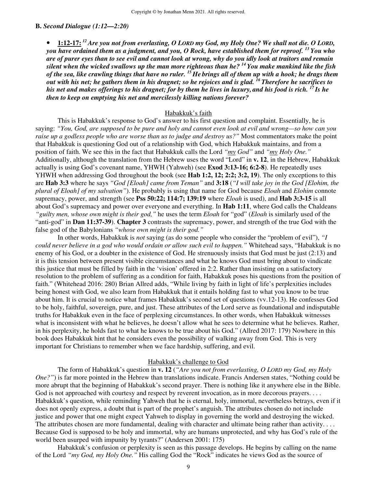#### **B.** *Second Dialogue (1:12—2:20)*

• **1:12-17:** *<sup>12</sup>Are you not from everlasting, O LORD my God, my Holy One? We shall not die. O LORD, you have ordained them as a judgment, and you, O Rock, have established them for reproof. <sup>13</sup>You who are of purer eyes than to see evil and cannot look at wrong, why do you idly look at traitors and remain silent when the wicked swallows up the man more righteous than he? <sup>14</sup>You make mankind like the fish of the sea, like crawling things that have no ruler. <sup>15</sup>He brings all of them up with a hook; he drags them out with his net; he gathers them in his dragnet; so he rejoices and is glad. <sup>16</sup>Therefore he sacrifices to his net and makes offerings to his dragnet; for by them he lives in luxury, and his food is rich. <sup>17</sup>Is he then to keep on emptying his net and mercilessly killing nations forever?*

## Habakkuk's faith

This is Habakkuk's response to God's answer to his first question and complaint. Essentially, he is saying: *"You, God, are supposed to be pure and holy and cannot even look at evil and wrong—so how can you raise up a godless people who are worse than us to judge and destroy us?"* Most commentators make the point that Habakkuk is questioning God out of a relationship with God, which Habakkuk maintains, and from a position of faith. We see this in the fact that Habakkuk calls the Lord *"my God"* and *"my Holy One."* Additionally, although the translation from the Hebrew uses the word "Lord" in **v. 12**, in the Hebrew, Habakkuk actually is using God's covenant name, YHWH (Yahweh) (see **Exod 3:13-16; 6:2-8**). He repeatedly uses YHWH when addressing God throughout the book (see **Hab 1:2, 12; 2:2; 3:2, 19**). The only exceptions to this are **Hab 3:3** where he says *"God [Eloah] came from Teman"* and **3:18** (*"I will take joy in the God [Elohim, the plural of Eloah] of my salvation"*). He probably is using that name for God because *Eloah* and *Elohim* connote supremacy, power, and strength (see **Pss 50:22; 114:7; 139:19** where *Eloah* is used), and **Hab 3:3-15** is all about God's supremacy and power over everyone and everything. In **Hab 1:11**, where God calls the Chaldeans *"guilty men, whose own might is their god,"* he uses the term *Eloah* for "god" (*Eloah* is similarly used of the "anti-god" in **Dan 11:37-39**). **Chapter 3** contrasts the supremacy, power, and strength of the true God with the false god of the Babylonians *"whose own might is their god."*

In other words, Habakkuk is *not* saying (as do some people who consider the "problem of evil"), *"I could never believe in a god who would ordain or allow such evil to happen."* Whitehead says, "Habakkuk is no enemy of his God, or a doubter in the existence of God. He strenuously insists that God must be just (2:13) and it is this tension between present visible circumstances and what he knows God must bring about to vindicate this justice that must be filled by faith in the 'vision' offered in 2:2. Rather than insisting on a satisfactory resolution to the problem of suffering as a condition for faith, Habakkuk poses his questions from the position of faith." (Whitehead 2016: 280) Brian Allred adds, "While living by faith in light of life's perplexities includes being honest with God, we also learn from Habakkuk that it entails holding fast to what you know to be true about him. It is crucial to notice what frames Habakkuk's second set of questions (vv.12-13). He confesses God to be holy, faithful, sovereign, pure, and just. These attributes of the Lord serve as foundational and indisputable truths for Habakkuk even in the face of perplexing circumstances. In other words, when Habakkuk witnesses what is inconsistent with what he believes, he doesn't allow what he sees to determine what he believes. Rather, in his perplexity, he holds fast to what he knows to be true about his God." (Allred 2017: 179) Nowhere in this book does Habakkuk hint that he considers even the possibility of walking away from God. This is very important for Christians to remember when we face hardship, suffering, and evil.

#### Habakkuk's challenge to God

The form of Habakkuk's question in **v. 12** (*"Are you not from everlasting, O LORD my God, my Holy One?"*) is far more pointed in the Hebrew than translations indicate. Francis Andersen states, "Nothing could be more abrupt that the beginning of Habakkuk's second prayer. There is nothing like it anywhere else in the Bible. God is not approached with courtesy and respect by reverent invocation, as in more decorous prayers. . . . Habakkuk's question, while reminding Yahweh that he is eternal, holy, immortal, nevertheless betrays, even if it does not openly express, a doubt that is part of the prophet's anguish. The attributes chosen do not include justice and power that one might expect Yahweh to display in governing the world and destroying the wicked. The attributes chosen are more fundamental, dealing with character and ultimate being rather than activity.... Because God is supposed to be holy and immortal, why are humans unprotected, and why has God's rule of the world been usurped with impunity by tyrants?" (Andersen 2001: 175)

Habakkuk's confusion or perplexity is seen as this passage develops. He begins by calling on the name of the Lord *"my God, my Holy One."* His calling God the "Rock" indicates he views God as the source of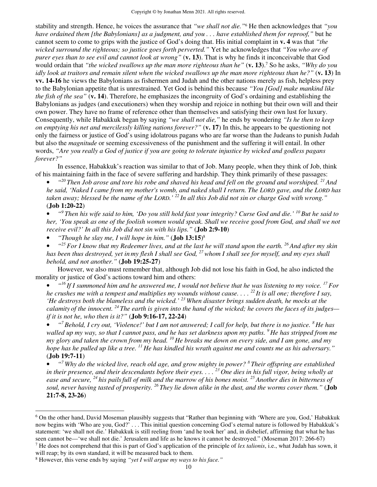stability and strength. Hence, he voices the assurance that *"we shall not die."*<sup>6</sup> He then acknowledges that *"you have ordained them [the Babylonians] as a judgment, and you . . . have established them for reproof,"* but he cannot seem to come to grips with the justice of God's doing that. His initial complaint in **v. 4** was that *"the wicked surround the righteous; so justice goes forth perverted."* Yet he acknowledges that *"You who are of purer eyes than to see evil and cannot look at wrong"* (**v. 13**). That is why he finds it inconceivable that God would ordain that *"the wicked swallows up the man more righteous than he"* (**v. 13**).<sup>7</sup> So he asks, *"Why do you idly look at traitors and remain silent when the wicked swallows up the man more righteous than he?"* (**v. 13**) In **vv. 14-16** he views the Babylonians as fishermen and Judah and the other nations merely as fish, helpless prey to the Babylonian appetite that is unrestrained. Yet God is behind this because *"You [God] make mankind like the fish of the sea"* (**v. 14**). Therefore, he emphasizes the incongruity of God's ordaining and establishing the Babylonians as judges (and executioners) when they worship and rejoice in nothing but their own will and their own power. They have no frame of reference other than themselves and satisfying their own lust for luxury. Consequently, while Habakkuk began by saying *"we shall not die,"* he ends by wondering *"Is he then to keep on emptying his net and mercilessly killing nations forever?"* (**v. 17**) In this, he appears to be questioning not only the fairness or justice of God's using idolatrous pagans who are far worse than the Judeans to punish Judah but also the *magnitude* or seeming excessiveness of the punishment and the suffering it will entail. In other words, *"Are you really a God of justice if you are going to tolerate injustice by wicked and godless pagans forever?"* 

In essence, Habakkuk's reaction was similar to that of Job. Many people, when they think of Job, think of his maintaining faith in the face of severe suffering and hardship. They think primarily of these passages:

• *" <sup>20</sup>Then Job arose and tore his robe and shaved his head and fell on the ground and worshiped. <sup>21</sup>And he said, 'Naked I came from my mother's womb, and naked shall I return. The LORD gave, and the LORD has taken away; blessed be the name of the LORD.' <sup>22</sup>In all this Job did not sin or charge God with wrong."*  (**Job 1:20-22**)

• *" <sup>9</sup>Then his wife said to him, 'Do you still hold fast your integrity? Curse God and die.' <sup>10</sup>But he said to her, 'You speak as one of the foolish women would speak. Shall we receive good from God, and shall we not receive evil?' In all this Job did not sin with his lips."* (**Job 2:9-10**)

• *"Though he slay me, I will hope in him."* (**Job 13:15**) 8

• *" <sup>25</sup>For I know that my Redeemer lives, and at the last he will stand upon the earth. <sup>26</sup>And after my skin has been thus destroyed, yet in my flesh I shall see God, <sup>27</sup>whom I shall see for myself, and my eyes shall behold, and not another."* (**Job 19:25-27**)

However, we also must remember that, although Job did not lose his faith in God, he also indicted the morality or justice of God's actions toward him and others:

• *" <sup>16</sup>If I summoned him and he answered me, I would not believe that he was listening to my voice. <sup>17</sup>For he crushes me with a tempest and multiplies my wounds without cause. . . . <sup>22</sup>It is all one; therefore I say, 'He destroys both the blameless and the wicked.' <sup>23</sup>When disaster brings sudden death, he mocks at the calamity of the innocent. <sup>24</sup>The earth is given into the hand of the wicked; he covers the faces of its judges if it is not he, who then is it?"* (**Job 9:16-17, 22-24**)

• *" <sup>7</sup>Behold, I cry out, 'Violence!' but I am not answered; I call for help, but there is no justice. <sup>8</sup>He has walled up my way, so that I cannot pass, and he has set darkness upon my paths. <sup>9</sup>He has stripped from me my glory and taken the crown from my head. <sup>10</sup>He breaks me down on every side, and I am gone, and my hope has he pulled up like a tree. <sup>11</sup>He has kindled his wrath against me and counts me as his adversary."* (**Job 19:7-11**)

• *" <sup>7</sup>Why do the wicked live, reach old age, and grow mighty in power? <sup>8</sup>Their offspring are established in their presence, and their descendants before their eyes. . . . <sup>23</sup>One dies in his full vigor, being wholly at ease and secure, <sup>24</sup>his pailsfull of milk and the marrow of his bones moist. <sup>25</sup>Another dies in bitterness of soul, never having tasted of prosperity. <sup>26</sup>They lie down alike in the dust, and the worms cover them."* (**Job 21:7-8, 23-26**)

7 He does not comprehend that this is part of God's application of the principle of *lex talionis*, i.e., what Judah has sown, it will reap; by its own standard, it will be measured back to them.

<sup>&</sup>lt;sup>6</sup> On the other hand, David Moseman plausibly suggests that "Rather than beginning with 'Where are you, God,' Habakkuk now begins with 'Who are you, God?' . . . This initial question concerning God's eternal nature is followed by Habakkuk's statement: 'we shall not die.' Habakkuk is still reeling from 'and he took her' and, in disbelief, affirming that what he has seen cannot be—'we shall not die.' Jerusalem and life as he knows it cannot be destroyed." (Moseman 2017: 266-67)

<sup>8</sup> However, this verse ends by saying *"yet I will argue my ways to his face."*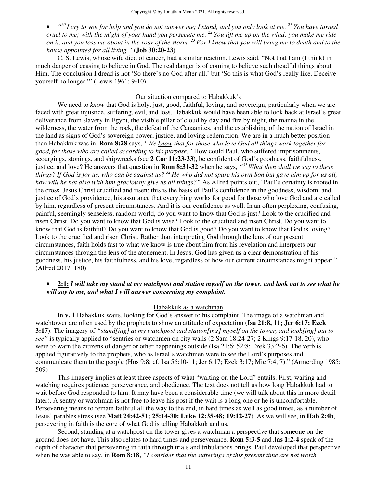• *"* <sup>20</sup>*I cry to you for help and you do not answer me; I stand, and you only look at me.* <sup>21</sup>*You have turned cruel to me; with the might of your hand you persecute me. <sup>22</sup>You lift me up on the wind; you make me ride on it, and you toss me about in the roar of the storm. <sup>23</sup>For I know that you will bring me to death and to the house appointed for all living."* (**Job 30:20-23**)

C. S. Lewis, whose wife died of cancer, had a similar reaction. Lewis said, "Not that I am (I think) in much danger of ceasing to believe in God. The real danger is of coming to believe such dreadful things about Him. The conclusion I dread is not 'So there's no God after all,' but 'So this is what God's really like. Deceive yourself no longer.'" (Lewis 1961: 9-10)

# Our situation compared to Habakkuk's

We need to *know* that God is holy, just, good, faithful, loving, and sovereign, particularly when we are faced with great injustice, suffering, evil, and loss. Habakkuk would have been able to look back at Israel's great deliverance from slavery in Egypt, the visible pillar of cloud by day and fire by night, the manna in the wilderness, the water from the rock, the defeat of the Canaanites, and the establishing of the nation of Israel in the land as signs of God's sovereign power, justice, and loving redemption. We are in a much better position than Habakkuk was in. **Rom 8:28** says, *"We know that for those who love God all things work together for good, for those who are called according to his purpose."* How could Paul, who suffered imprisonments, scourgings, stonings, and shipwrecks (see **2 Cor 11:23-33**), be confident of God's goodness, faithfulness, justice, and love? He answers that question in **Rom 8:31-32** when he says, *" <sup>31</sup>What then shall we say to these things? If God is for us, who can be against us? <sup>32</sup>He who did not spare his own Son but gave him up for us all, how will he not also with him graciously give us all things?"* As Allred points out, "Paul's certainty is rooted in the cross. Jesus Christ crucified and risen: this is the basis of Paul's confidence in the goodness, wisdom, and justice of God's providence, his assurance that everything works for good for those who love God and are called by him, regardless of present circumstances. And it is our confidence as well. In an often perplexing, confusing, painful, seemingly senseless, random world, do you want to know that God is just? Look to the crucified and risen Christ. Do you want to know that God is wise? Look to the crucified and risen Christ. Do you want to know that God is faithful? Do you want to know that God is good? Do you want to know that God is loving? Look to the crucified and risen Christ. Rather than interpreting God through the lens of our present circumstances, faith holds fast to what we know is true about him from his revelation and interprets our circumstances through the lens of the atonement. In Jesus, God has given us a clear demonstration of his goodness, his justice, his faithfulness, and his love, regardless of how our current circumstances might appear." (Allred 2017: 180)

# • **2:1:** *I will take my stand at my watchpost and station myself on the tower, and look out to see what he will say to me, and what I will answer concerning my complaint.*

#### Habakkuk as a watchman

In **v. 1** Habakkuk waits, looking for God's answer to his complaint. The image of a watchman and watchtower are often used by the prophets to show an attitude of expectation (**Isa 21:8, 11; Jer 6:17; Ezek 3:17**). The imagery of *"stand[ing] at my watchpost and station[ing] myself on the tower, and look[ing] out to see"* is typically applied to "sentries or watchmen on city walls (2 Sam 18:24-27; 2 Kings 9:17-18, 20), who were to warn the citizens of danger or other happenings outside (Isa 21:6; 52:8; Ezek 33:2-6). The verb is applied figuratively to the prophets, who as Israel's watchmen were to see the Lord's purposes and communicate them to the people (Hos 9:8; cf. Isa 56:10-11; Jer 6:17; Ezek 3:17; Mic 7:4, 7)." (Armerding 1985: 509)

This imagery implies at least three aspects of what "waiting on the Lord" entails. First, waiting and watching requires patience, perseverance, and obedience. The text does not tell us how long Habakkuk had to wait before God responded to him. It may have been a considerable time (we will talk about this in more detail later). A sentry or watchman is not free to leave his post if the wait is a long one or he is uncomfortable. Persevering means to remain faithful all the way to the end, in hard times as well as good times, as a number of Jesus' parables stress (see **Matt 24:42-51; 25:14-30; Luke 12:35-48; 19:12-27**). As we will see, in **Hab 2:4b**, persevering in faith is the core of what God is telling Habakkuk and us.

Second, standing at a watchpost on the tower gives a watchman a perspective that someone on the ground does not have. This also relates to hard times and perseverance. **Rom 5:3-5** and **Jas 1:2-4** speak of the depth of character that persevering in faith through trials and tribulations brings. Paul developed that perspective when he was able to say, in **Rom 8:18**, *"I consider that the sufferings of this present time are not worth*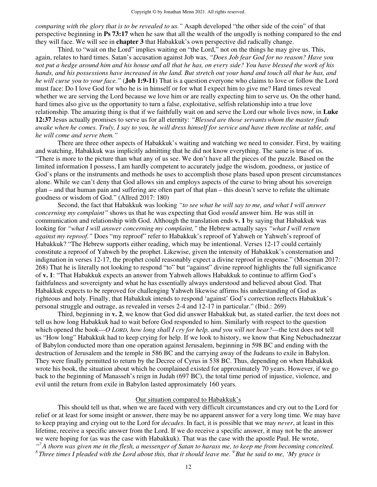*comparing with the glory that is to be revealed to us.*" Asaph developed "the other side of the coin" of that perspective beginning in **Ps 73:17** when he saw that all the wealth of the ungodly is nothing compared to the end they will face. We will see in **chapter 3** that Habakkuk's own perspective did radically change.

Third, to "wait on the Lord" implies waiting on "the Lord," not on the things he may give us. This, again, relates to hard times. Satan's accusation against Job was, *"Does Job fear God for no reason? Have you not put a hedge around him and his house and all that he has, on every side? You have blessed the work of his hands, and his possessions have increased in the land. But stretch out your hand and touch all that he has, and he will curse you to your face."* (**Job 1:9-11**) That is a question everyone who claims to love or follow the Lord must face: Do I love God for who he is in himself or for what I expect him to give me? Hard times reveal whether we are serving the Lord because we love him or are really expecting him to serve us. On the other hand, hard times also give us the opportunity to turn a false, exploitative, selfish relationship into a true love relationship. The amazing thing is that if we faithfully wait on and serve the Lord our whole lives now, in **Luke 12:37** Jesus actually promises to serve us for all eternity: *"Blessed are those servantswhom the master finds awake when he comes. Truly, I say to you, he will dress himself for service and have them recline at table, and he will come and serve them."*

There are three other aspects of Habakkuk's waiting and watching we need to consider. First, by waiting and watching, Habakkuk was implicitly admitting that he did not know everything. The same is true of us. "There is more to the picture than what any of us see. We don't have all the pieces of the puzzle. Based on the limited information I possess, I am hardly competent to accurately judge the wisdom, goodness, or justice of God's plans or the instruments and methods he uses to accomplish those plans based upon present circumstances alone. While we can't deny that God allows sin and employs aspects of the curse to bring about his sovereign plan – and that human pain and suffering are often part of that plan – this doesn't serve to refute the ultimate goodness or wisdom of God." (Allred 2017: 180)

Second, the fact that Habakkuk was looking *"to see what he will say to me, and what I will answer concerning my complaint"* shows us that he was expecting that God *would* answer him. He was still in communication and relationship with God. Although the translation ends **v. 1** by saying that Habakkuk was looking for *"what I will answer concerning my complaint,"* the Hebrew actually says *"what I will return against my reproof."* Does "my reproof" refer to Habakkuk's reproof of Yahweh or Yahweh's reproof of Habakkuk? "The Hebrew supports either reading, which may be intentional. Verses 12-17 could certainly constitute a reproof of Yahweh by the prophet. Likewise, given the intensity of Habakkuk's consternation and indignation in verses 12-17, the prophet could reasonably expect a divine reproof in response." (Moseman 2017: 268) That he is literally not looking to respond "to" but "against" divine reproof highlights the full significance of **v. 1**: "That Habakkuk expects an answer from Yahweh allows Habakkuk to continue to affirm God's faithfulness and sovereignty and what he has essentially always understood and believed about God. That Habakkuk expects to be reproved for challenging Yahweh likewise affirms his understanding of God as righteous and holy. Finally, that Habakkuk intends to respond 'against' God's correction reflects Habakkuk's personal struggle and outrage, as revealed in verses 2-4 and 12-17 in particular." (Ibid.: 269)

Third, beginning in **v. 2**, we know that God did answer Habakkuk but, as stated earlier, the text does not tell us how long Habakkuk had to wait before God responded to him. Similarly with respect to the question which opened the book—*O LORD, how long shall I cry for help, and you will not hear?*—the text does not tell us "How long" Habakkuk had to keep crying for help. If we look to history, we know that King Nebuchadnezzar of Babylon conducted more than one operation against Jerusalem, beginning in 598 BC and ending with the destruction of Jerusalem and the temple in 586 BC and the carrying away of the Judeans to exile in Babylon. They were finally permitted to return by the Decree of Cyrus in 538 BC. Thus, depending on when Habakkuk wrote his book, the situation about which he complained existed for approximately 70 years. However, if we go back to the beginning of Manasseh's reign in Judah (697 BC), the total time period of injustice, violence, and evil until the return from exile in Babylon lasted approximately 160 years.

# Our situation compared to Habakkuk's

This should tell us that, when we are faced with very difficult circumstances and cry out to the Lord for relief or at least for some insight or answer, there may be no apparent answer for a very long time. We may have to keep praying and crying out to the Lord for *decades*. In fact, it is possible that we may *never*, at least in this lifetime, receive a specific answer from the Lord. If we do receive a specific answer, it may not be the answer we were hoping for (as was the case with Habakkuk). That was the case with the apostle Paul. He wrote, *" <sup>7</sup>A thorn was given me in the flesh, a messenger of Satan to harass me, to keep me from becoming conceited. <sup>8</sup>Three times I pleaded with the Lord about this, that it should leave me. <sup>9</sup>But he said to me, 'My grace is*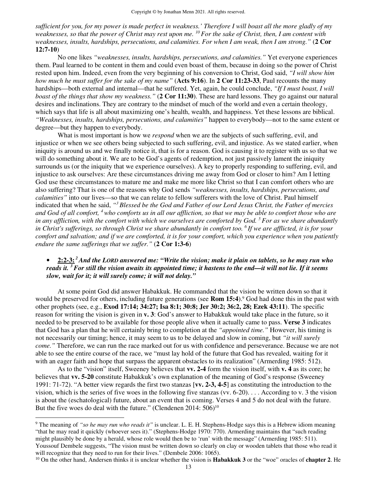*sufficient for you, for my power is made perfect in weakness.' Therefore I will boast all the more gladly of my weaknesses, so that the power of Christ may rest upon me. <sup>10</sup>For the sake of Christ, then, I am content with weaknesses, insults, hardships, persecutions, and calamities. For when I am weak, then I am strong."* (**2 Cor 12:7-10**)

No one likes *"weaknesses, insults, hardships, persecutions, and calamities."* Yet everyone experiences them. Paul learned to be content in them and could even boast of them, because in doing so the power of Christ rested upon him. Indeed, even from the very beginning of his conversion to Christ, God said, *"I will show him how much he must suffer for the sake of my name"* (**Acts 9:16**). In **2 Cor 11:23-33**, Paul recounts the many hardships—both external and internal—that he suffered. Yet, again, he could conclude, *"If I must boast, I will boast of the things that show my weakness."* (**2 Cor 11:30**). These are hard lessons. They go against our natural desires and inclinations. They are contrary to the mindset of much of the world and even a certain theology, which says that life is all about maximizing one's health, wealth, and happiness. Yet these lessons are biblical. *"Weaknesses, insults, hardships, persecutions, and calamities"* happen to everybody—not to the same extent or degree—but they happen to everybody.

What is most important is how we *respond* when we are the subjects of such suffering, evil, and injustice or when we see others being subjected to such suffering, evil, and injustice. As we stated earlier, when iniquity is around us and we finally notice it, that is for a reason. God is causing it to register with us so that we will do something about it. We are to be God's agents of redemption, not just passively lament the iniquity surrounds us (or the iniquity that we experience ourselves). A key to properly responding to suffering, evil, and injustice to ask ourselves: Are these circumstances driving me away from God or closer to him? Am I letting God use these circumstances to mature me and make me more like Christ so that I can comfort others who are also suffering? That is one of the reasons why God sends *"weaknesses, insults, hardships, persecutions, and calamities"* into our lives—so that we can relate to fellow sufferers with the love of Christ. Paul himself indicated that when he said, *" <sup>3</sup>Blessed be the God and Father of our Lord Jesus Christ, the Father of mercies and God of all comfort, <sup>4</sup>who comforts us in all our affliction, so that we may be able to comfort those who are in any affliction, with the comfort with which we ourselves are comforted by God. <sup>5</sup>For as we share abundantly in Christ's sufferings, so through Christ we share abundantly in comfort too. <sup>6</sup>If we are afflicted, it is for your comfort and salvation; and if we are comforted, it is for your comfort, which you experience when you patiently endure the same sufferings that we suffer."* (**2 Cor 1:3-6**)

# • **2:2-3:***<sup>2</sup>And the LORD answered me: "Write the vision; make it plain on tablets, so he may run who reads it. <sup>3</sup>For still the vision awaits its appointed time; it hastens to the end—it will not lie. If it seems slow, wait for it; it will surely come; it will not delay."*

At some point God did answer Habakkuk. He commanded that the vision be written down so that it would be preserved for others, including future generations (see **Rom 15:4**).<sup>9</sup> God had done this in the past with other prophets (see, e.g., **Exod 17:14; 34:27; Isa 8:1; 30:8; Jer 30:2; 36:2, 28; Ezek 43:11**). The specific reason for writing the vision is given in **v. 3**: God's answer to Habakkuk would take place in the future, so it needed to be preserved to be available for those people alive when it actually came to pass. **Verse 3** indicates that God has a plan that he will certainly bring to completion at the *"appointed time."* However, his timing is not necessarily our timing; hence, it may seem to us to be delayed and slow in coming, but *"it will surely come."* Therefore, we can run the race marked out for us with confidence and perseverance. Because we are not able to see the entire course of the race, we "must lay hold of the future that God has revealed, waiting for it with an eager faith and hope that surpass the apparent obstacles to its realization" (Armerding 1985: 512).

As to the "vision" itself, Sweeney believes that **vv. 2-4** form the vision itself, with **v. 4** as its core; he believes that **vv. 5-20** constitute Habakkuk's own explanation of the meaning of God's response (Sweeney 1991: 71-72). "A better view regards the first two stanzas [**vv. 2-3, 4-5**] as constituting the introduction to the vision, which is the series of five woes in the following five stanzas (vv. 6-20). . . . According to v. 3 the vision is about the (eschatological) future, about an event that is coming. Verses 4 and 5 do not deal with the future. But the five woes do deal with the future." (Clendenen 2014: 506)<sup>10</sup>

<sup>&</sup>lt;sup>9</sup> The meaning of "so he may run who reads it" is unclear. L. E. H. Stephens-Hodge says this is a Hebrew idiom meaning "that he may read it quickly (whoever sees it)." (Stephens-Hodge 1970: 770). Armerding maintains that "such reading might plausibly be done by a herald, whose role would then be to 'run' with the message" (Armerding 1985: 511). Youssouf Dembele suggests, "The vision must be written down so clearly on clay or wooden tablets that those who read it will recognize that they need to run for their lives." (Dembele 2006: 1065).

<sup>10</sup> On the other hand, Andersen thinks it is unclear whether the vision is **Habakkuk 3** or the "woe" oracles of **chapter 2**. He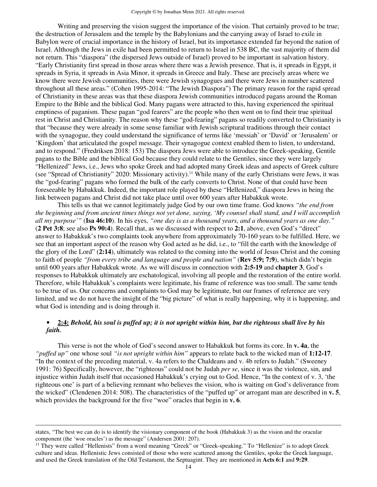Writing and preserving the vision suggest the importance of the vision. That certainly proved to be true; the destruction of Jerusalem and the temple by the Babylonians and the carrying away of Israel to exile in Babylon were of crucial importance in the history of Israel, but its importance extended far beyond the nation of Israel. Although the Jews in exile had been permitted to return to Israel in 538 BC, the vast majority of them did not return. This "diaspora" (the dispersed Jews outside of Israel) proved to be important in salvation history. "Early Christianity first spread in those areas where there was a Jewish presence. That is, it spreads in Egypt, it spreads in Syria, it spreads in Asia Minor, it spreads in Greece and Italy. These are precisely areas where we know there were Jewish communities, there were Jewish synagogues and there were Jews in number scattered throughout all these areas." (Cohen 1995-2014: "The Jewish Diaspora") The primary reason for the rapid spread of Christianity in these areas was that these diaspora Jewish communities introduced pagans around the Roman Empire to the Bible and the biblical God. Many pagans were attracted to this, having experienced the spiritual emptiness of paganism. These pagan "god fearers" are the people who then went on to find their true spiritual rest in Christ and Christianity. The reason why these "god-fearing" pagans so readily converted to Christianity is that "because they were already in some sense familiar with Jewish scriptural traditions through their contact with the synagogue, they could understand the significance of terms like 'messiah' or 'David' or 'Jerusalem' or 'Kingdom' that articulated the gospel message. Their synagogue context enabled them to listen, to understand, and to respond." (Fredriksen 2018: 153) The diaspora Jews were able to introduce the Greek-speaking, Gentile pagans to the Bible and the biblical God because they could relate to the Gentiles, since they were largely "Hellenized" Jews, i.e., Jews who spoke Greek and had adopted many Greek ideas and aspects of Greek culture (see "Spread of Christianity" 2020: Missionary activity).<sup>11</sup> While many of the early Christians were Jews, it was the "god-fearing" pagans who formed the bulk of the early converts to Christ. None of that could have been foreseeable by Habakkuk. Indeed, the important role played by these "Hellenized," diaspora Jews in being the link between pagans and Christ did not take place until over 600 years after Habakkuk wrote.

This tells us that we cannot legitimately judge God by our own time frame. God knows *"the end from the beginning and from ancient times things not yet done, saying, 'My counsel shall stand, and I will accomplish all my purpose'"* (**Isa 46:10**). In his eyes, *"one day is as a thousand years, and a thousand years as one day."* (**2 Pet 3:8**; see also **Ps 90:4**). Recall that, as we discussed with respect to **2:1**, above, even God's "direct" answer to Habakkuk's two complaints took anywhere from approximately 70-160 years to be fulfilled. Here, we see that an important aspect of the reason why God acted as he did, i.e., to "fill the earth with the knowledge of the glory of the Lord" (**2:14**), ultimately was related to the coming into the world of Jesus Christ and the coming to faith of people *"from every tribe and language and people and nation"* (**Rev 5:9; 7:9**), which didn't begin until 600 years after Habakkuk wrote. As we will discuss in connection with **2:5-19** and **chapter 3**, God's responses to Habakkuk ultimately are eschatological, involving all people and the restoration of the entire world. Therefore, while Habakkuk's complaints were legitimate, his frame of reference was too small. The same tends to be true of us. Our concerns and complaints to God may be legitimate, but our frames of reference are very limited, and we do not have the insight of the "big picture" of what is really happening, why it is happening, and what God is intending and is doing through it.

# • **2:4:** *Behold, his soul is puffed up; it is not upright within him, but the righteous shall live by his faith.*

This verse is not the whole of God's second answer to Habakkuk but forms its core. In **v. 4a**, the *"puffed up"* one whose soul *"is not upright within him"* appears to relate back to the wicked man of **1:12-17**. "In the context of the preceding material, v. 4a refers to the Chaldeans and v. 4b refers to Judah." (Sweeney 1991: 76) Specifically, however, the "righteous" could not be Judah *per se*, since it was the violence, sin, and injustice within Judah itself that occasioned Habakkuk's crying out to God. Hence, "In the context of v. 3, 'the righteous one' is part of a believing remnant who believes the vision, who is waiting on God's deliverance from the wicked" (Clendenen 2014: 508). The characteristics of the "puffed up" or arrogant man are described in **v. 5**, which provides the background for the five "woe" oracles that begin in **v. 6**.

states, "The best we can do is to identify the visionary component of the book (Habakkuk 3) as the vision and the oracular component (the 'woe oracles') as the message" (Andersen 2001: 207).

<sup>&</sup>lt;sup>11</sup> They were called "Hellenists" from a word meaning "Greek" or "Greek-speaking." To "Hellenize" is to adopt Greek culture and ideas. Hellenistic Jews consisted of those who were scattered among the Gentiles, spoke the Greek language, and used the Greek translation of the Old Testament, the Septuagint. They are mentioned in **Acts 6:1** and **9:29**.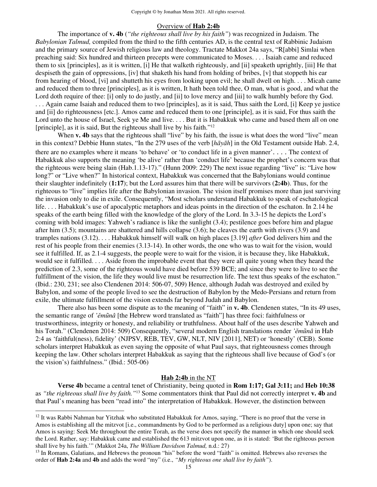# Overview of **Hab 2:4b**

The importance of **v. 4b** (*"the righteous shall live by his faith"*) was recognized in Judaism. The *Babylonian Talmud,* compiled from the third to the fifth centuries AD, is the central text of Rabbinic Judaism and the primary source of Jewish religious law and theology. Tractate Makkot 24a says, "R[abbi] Simlai when preaching said: Six hundred and thirteen precepts were communicated to Moses. . . . Isaiah came and reduced them to six [principles], as it is written, [i] He that walketh righteously, and [ii] speaketh uprightly, [iii] He that despiseth the gain of oppressions, [iv] that shaketh his hand from holding of bribes, [v] that stoppeth his ear from hearing of blood, [vi] and shutteth his eyes from looking upon evil; he shall dwell on high. . . . Micah came and reduced them to three [principles], as it is written, It hath been told thee, O man, what is good, and what the Lord doth require of thee: [i] only to do justly, and [ii] to love mercy and [iii] to walk humbly before thy God. . . . Again came Isaiah and reduced them to two [principles], as it is said, Thus saith the Lord, [i] Keep ye justice and [ii] do righteousness [etc.]. Amos came and reduced them to one [principle], as it is said, For thus saith the Lord unto the house of Israel, Seek ye Me and live. . . . But it is Habakkuk who came and based them all on one [principle], as it is said, But the righteous shall live by his faith."<sup>12</sup>

When **v. 4b** says that the righteous shall "live" by his faith, the issue is what does the word "live" mean in this context? Debbie Hunn states, "In the 279 uses of the verb [*hāyāh*] in the Old Testament outside Hab. 2.4, there are no examples where it means 'to behave' or 'to conduct life in a given manner'. . . . The context of Habakkuk also supports the meaning 'be alive' rather than 'conduct life' because the prophet's concern was that the righteous were being slain (Hab.1.13-17)." (Hunn 2009: 229) The next issue regarding "live" is: "Live how long?" or "Live when?" In historical context, Habakkuk was concerned that the Babylonians would continue their slaughter indefinitely (**1:17**); but the Lord assures him that there will be survivors (**2:4b**). Thus, for the righteous to "live" implies life after the Babylonian invasion. The vision itself promises more than just surviving the invasion only to die in exile. Consequently, "Most scholars understand Habakkuk to speak of eschatological life. . . . Habakkuk's use of apocalyptic metaphors and ideas points in the direction of the eschaton. In 2.14 he speaks of the earth being filled with the knowledge of the glory of the Lord. In 3.3-15 he depicts the Lord's coming with bold images: Yahweh's radiance is like the sunlight (3.4); pestilence goes before him and plague after him (3.5); mountains are shattered and hills collapse (3.6); he cleaves the earth with rivers (3.9) and tramples nations (3.12). . . . Habakkuk himself will walk on high places [3.19] *after* God delivers him and the rest of his people from their enemies (3.13-14). In other words, the one who was to wait for the vision, would see it fulfilled. If, as 2.1-4 suggests, the people were to wait for the vision, it is because they, like Habakkuk, would see it fulfilled. . . . Aside from the improbable event that they were all quite young when they heard the prediction of 2.3, some of the righteous would have died before 539 BCE; and since they were to live to see the fulfillment of the vision, the life they would live must be resurrection life. The text thus speaks of the eschaton." (Ibid.: 230, 231; see also Clendenen 2014: 506-07, 509) Hence, although Judah was destroyed and exiled by Babylon, and some of the people lived to see the destruction of Babylon by the Medo-Persians and return from exile, the ultimate fulfillment of the vision extends far beyond Judah and Babylon.

There also has been some dispute as to the meaning of "faith" in **v. 4b**. Clendenen states, "In its 49 uses, the semantic range of *'ĕmũnâ* [the Hebrew word translated as "faith"] has three foci: faithfulness or trustworthiness, integrity or honesty, and reliability or truthfulness. About half of the uses describe Yahweh and his Torah." (Clendenen 2014: 509) Consequently, "several modern English translations render *'ĕmũnâ* in Hab 2:4 as 'faithful(ness), fidelity' (NJPSV, REB, TEV, GW, NLT, NIV [2011], NET) or 'honestly' (CEB). Some scholars interpret Habakkuk as even saying the opposite of what Paul says, that righteousness comes through keeping the law. Other scholars interpret Habakkuk as saying that the righteous shall live because of God's (or the vision's) faithfulness." (Ibid.: 505-06)

#### **Hab 2:4b** in the NT

**Verse 4b** became a central tenet of Christianity, being quoted in **Rom 1:17; Gal 3:11;** and **Heb 10:38** as *"the righteous shall live by faith."*<sup>13</sup> Some commentators think that Paul did not correctly interpret **v. 4b** and that Paul's meaning has been "read into" the interpretation of Habakkuk. However, the distinction between

<sup>&</sup>lt;sup>12</sup> It was Rabbi Nahman bar Yitzhak who substituted Habakkuk for Amos, saying, "There is no proof that the verse in Amos is establishing all the mitzvot [i.e., commandments by God to be performed as a religious duty] upon one; say that Amos is saying: Seek Me throughout the entire Torah, as the verse does not specify the manner in which one should seek the Lord. Rather, say: Habakkuk came and established the 613 mitzvot upon one, as it is stated: 'But the righteous person shall live by his faith.'" (Makkot 24a, *The William Davidson Talmud,* n.d.: 27)

<sup>&</sup>lt;sup>13</sup> In Romans, Galatians, and Hebrews the pronoun "his" before the word "faith" is omitted. Hebrews also reverses the order of **Hab 2:4a** and **4b** and adds the word "my" (i.e., *"My righteous one shall live by faith"*).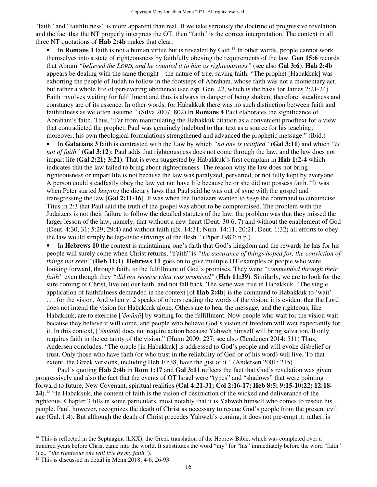"faith" and "faithfulness" is more apparent than real. If we take seriously the doctrine of progressive revelation and the fact that the NT properly interprets the OT, then "faith" is the correct interpretation. The context in all three NT quotations of **Hab 2:4b** makes that clear:

• In **Romans 1** faith is not a human virtue but is revealed by God. <sup>14</sup> In other words, people cannot work themselves into a state of righteousness by faithfully obeying the requirements of the law. **Gen 15:6** records that Abram *"believed the LORD, and he counted it to him as righteousness"* (see also **Gal 3:6**). **Hab 2:4b** appears be dealing with the same thought—the nature of true, saving faith: "The prophet [Habakkuk] was exhorting the people of Judah to follow in the footsteps of Abraham, whose faith was not a momentary act, but rather a whole life of persevering obedience (see esp. Gen. 22, which is the basis for James 2:21-24). Faith involves waiting for fulfillment and thus is always in danger of being shaken; therefore, steadiness and constancy are of its essence. In other words, for Habakkuk there was no such distinction between faith and faithfulness as we often assume." (Silva 2007: 802) In **Romans 4** Paul elaborates the significance of Abraham's faith. Thus, "Far from manipulating the Habakkuk citation as a convenient prooftext for a view that contradicted the prophet, Paul was genuinely indebted to that text as a source for his teaching; moreover, his own theological formulations strengthened and advanced the prophetic message." (Ibid.)

• In **Galatians 3** faith is contrasted with the Law by which *"no one is justified"* (**Gal 3:11**) and which *"is not of faith"* (Gal 3:12); Paul adds that righteousness does not come through the law, and the law does not impart life (**Gal 2:21; 3:21**). That is even suggested by Habakkuk's first complain in **Hab 1:2-4** which indicates that the law failed to bring about righteousness. The reason why the law does not bring righteousness or impart life is not because the law was paralyzed, perverted, or not fully kept by everyone. A person could steadfastly obey the law yet not have life because he or she did not possess faith. "It was when Peter started *keeping* the dietary laws that Paul said he was out of sync with the gospel and transgressing the law [**Gal 2:11-16**]. It was when the Judaizers wanted to *keep* the command to circumcise Titus in 2:3 that Paul said the truth of the gospel was about to be compromised. The problem with the Judaizers is not their failure to follow the detailed statutes of the law; the problem was that they missed the larger lesson of the law, namely, that without a new heart (Deut. 30:6, 7) and without the enablement of God (Deut. 4:30, 31; 5:29; 29:4) and without faith (Ex. 14:31; Num. 14:11; 20:21; Deut. 1:32) all efforts to obey the law would simply be legalistic strivings of the flesh." (Piper 1983: n.p.)

• In **Hebrews 10** the context is maintaining one's faith that God's kingdom and the rewards he has for his people will surely come when Christ returns. "Faith" is *"the assurance of things hoped for, the conviction of things not seen"* (**Heb 11:1**). **Hebrews 11** goes on to give multiple OT examples of people who were looking forward, through faith, to the fulfillment of God's promises. They were *"commended through their faith*" even though they "*did not receive what was promised*" (**Heb 11:39**). Similarly, we are to look for the sure coming of Christ, live out our faith, and not fall back. The same was true in Habakkuk. "The single application of faithfulness demanded in the context [of **Hab 2:4b**] is the command to Habakkuk to 'wait' . . . for the vision. And when v. 2 speaks of others reading the words of the vision, it is evident that the Lord does not intend the vision for Habakkuk alone. Others are to hear the message, and the righteous, like Habakkuk, are to exercise [*'ĕmũnâ*] by waiting for the fulfillment. Now people who wait for the vision wait because they believe it will come, and people who believe God's vision of freedom will wait expectantly for it. In this context, [*'ĕmũnâ*] does not require action because Yahweh himself will bring salvation. It only requires faith in the certainty of the vision." (Hunn 2009: 227; see also Clendenen 2014: 511) Thus, Andersen concludes, "The oracle [in Habakkuk] is addressed to God's people and will evoke disbelief or trust. Only those who have faith (or who trust in the reliability of God or of his word) will live. To that extent, the Greek versions, including Heb 10:38, have the gist of it." (Andersen 2001: 215)

Paul's quoting **Hab 2:4b** in **Rom 1:17** and **Gal 3:11** reflects the fact that God's revelation was given progressively and also the fact that the events of OT Israel were "types" and "shadows" that were pointing forward to future, New Covenant, spiritual realities (**Gal 4:21-31; Col 2:16-17; Heb 8:5; 9:15-10:22; 12:18- 24**).<sup>15</sup> "In Habakkuk, the content of faith is the vision of destruction of the wicked and deliverance of the righteous. Chapter 3 fills in some particulars, most notably that it is Yahweh himself who comes to rescue his people. Paul, however, recognizes the death of Christ as necessary to rescue God's people from the present evil age (Gal. 1.4). But although the death of Christ precedes Yahweh's coming, it does not pre-empt it; rather, is

 $14$  This is reflected in the Septuagint (LXX), the Greek translation of the Hebrew Bible, which was completed over a hundred years before Christ came into the world. It substitutes the word "my" for "his" immediately before the word "faith" (i.e., *"the righteous one will live by my faith"*).

<sup>15</sup> This is discussed in detail in Menn 2018: 4-6, 26-93.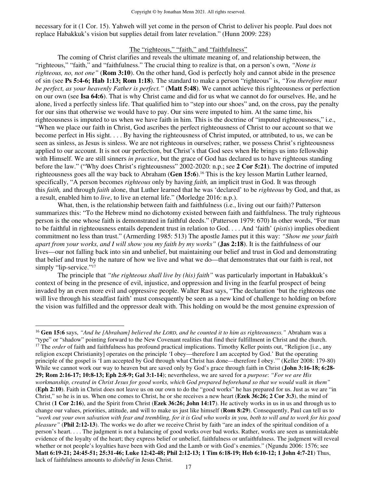necessary for it (1 Cor. 15). Yahweh will yet come in the person of Christ to deliver his people. Paul does not replace Habakkuk's vision but supplies detail from later revelation." (Hunn 2009: 228)

# The "righteous," "faith," and "faithfulness"

The coming of Christ clarifies and reveals the ultimate meaning of, and relationship between, the "righteous," "faith," and "faithfulness." The crucial thing to realize is that, on a person's own, *"None is righteous, no, not one"* (**Rom 3:10**). On the other hand, God is perfectly holy and cannot abide in the presence of sin (see **Ps 5:4-6; Hab 1:13; Rom 1:18**). The standard to make a person "righteous" is, *"You therefore must be perfect, as your heavenly Father is perfect."* (**Matt 5:48**). We cannot achieve this righteousness or perfection on our own (see **Isa 64:6**). That is why Christ came and did for us what we cannot do for ourselves. He, and he alone, lived a perfectly sinless life. That qualified him to "step into our shoes" and, on the cross, pay the penalty for our sins that otherwise we would have to pay. Our sins were imputed to him. At the same time, his righteousness is imputed to us when we have faith in him. This is the doctrine of "imputed righteousness," i.e., "When we place our faith in Christ, God ascribes the perfect righteousness of Christ to our account so that we become perfect in His sight. . . . By having the righteousness of Christ imputed, or attributed, to us, we can be seen as sinless, as Jesus is sinless. We are not righteous in ourselves; rather, we possess Christ's righteousness applied to our account. It is not our perfection, but Christ's that God sees when He brings us into fellowship with Himself. We are still sinners *in practice*, but the grace of God has declared us to have righteous standing before the law." ("Why does Christ's righteousness" 2002-2020: n.p.; see **2 Cor 5:21**). The doctrine of imputed righteousness goes all the way back to Abraham (**Gen 15:6**).<sup>16</sup> This is the key lesson Martin Luther learned, specifically, "A person becomes *righteous* only by having *faith,* an implicit trust in God. It was through this *faith,* and through *faith* alone, that Luther learned that he was 'declared' to be *righteous* by God, and that, as a result, enabled him to *live*, to live an eternal life." (Morledge 2016: n.p.).

What, then, is the relationship between faith and faithfulness (i.e., living out our faith)? Patterson summarizes this: "To the Hebrew mind no dichotomy existed between faith and faithfulness. The truly righteous person is the one whose faith is demonstrated in faithful deeds." (Patterson 1979: 670) In other words, "For man to be faithful in righteousness entails dependent trust in relation to God. . . . And 'faith' (*pistis*) implies obedient commitment no less than trust." (Armerding 1985: 513) The apostle James put it this way: *"Show me your faith apart from your works, and I will show you my faith by my works"* (**Jas 2:18**). It is the faithfulness of our lives—our not falling back into sin and unbelief, but maintaining our belief and trust in God and demonstrating that belief and trust by the nature of how we live and what we do—that demonstrates that our faith is real, not simply "lip-service."<sup>17</sup>

The principle that *"the righteous shall live by (his) faith"* was particularly important in Habakkuk's context of being in the presence of evil, injustice, and oppression and living in the fearful prospect of being invaded by an even more evil and oppressive people. Walter Rast says, "The declaration 'but the righteous one will live through his steadfast faith' must consequently be seen as a new kind of challenge to holding on before the vision was fulfilled and the oppressor dealt with. This holding on would be the most genuine expression of

<sup>16</sup> **Gen 15:6** says, *"And he [Abraham] believed the LORD, and he counted it to him as righteousness."* Abraham was a "type" or "shadow" pointing forward to the New Covenant realities that find their fulfillment in Christ and the church. <sup>17</sup> The *order* of faith and faithfulness has profound practical implications. Timothy Keller points out, "Religion [i.e., any religion except Christianity] operates on the principle 'I obey—therefore I am accepted by God.' But the operating principle of the gospel is 'I am accepted by God through what Christ has done—therefore I obey.'" (Keller 2008: 179-80) While we cannot work our way to heaven but are saved only by God's grace through faith in Christ (**John 3:16-18; 6:28- 29; Rom 2:16-17; 10:8-13; Eph 2:8-9; Gal 3:1-14**); nevertheless, we are saved for a *purpose*: *"For we are His workmanship, created in Christ Jesus for good works, which God prepared beforehand so that we would walk in them"* (**Eph 2:10**). Faith in Christ does not leave us on our own to do the "good works" he has prepared for us. Just as we are "in Christ," so he is in us. When one comes to Christ, he or she receives a new heart (**Ezek 36:26; 2 Cor 3:3**), the mind of Christ (**1 Cor 2:16**), and the Spirit from Christ (**Ezek 36:26; John 14:17**). He actively works in us in us and through us to change our values, priorities, attitude, and will to make us just like himself (**Rom 8:29**). Consequently, Paul can tell us to *"work out your own salvation with fear and trembling, for it is God who works in you, both to will and to work for his good pleasure"* (**Phil 2:12-13**). The works we do after we receive Christ by faith "are an index of the spiritual condition of a person's heart. . . . The judgment is not a balancing of good works over bad works. Rather, works are seen as unmistakable evidence of the loyalty of the heart; they express belief or unbelief, faithfulness or unfaithfulness. The judgment will reveal whether or not people's loyalties have been with God and the Lamb or with God's enemies." (Ngundu 2006: 1576; see **Matt 6:19-21; 24:45-51; 25:31-46; Luke 12:42-48; Phil 2:12-13; 1 Tim 6:18-19; Heb 6:10-12; 1 John 4:7-21**) Thus, lack of faithfulness amounts to *disbelief* in Jesus Christ.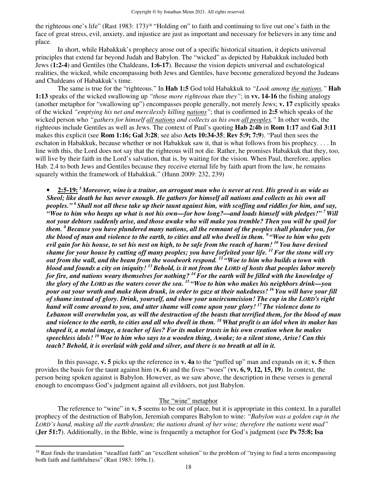the righteous one's life" (Rast 1983: 173)<sup>18</sup> "Holding on" to faith and continuing to live out one's faith in the face of great stress, evil, anxiety, and injustice are just as important and necessary for believers in any time and place.

In short, while Habakkuk's prophecy arose out of a specific historical situation, it depicts universal principles that extend far beyond Judah and Babylon. The "wicked" as depicted by Habakkuk included both Jews (**1:2-4**) and Gentiles (the Chaldeans, **1:6-17**). Because the vision depicts universal and eschatological realities, the wicked, while encompassing both Jews and Gentiles, have become generalized beyond the Judeans and Chaldeans of Habakkuk's time.

The same is true for the "righteous." In **Hab 1:5** God told Habakkuk to *"Look among the nations."* **Hab 1:13** speaks of the wicked swallowing up *"those more righteous than they"*; in **vv. 14-16** the fishing analogy (another metaphor for "swallowing up") encompasses people generally, not merely Jews; **v. 17** explicitly speaks of the wicked *"emptying his net and mercilessly killing nations"*; that is confirmed in **2:5** which speaks of the wicked person who *"gathers for himself all nations and collects as his own all peoples."* In other words, the righteous include Gentiles as well as Jews. The context of Paul's quoting **Hab 2:4b** in **Rom 1:17** and **Gal 3:11** makes this explicit (see **Rom 1:16; Gal 3:28**; see also **Acts 10:34-35**; **Rev 5:9; 7:9**). "Paul then sees the eschaton in Habakkuk, because whether or not Habakkuk saw it, that is what follows from his prophecy. . . . In line with this, the Lord does not say that the righteous will not die. Rather, he promises Habakkuk that they, too, will live by their faith in the Lord's salvation, that is, by waiting for the vision. When Paul, therefore, applies Hab. 2.4 to both Jews and Gentiles because they receive eternal life by faith apart from the law, he remains squarely within the framework of Habakkuk." (Hunn 2009: 232, 239)

• **2:5-19:** *<sup>5</sup>Moreover, wine is a traitor, an arrogant man who is never at rest. His greed is as wide as Sheol; like death he has never enough. He gathers for himself all nations and collects as his own all peoples." <sup>6</sup>Shall not all these take up their taunt against him, with scoffing and riddles for him, and say, "Woe to him who heaps up what is not his own—for how long?—and loads himself with pledges!" <sup>7</sup>Will not your debtors suddenly arise, and those awake who will make you tremble? Then you will be spoil for them. <sup>8</sup>Because you have plundered many nations, all the remnant of the peoples shall plunder you, for the blood of man and violence to the earth, to cities and all who dwell in them. <sup>9</sup>"Woe to him who gets evil gain for his house, to set his nest on high, to be safe from the reach of harm! <sup>10</sup>You have devised shame for your house by cutting off many peoples; you have forfeited your life. <sup>11</sup>For the stone will cry out from the wall, and the beam from the woodwork respond. <sup>12</sup>"Woe to him who builds a town with blood and founds a city on iniquity! <sup>13</sup>Behold, is it not from the LORD of hosts that peoples labor merely for fire, and nations weary themselves for nothing? <sup>14</sup>For the earth will be filled with the knowledge of the glory of the LORD as the waters cover the sea. <sup>15</sup>"Woe to him who makes his neighbors drink—you pour out your wrath and make them drunk, in order to gaze at their nakedness! <sup>16</sup>You will have your fill of shame instead of glory. Drink, yourself, and show your uncircumcision! The cup in the LORD's right hand will come around to you, and utter shame will come upon your glory! <sup>17</sup>The violence done to Lebanon will overwhelm you, as will the destruction of the beasts that terrified them, for the blood of man and violence to the earth, to cities and all who dwell in them. <sup>18</sup>What profit is an idol when its maker has shaped it, a metal image, a teacher of lies? For its maker trusts in his own creation when he makes speechless idols! <sup>19</sup>Woe to him who says to a wooden thing, Awake; to a silent stone, Arise! Can this teach? Behold, it is overlaid with gold and silver, and there is no breath at all in it.*

In this passage, **v. 5** picks up the reference in **v. 4a** to the "puffed up" man and expands on it; **v. 5** then provides the basis for the taunt against him (**v. 6**) and the fives "woes" (**vv. 6, 9, 12, 15, 19**). In context, the person being spoken against is Babylon. However, as we saw above, the description in these verses is general enough to encompass God's judgment against all evildoers, not just Babylon.

#### The "wine" metaphor

The reference to "wine" in **v. 5** seems to be out of place, but it is appropriate in this context. In a parallel prophecy of the destruction of Babylon, Jeremiah compares Babylon to wine: *"Babylon was a golden cup in the LORD's hand, making all the earth drunken; the nations drank of her wine; therefore the nations went mad"*  (**Jer 51:7**). Additionally, in the Bible, wine is frequently a metaphor for God's judgment (see **Ps 75:8; Isa** 

<sup>&</sup>lt;sup>18</sup> Rast finds the translation "steadfast faith" an "excellent solution" to the problem of "trying to find a term encompassing both faith and faithfulness" (Rast 1983: 169n.1).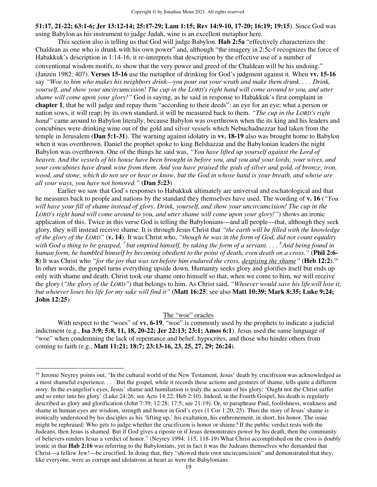**51:17, 21-22; 63:1-6; Jer 13:12-14; 25:17-29; Lam 1:15; Rev 14:9-10, 17-20; 16:19; 19:15**). Since God was using Babylon as his instrument to judge Judah, wine is an excellent metaphor here.

This section also is telling us that God will judge Babylon. **Hab 2:5a** "effectively characterizes the Chaldean as one who is drunk with his own power" and, although "the imagery in 2:5c-f recognizes the force of Habakkuk's description in 1:14-16, it re-interprets that description by the effective use of a number of conventional wisdom motifs, to show that the very power and greed of the Chaldean will be his undoing." (Janzen 1982: 407). **Verses 15-16** use the metaphor of drinking for God's judgment against it. When **vv. 15-16** say *"Woe to him who makes his neighbors drink—you pour out your wrath and make them drunk. . . . Drink, yourself, and show your uncircumcision! The cup in the LORD's right hand will come around to you, and utter shame will come upon your glory!"* God is saying, as he said in response to Habakkuk's first complaint in **chapter 1**, that he will judge and repay them "according to their deeds": an eye for an eye; what a person or nation sows, it will reap; by its own standard, it will be measured back to them. *"The cup in the LORD's right hand"* came around to Babylon literally, because Babylon was overthrown when the its king and his leaders and concubines were drinking wine out of the gold and silver vessels which Nebuchadnezzar had taken from the temple in Jerusalem (**Dan 5:1-31**). The warning against idolatry in **vv. 18-19** also was brought home to Babylon when it was overthrown. Daniel the prophet spoke to king Belshazzar and the Babylonian leaders the night Babylon was overthrown. One of the things he said was, *"You have lifted up yourself against the Lord of heaven. And the vessels of his house have been brought in before you, and you and your lords, your wives, and your concubines have drunk wine from them. And you have praised the gods of silver and gold, of bronze, iron, wood, and stone, which do not see or hear or know, but the God in whose hand is your breath, and whose are all your ways, you have not honored."* (**Dan 5:23**)

Earlier we saw that God's responses to Habakkuk ultimately are universal and eschatological and that he measures back to people and nations by the standard they themselves have used. The wording of **v. 16** (*"You*  will have your fill of shame instead of glory. Drink, yourself, and show your uncircumcision! The cup in the *LORD's right hand will come around to you, and utter shame will come upon your glory!"*) shows an ironic application of this. Twice in this verse God is telling the Babylonians—and all people—that, although they seek glory, they will instead receive shame. It is through Jesus Christ that *"the earth will be filled with the knowledge of the glory of the LORD"* (**v. 14**). It was Christ who, *"though he was in the form of God, did not count equality with God a thing to be grasped, <sup>7</sup>but emptied himself, by taking the form of a servant. . . . <sup>8</sup>And being found in human form, he humbled himself by becoming obedient to the point of death, even death on a cross."* (**Phil 2:6- 8**) It was Christ who *"for the joy that was set before him endured the cross, despising the shame"* (**Heb 12:2**).<sup>19</sup> In other words, the gospel turns everything upside down. Humanity seeks glory and glorifies itself but ends up only with shame and death. Christ took our shame onto himself so that, when we come to him, we will receive the glory (*"the glory of the LORD"*) that belongs to him. As Christ said, *"Whoever would save his lifewill lose it, but whoever loses his life for my sake will find it"* (**Matt 16:25**; see also **Matt 10:39; Mark 8:35; Luke 9;24; John 12:25**)

## The "woe" oracles

With respect to the "woes" of **vv. 6-19**, "woe" is commonly used by the prophets to indicate a judicial indictment (e.g., **Isa 3:9; 5:8, 11, 18, 20-22; Jer 22:13; 23:1; Amos 6:1**). Jesus used the same language of "woe" when condemning the lack of repentance and belief, hypocrites, and those who hinder others from coming to faith (e.g., **Matt 11:21; 18:7; 23:13-16, 23, 25, 27, 29; 26:24**).

 $<sup>19</sup>$  Jerome Neyrey points out, "In the cultural world of the New Testament, Jesus' death by crucifixion was acknowledged as</sup> a most shameful experience. . . . But the gospel, while it records these actions and gestures of shame, tells quite a different story. In the evangelist's eyes, Jesus' shame and humiliation is truly the account of his glory: 'Ought not the Christ suffer and so enter into his glory' (Luke 24:26; see Acts 14:22; Heb 2:10). Indeed, in the Fourth Gospel, his death is regularly described as glory and glorification (John 7:39; 12:28; 17:5; see 21:19). Or, to paraphrase Paul, foolishness, weakness and shame in human eyes are wisdom, strength and honor in God's eyes (1 Cor 1:20, 25). Thus the story of Jesus' shame is ironically understood by his disciples as his 'lifting up,' his exaltation, his enthronement, in short, his honor. The issue might be rephrased: Who gets to judge whether the crucifixion is honor or shame? If the public verdict rests with the Judeans, then Jesus is shamed. But if God gives a riposte or if Jesus demonstrates power by his death, then the community of believers renders Jesus a verdict of honor." (Neyrey 1994: 115, 118-19) What Christ accomplished on the cross is doubly ironic in that **Hab 2:16** was referring to the Babylonians, yet in fact it was the Judeans themselves who demanded that Christ—a fellow Jew!—be crucified. In doing that, they "showed their own uncircumcision" and demonstrated that they, like everyone, were as corrupt and idolatrous at heart as were the Babylonians.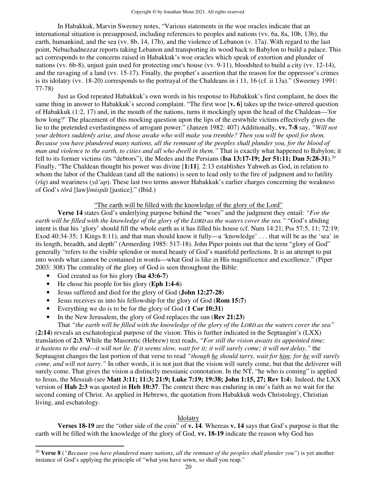In Habakkuk, Marvin Sweeney notes, "Various statements in the woe oracles indicate that an international situation is presupposed, including references to peoples and nations (vv. 6a, 8a, 10b, 13b), the earth, humankind, and the sea (vv. 8b, 14, 17b), and the violence of Lebanon (v. 17a). With regard to the last point, Nebuchadnezzar reports taking Lebanon and transporting its wood back to Babylon to build a palace. This act corresponds to the concerns raised in Habakkuk's woe oracles which speak of extortion and plunder of nations (vv. 6b-8), unjust gain used for protecting one's house (vv. 9-11), bloodshed to build a city (vv. 12-14), and the ravaging of a land (vv. 15-17). Finally, the prophet's assertion that the reason for the oppressor's crimes is its idolatry (vv. 18-20) corresponds to the portrayal of the Chaldeans in i 11, 16 (cf. ii 13a)." (Sweeney 1991: 77-78)

Just as God repeated Habakkuk's own words in his response to Habakkuk's first complaint, he does the same thing in answer to Habakkuk's second complaint. "The first woe [**v. 6**] takes up the twice-uttered question of Habakkuk (1:2, 17) and, in the mouth of the nations, turns it mockingly upon the head of the Chaldean—'for how long?' The placement of this mocking question upon the lips of the erstwhile victims effectively gives the lie to the pretended everlastingness of arrogant power." (Janzen 1982: 407) Additionally, **vv. 7-8** say, *"Will not your debtors suddenly arise, and those awake who will make you tremble? Then you will be spoil for them. Because you have plundered many nations, all the remnant of the peoples shall plunder you, for the blood of man and violence to the earth, to cities and all who dwell in them."* That is exactly what happened to Babylon; it fell to its former victims (its "debtors"), the Medes and the Persians (**Isa 13:17-19; Jer 51:11; Dan 5:28-31**).<sup>20</sup> Finally, "The Chaldean thought his power was divine [**1:11**]. 2:13 establishes Yahweh as God, in relation to whom the labor of the Chaldean (and all the nations) is seen to lead only to the fire of judgment and to futility (*rîq*) and weariness (*yā'ap*). These last two terms answer Habakkuk's earlier charges concerning the weakness of God's *tôrâ* [law]/*mispāt* [justice]." (Ibid.)

#### "The earth will be filled with the knowledge of the glory of the Lord"

**Verse 14** states God's underlying purpose behind the "woes" and the judgment they entail: *"For the earth will be filled with the knowledge of the glory of the LORD as the waters cover the sea."* "God's abiding intent is that his 'glory' should fill the whole earth as it has filled his house (cf. Num 14:21; Pss 57:5, 11; 72:19; Exod 40:34-35; 1 Kings 8:11), and that man should know it fully—a 'knowledge' . . . that will be as the 'sea' in its length, breadth, and depth" (Armerding 1985: 517-18). John Piper points out that the term "glory of God" generally "refers to the visible splendor or moral beauty of God's manifold perfections. It is an attempt to put into words what cannot be contained in words—what God is like in His magnificence and excellence." (Piper 2003: 308) The centrality of the glory of God is seen throughout the Bible:

- God created us for his glory (**Isa 43:6-7**)
- He chose his people for his glory (**Eph 1:4-6**)
- Jesus suffered and died for the glory of God (**John 12:27-28**)
- Jesus receives us into his fellowship for the glory of God (**Rom 15:7**)
- Everything we do is to be for the glory of God (**1 Cor 10:31**)
- In the New Jerusalem, the glory of God replaces the sun (**Rev 21:23**)

That *"the earth will be filled with the knowledge of the glory of the LORD as the waters cover the sea"*  (**2:14**) reveals an eschatological purpose of the vision. This is further indicated in the Septuagint's (LXX) translation of **2:3**. While the Masoretic (Hebrew) text reads, *"For still the vision awaits its appointed time; it hastens to the end—it will not lie. If it seems slow, wait for it; it will surely come; it will not delay,"* the Septuagint changes the last portion of that verse to read *"though he should tarry, wait for him; for he will surely come, and will not tarry."* In other words, it is not just that the vision will surely come, but that the deliverer will surely come. That gives the vision a distinctly messianic connotation. In the NT, "he who is coming" is applied to Jesus, the Messiah (see **Matt 3:11; 11:3; 21:9; Luke 7:19; 19:38; John 1:15, 27; Rev 1:4**). Indeed, the LXX version of **Hab 2:3** was quoted in **Heb 10:37**. The context there was enduring in one's faith as we wait for the second coming of Christ. As applied in Hebrews, the quotation from Habakkuk weds Christology, Christian living, and eschatology.

#### Idolatry

**Verses 18-19** are the "other side of the coin" of **v. 14**. Whereas **v. 14** says that God's purpose is that the earth will be filled with the knowledge of the glory of God, **vv. 18-19** indicate the reason why God has

<sup>20</sup> **Verse 8** (*"Because you have plundered many nations, all the remnant of the peoples shall plunder you"*) is yet another instance of God's applying the principle of "what you have sown, so shall you reap."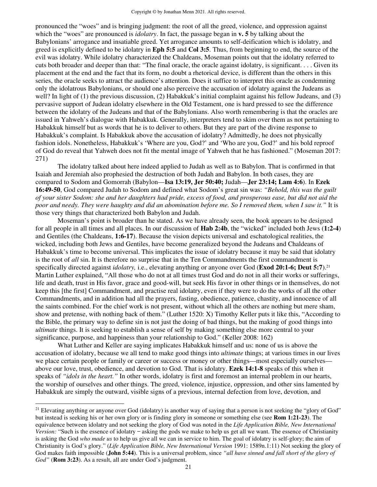pronounced the "woes" and is bringing judgment: the root of all the greed, violence, and oppression against which the "woes" are pronounced is *idolatry*. In fact, the passage began in **v. 5** by talking about the Babylonians' arrogance and insatiable greed. Yet arrogance amounts to self-deification which is idolatry, and greed is explicitly defined to be idolatry in **Eph 5:5** and **Col 3:5**. Thus, from beginning to end, the source of the evil was idolatry. While idolatry characterized the Chaldeans, Moseman points out that the idolatry referred to cuts both broader and deeper than that: "The final oracle, the oracle against idolatry, is significant. . . . Given its placement at the end and the fact that its form, no doubt a rhetorical device, is different than the others in this series, the oracle seeks to attract the audience's attention. Does it suffice to interpret this oracle as condemning only the idolatrous Babylonians, or should one also perceive the accusation of idolatry against the Judeans as well? In light of (1) the previous discussion, (2) Habakkuk's initial complaint against his fellow Judeans, and (3) pervasive support of Judean idolatry elsewhere in the Old Testament, one is hard pressed to see the difference between the idolatry of the Judeans and that of the Babylonians. Also worth remembering is that the oracles are issued in Yahweh's dialogue with Habakkuk. Generally, interpreters tend to skim over them as not pertaining to Habakkuk himself but as words that he is to deliver to others. But they are part of the divine response to Habakkuk's complaint. Is Habakkuk above the accusation of idolatry? Admittedly, he does not physically fashion idols. Nonetheless, Habakkuk's 'Where are you, God?' and 'Who are you, God?' and his bold reproof of God do reveal that Yahweh does not fit the mental image of Yahweh that he has fashioned." (Moseman 2017: 271)

The idolatry talked about here indeed applied to Judah as well as to Babylon. That is confirmed in that Isaiah and Jeremiah also prophesied the destruction of both Judah and Babylon. In both cases, they are compared to Sodom and Gomorrah (Babylon—**Isa 13:19, Jer 50:40;** Judah—**Jer 23:14; Lam 4:6**). In **Ezek 16:49-50**, God compared Judah to Sodom and defined what Sodom's great sin was: *"Behold, this was the guilt of your sister Sodom: she and her daughters had pride, excess of food, and prosperous ease, but did not aid the poor and needy. They were haughty and did an abomination before me. So I removed them, when I saw it."* It is those very things that characterized both Babylon and Judah.

Moseman's point is broader than he stated. As we have already seen, the book appears to be designed for all people in all times and all places. In our discussion of **Hab 2:4b**, the "wicked" included both Jews (**1:2-4**) and Gentiles (the Chaldeans, **1:6-17**). Because the vision depicts universal and eschatological realities, the wicked, including both Jews and Gentiles, have become generalized beyond the Judeans and Chaldeans of Habakkuk's time to become universal. This implicates the issue of idolatry because it may be said that idolatry is the root of *all* sin. It is therefore no surprise that in the Ten Commandments the first commandment is specifically directed against *idolatry,* i.e., elevating anything or anyone over God (**Exod 20:1-6; Deut 5:7**).<sup>21</sup> Martin Luther explained, "All those who do not at all times trust God and do not in all their works or sufferings, life and death, trust in His favor, grace and good-will, but seek His favor in other things or in themselves, do not keep this [the first] Commandment, and practise real idolatry, even if they were to do the works of all the other Commandments, and in addition had all the prayers, fasting, obedience, patience, chastity, and innocence of all the saints combined. For the chief work is not present, without which all the others are nothing but mere sham, show and pretense, with nothing back of them." (Luther 1520: X) Timothy Keller puts it like this, "According to the Bible, the primary way to define sin is not just the doing of bad things, but the making of good things into *ultimate* things. It is seeking to establish a sense of self by making something else more central to your significance, purpose, and happiness than your relationship to God." (Keller 2008: 162)

What Luther and Keller are saying implicates Habakkuk himself and us: none of us is above the accusation of idolatry, because we all tend to make good things into *ultimate* things; at various times in our lives we place certain people or family or career or success or money or other things—most especially ourselves above our love, trust, obedience, and devotion to God. That is idolatry. **Ezek 14:1-8** speaks of this when it speaks of *"idols in the heart."* In other words, idolatry is first and foremost an internal problem in our hearts, the worship of ourselves and other things. The greed, violence, injustice, oppression, and other sins lamented by Habakkuk are simply the outward, visible signs of a previous, internal defection from love, devotion, and

<sup>&</sup>lt;sup>21</sup> Elevating anything or anyone over God (idolatry) is another way of saying that a person is not seeking the "glory of God" but instead is seeking his or her own glory or is finding glory in someone or something else (see **Rom 1:21-23**). The equivalence between idolatry and not seeking the glory of God was noted in the *Life Application Bible, New International Version:* "Such is the essence of idolatry – asking the gods we make to help us get all we want. The essence of Christianity is asking the God *who made us* to help us give all we can in service to him. The goal of idolatry is self-glory; the aim of Christianity is God's glory." (*Life Application Bible, New International Version* 1991: 1589n.1:11) Not seeking the glory of God makes faith impossible (**John 5:44**). This is a universal problem, since *"all have sinned and fall short of the glory of God"* (**Rom 3:23**). As a result, all are under God's judgment.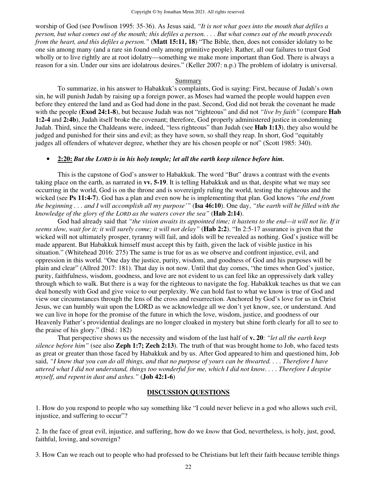worship of God (see Powlison 1995: 35-36). As Jesus said, *"It is not what goes into the mouth that defiles a person, but what comes out of the mouth; this defiles a person. . . . But what comes out of the mouth proceeds from the heart, and this defiles a person."* (**Matt 15:11, 18**) "The Bible, then, does not consider idolatry to be one sin among many (and a rare sin found only among primitive people). Rather, all our failures to trust God wholly or to live rightly are at root idolatry—something we make more important than God. There is always a reason for a sin. Under our sins are idolatrous desires." (Keller 2007: n.p.) The problem of idolatry is universal.

#### Summary

To summarize, in his answer to Habakkuk's complaints, God is saying: First, because of Judah's own sin, he will punish Judah by raising up a foreign power, as Moses had warned the people would happen even before they entered the land and as God had done in the past. Second, God did not break the covenant he made with the people (**Exod 24:1-8**), but because Judah was not "righteous" and did not *"live by faith"* (compare **Hab 1:2-4** and **2:4b**), Judah itself broke the covenant; therefore, God properly administered justice in condemning Judah. Third, since the Chaldeans were, indeed, "less righteous" than Judah (see **Hab 1:13**), they also would be judged and punished for their sins and evil; as they have sown, so shall they reap. In short, God "equitably judges all offenders of whatever degree, whether they are his chosen people or not" (Scott 1985: 340).

## • **2:20:** *But the LORD is in his holy temple; let all the earth keep silence before him.*

This is the capstone of God's answer to Habakkuk. The word "But" draws a contrast with the events taking place on the earth, as narrated in **vv. 5-19**. It is telling Habakkuk and us that, despite what we may see occurring in the world, God is on the throne and is sovereignly ruling the world, testing the righteous and the wicked (see **Ps 11:4-7**). God has a plan and even now he is implementing that plan. God knows *"the end from the beginning . . . and I will accomplish all my purpose'"* (**Isa 46:10**). One day, *"the earth will be filled with the knowledge of the glory of the LORD as the waters cover the sea"* (**Hab 2:14**).

God had already said that *"the vision awaits its appointed time; it hastens to the end—it will not lie. If it seems slow, wait for it; it will surely come; it will not delay"* (**Hab 2:2**). "In 2:5-17 assurance is given that the wicked will not ultimately prosper, tyranny will fail, and idols will be revealed as nothing. God's justice will be made apparent. But Habakkuk himself must accept this by faith, given the lack of visible justice in his situation." (Whitehead 2016: 275) The same is true for us as we observe and confront injustice, evil, and oppression in this world. "One day the justice, purity, wisdom, and goodness of God and his purposes will be plain and clear" (Allred 2017: 181). That day is not now. Until that day comes, "the times when God's justice, purity, faithfulness, wisdom, goodness, and love are not evident to us can feel like an oppressively dark valley through which to walk. But there is a way for the righteous to navigate the fog. Habakkuk teaches us that we can deal honestly with God and give voice to our perplexity. We can hold fast to what we know is true of God and view our circumstances through the lens of the cross and resurrection. Anchored by God's love for us in Christ Jesus, we can humbly wait upon the LORD as we acknowledge all we don't yet know, see, or understand. And we can live in hope for the promise of the future in which the love, wisdom, justice, and goodness of our Heavenly Father's providential dealings are no longer cloaked in mystery but shine forth clearly for all to see to the praise of his glory." (Ibid.: 182)

That perspective shows us the necessity and wisdom of the last half of **v. 20**: *"let all the earth keep silence before him"* (see also **Zeph 1:7; Zech 2:13**). The truth of that was brought home to Job, who faced tests as great or greater than those faced by Habakkuk and by us. After God appeared to him and questioned him, Job said, *"I know that you can do all things, and that no purpose of yours can be thwarted. . . . Therefore I have uttered what I did not understand, things too wonderful for me, which I did not know. . . . Therefore I despise myself, and repent in dust and ashes."* (**Job 42:1-6**)

#### **DISCUSSION QUESTIONS**

1. How do you respond to people who say something like "I could never believe in a god who allows such evil, injustice, and suffering to occur"?

2. In the face of great evil, injustice, and suffering, how do we *know* that God, nevertheless, is holy, just, good, faithful, loving, and sovereign?

3. How Can we reach out to people who had professed to be Christians but left their faith because terrible things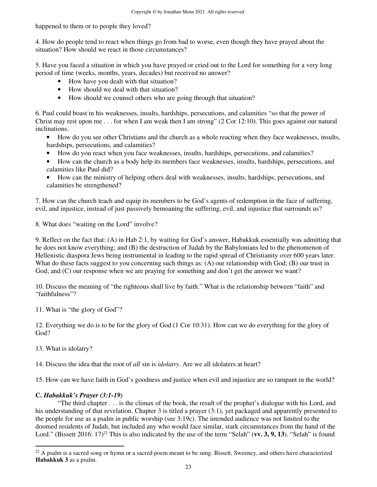happened to them or to people they loved?

4. How do people tend to react when things go from bad to worse, even though they have prayed about the situation? How should we react in those circumstances?

5. Have you faced a situation in which you have prayed or cried out to the Lord for something for a very long period of time (weeks, months, years, decades) but received no answer?

- How have you dealt with that situation?
- How should we deal with that situation?
- How should we counsel others who are going through that situation?

6. Paul could boast in his weaknesses, insults, hardships, persecutions, and calamities "so that the power of Christ may rest upon me . . . for when I am weak then I am strong" (2 Cor 12:10). This goes against our natural inclinations.

• How do you see other Christians and the church as a whole reacting when they face weaknesses, insults, hardships, persecutions, and calamities?

- How do you react when you face weaknesses, insults, hardships, persecutions, and calamities?
- How can the church as a body help its members face weaknesses, insults, hardships, persecutions, and calamities like Paul did?

• How can the ministry of helping others deal with weaknesses, insults, hardships, persecutions, and calamities be strengthened?

7. How can the church teach and equip its members to be God's agents of redemption in the face of suffering, evil, and injustice, instead of just passively bemoaning the suffering, evil, and injustice that surrounds us?

8. What does "waiting on the Lord" involve?

9. Reflect on the fact that: (A) in Hab 2:1, by waiting for God's answer, Habakkuk essentially was admitting that he does not know everything; and (B) the destruction of Judah by the Babylonians led to the phenomenon of Hellenistic diaspora Jews being instrumental in leading to the rapid spread of Christianity over 600 years later. What do these facts suggest to you concerning such things as: (A) our relationship with God; (B) our trust in God; and (C) our response when we are praying for something and don't get the answer we want?

10. Discuss the meaning of "the righteous shall live by faith." What is the relationship between "faith" and "faithfulness"?

11. What is "the glory of God"?

12. Everything we do is to be for the glory of God (1 Cor 10:31). How can we do everything for the glory of God?

13. What is idolatry?

14. Discuss the idea that the root of *all* sin is *idolatry*. Are we all idolaters at heart?

15. How can we have faith in God's goodness and justice when evil and injustice are so rampant in the world?

# **C.** *Habakkuk's Prayer (3:1-19)*

 "The third chapter . . . is the climax of the book, the result of the prophet's dialogue with his Lord, and his understanding of that revelation. Chapter 3 is titled a prayer (3:1), yet packaged and apparently presented to the people for use as a psalm in public worship (see 3:19c). The intended audience was not limited to the doomed residents of Judah, but included any who would face similar, stark circumstances from the hand of the Lord." (Bissett 2016: 17)<sup>22</sup> This is also indicated by the use of the term "Selah" (**vv. 3, 9, 13**). "Selah" is found

 $^{22}$  A psalm is a sacred song or hymn or a sacred poem meant to be sung. Bissett, Sweeney, and others have characterized **Habakkuk 3** as a psalm.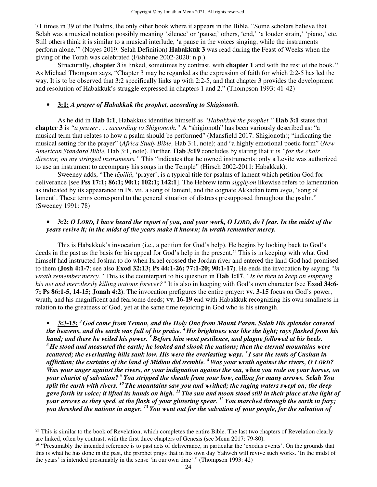71 times in 39 of the Psalms, the only other book where it appears in the Bible. "Some scholars believe that Selah was a musical notation possibly meaning 'silence' or 'pause;' others, 'end,' 'a louder strain,' 'piano,' etc. Still others think it is similar to a musical interlude, 'a pause in the voices singing, while the instruments perform alone.'" (Noyes 2019: Selah Definition) **Habakkuk 3** was read during the Feast of Weeks when the giving of the Torah was celebrated (Fishbane 2002-2020: n.p.).

Structurally, **chapter 3** is linked, sometimes by contrast, with **chapter 1** and with the rest of the book.<sup>23</sup> As Michael Thompson says, "Chapter 3 may be regarded as the expression of faith for which 2:2-5 has led the way. It is to be observed that 3:2 specifically links up with 2:2-5, and that chapter 3 provides the development and resolution of Habakkuk's struggle expressed in chapters 1 and 2." (Thompson 1993: 41-42)

# • **3:1:** *A prayer of Habakkuk the prophet, according to Shigionoth.*

As he did in **Hab 1:1**, Habakkuk identifies himself as *"Habakkuk the prophet."* **Hab 3:1** states that **chapter 3** is *"a prayer . . . according to Shigionoth."* A "shigionoth" has been variously described as: "a musical term that relates to how a psalm should be performed" (Mansfield 2017: Shigionoth); "indicating the musical setting for the prayer" (*Africa Study Bible,* Hab 3:1, note); and "a highly emotional poetic form" (*New American Standard Bible,* Hab 3:1, note). Further, **Hab 3:19** concludes by stating that it is *"for the choir director, on my stringed instruments."* This "indicates that he owned instruments: only a Levite was authorized to use an instrument to accompany his songs in the Temple" (Hirsch 2002-2011: Habakkuk).

Sweeney adds, "The *tĕpillâ*, 'prayer', is a typical title for psalms of lament which petition God for deliverance [see **Pss 17:1; 86:1; 90:1; 102:1; 142:1**]. The Hebrew term *siggäyon* likewise refers to lamentation as indicated by its appearance in Ps. vii, a song of lament, and the cognate Akkadian term *segu*, 'song of lament'. These terms correspond to the general situation of distress presupposed throughout the psalm." (Sweeney 1991: 78)

# • **3:2:** *O LORD, I have heard the report of you, and your work, O LORD, do I fear. In the midst of the years revive it; in the midst of the years make it known; in wrath remember mercy.*

This is Habakkuk's invocation (i.e., a petition for God's help). He begins by looking back to God's deeds in the past as the basis for his appeal for God's help in the present.<sup>24</sup> This is in keeping with what God himself had instructed Joshua to do when Israel crossed the Jordan river and entered the land God had promised to them (**Josh 4:1-7**; see also **Exod 32:13; Ps 44:1-26; 77:1-20; 90:1-17**). He ends the invocation by saying *"in wrath remember mercy."* This is the counterpart to his question in **Hab 1:17**, *"Is he then to keep on emptying his net and mercilessly killing nations forever?"* It is also in keeping with God's own character (see **Exod 34:6- 7; Ps 86:1-5, 14-15; Jonah 4:2**). The invocation prefigures the entire prayer: **vv. 3-15** focus on God's power, wrath, and his magnificent and fearsome deeds; **vv. 16-19** end with Habakkuk recognizing his own smallness in relation to the greatness of God, yet at the same time rejoicing in God who is his strength.

• **3:3-15:** *<sup>3</sup>God came from Teman, and the Holy One from Mount Paran. Selah His splendor covered the heavens, and the earth was full of his praise. <sup>4</sup>His brightness was like the light; rays flashed from his hand; and there he veiled his power. <sup>5</sup>Before him went pestilence, and plague followed at his heels. <sup>6</sup>He stood and measured the earth; he looked and shook the nations; then the eternal mountains were scattered; the everlasting hills sank low. His were the everlasting ways. <sup>7</sup>I saw the tents of Cushan in affliction; the curtains of the land of Midian did tremble. <sup>8</sup>Was your wrath against the rivers, O LORD? Was your anger against the rivers, or your indignation against the sea, when you rode on your horses, on your chariot of salvation? <sup>9</sup>You stripped the sheath from your bow, calling for many arrows. Selah You split the earth with rivers. <sup>10</sup>The mountains saw you and writhed; the raging waters swept on; the deep gave forth its voice; it lifted its hands on high. <sup>11</sup>The sun and moon stood still in their place at the light of your arrows as they sped, at the flash of your glittering spear. <sup>12</sup>You marched through the earth in fury; you threshed the nations in anger. <sup>13</sup>You went out for the salvation of your people, for the salvation of* 

 $^{23}$  This is similar to the book of Revelation, which completes the entire Bible. The last two chapters of Revelation clearly are linked, often by contrast, with the first three chapters of Genesis (see Menn 2017: 79-80).

<sup>&</sup>lt;sup>24</sup> "Presumably the intended reference is to past acts of deliverance, in particular the 'exodus events'. On the grounds that this is what he has done in the past, the prophet prays that in his own day Yahweh will revive such works. 'In the midst of the years' is intended presumably in the sense 'in our own time'." (Thompson 1993: 42)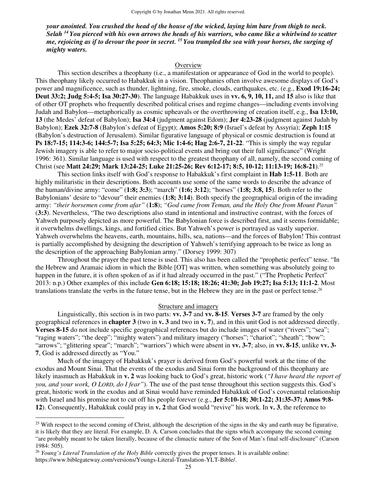*your anointed. You crushed the head of the house of the wicked, laying him bare from thigh to neck. Selah <sup>14</sup>You pierced with his own arrows the heads of his warriors, who came like a whirlwind to scatter me, rejoicing as if to devour the poor in secret. <sup>15</sup>You trampled the sea with your horses, the surging of mighty waters.* 

#### **Overview**

This section describes a theophany (i.e., a manifestation or appearance of God in the world to people). This theophany likely occurred to Habakkuk in a vision. Theophanies often involve awesome displays of God's power and magnificence, such as thunder, lightning, fire, smoke, clouds, earthquakes, etc. (e.g., **Exod 19:16-24; Deut 33:2; Judg 5:4-5; Isa 30:27-30**). The language Habakkuk uses in **vv. 6, 9, 10, 11,** and **15** also is like that of other OT prophets who frequently described political crises and regime changes—including events involving Judah and Babylon—metaphorically as cosmic upheavals or the overthrowing of creation itself, e.g., **Isa 13:10, 13** (the Medes' defeat of Babylon); **Isa 34:4** (judgment against Edom); **Jer 4:23-28** (judgment against Judah by Babylon); **Ezek 32:7-8** (Babylon's defeat of Egypt); **Amos 5:20; 8:9** (Israel's defeat by Assyria); **Zeph 1:15**  (Babylon's destruction of Jerusalem). Similar figurative language of physical or cosmic destruction is found at **Ps 18:7-15; 114:3-6; 144:5-7; Isa 5:25; 64:3; Mic 1:4-6; Hag 2:6-7, 21-22**. "This is simply the way regular Jewish imagery is able to refer to major socio-political events and bring out their full significance" (Wright 1996: 361). Similar language is used with respect to the greatest theophany of all, namely, the second coming of Christ (see **Matt 24:29; Mark 13:24-25; Luke 21:25-26; Rev 6:12-17; 8:5, 10-12; 11:13-19; 16:8-21**).<sup>25</sup>

This section links itself with God's response to Habakkuk's first complaint in **Hab 1:5-11**. Both are highly militaristic in their descriptions. Both accounts use some of the same words to describe the advance of the human/divine army: "come" (**1:8; 3:3**); "march" (**1:6; 3:12**); "horses" (**1:8; 3:8, 15**). Both refer to the Babylonians' desire to "devour" their enemies (**1:8; 3:14**). Both specify the geographical origin of the invading army: *"their horsemen come from afar"* (**1:8**); *"God came from Teman, and the Holy One from Mount Paran"*  (**3:3**). Nevertheless, "The two descriptions also stand in intentional and instructive contrast, with the forces of Yahweh purposely depicted as more powerful. The Babylonian force is described first, and it seems formidable; it overwhelms dwellings, kings, and fortified cities. But Yahweh's power is portrayed as vastly superior. Yahweh overwhelms the heavens, earth, mountains, hills, sea, nations—and the forces of Babylon! This contrast is partially accomplished by designing the description of Yahweh's terrifying approach to be twice as long as the description of the approaching Babylonian army." (Dorsey 1999: 307)

Throughout the prayer the past tense is used. This also has been called the "prophetic perfect" tense. "In the Hebrew and Aramaic idiom in which the Bible [OT] was written, when something was absolutely going to happen in the future, it is often spoken of as if it had already occurred in the past." ("The Prophetic Perfect" 2013: n.p.) Other examples of this include **Gen 6:18; 15:18; 18:26; 41:30; Job 19:27; Isa 5:13; 11:1-2**. Most translations translate the verbs in the future tense, but in the Hebrew they are in the past or perfect tense.<sup>26</sup>

#### Structure and imagery

Linguistically, this section is in two parts: **vv. 3-7** and **vv. 8-15**. **Verses 3-7** are framed by the only geographical references in **chapter 3** (two in **v. 3** and two in **v. 7**), and in this unit God is not addressed directly. **Verses 8-15** do not include specific geographical references but do include images of water ("rivers"; "sea"; "raging waters"; "the deep"; "mighty waters") and military imagery ("horses"; "chariot"; "sheath"; "bow"; "arrows"; "glittering spear"; "march"; "warriors") which were absent in **vv. 3-7**; also, in **vv. 8-15**, unlike **vv. 3- 7**, God is addressed directly as "You."

Much of the imagery of Habakkuk's prayer is derived from God's powerful work at the time of the exodus and Mount Sinai. That the events of the exodus and Sinai form the background of this theophany are likely inasmuch as Habakkuk in **v. 2** was looking back to God's great, historic work (*"I have heard the report of you, and your work, O LORD, do I fear"*). The use of the past tense throughout this section suggests this. God's great, historic work in the exodus and at Sinai would have reminded Habakkuk of God's covenantal relationship with Israel and his promise not to cut off his people forever (e.g., **Jer 5:10-18; 30:1-22; 31:35-37; Amos 9:8-12**). Consequently, Habakkuk could pray in **v. 2** that God would "revive" his work. In **v. 3**, the reference to

<sup>&</sup>lt;sup>25</sup> With respect to the second coming of Christ, although the description of the signs in the sky and earth may be figurative, it is likely that they are literal. For example, D. A. Carson concludes that the signs which accompany the second coming "are probably meant to be taken literally, because of the climactic nature of the Son of Man's final self-disclosure" (Carson 1984: 505).

<sup>26</sup> *Young's Literal Translation of the Holy Bible* correctly gives the proper tenses. It is available online: https://www.biblegateway.com/versions/Youngs-Literal-Translation-YLT-Bible/.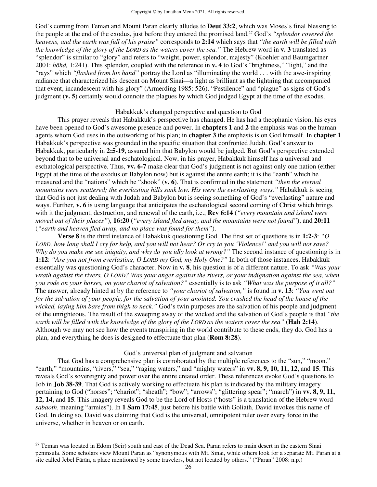God's coming from Teman and Mount Paran clearly alludes to **Deut 33:2**, which was Moses's final blessing to the people at the end of the exodus, just before they entered the promised land.<sup>27</sup> God's *"splendor covered the heavens, and the earth was full of his praise"* corresponds to **2:14** which says that *"the earth will be filled with the knowledge of the glory of the LORD as the waters cover the sea."* The Hebrew word in **v. 3** translated as "splendor" is similar to "glory" and refers to "weight, power, splendor, majesty" (Koehler and Baumgartner 2001: *hōhd,* 1:241). This splendor, coupled with the reference in **v. 4** to God's "brightness," "light," and the "rays" which *"flashed from his hand"* portray the Lord as "illuminating the world . . . with the awe-inspiring radiance that characterized his descent on Mount Sinai—a light as brilliant as the lightning that accompanied that event, incandescent with his glory" (Armerding 1985: 526). "Pestilence" and "plague" as signs of God's judgment (**v. 5**) certainly would connote the plagues by which God judged Egypt at the time of the exodus.

# Habakkuk's changed perspective and question to God

This prayer reveals that Habakkuk's perspective has changed. He has had a theophanic vision; his eyes have been opened to God's awesome presence and power. In **chapters 1** and **2** the emphasis was on the human agents whom God uses in the outworking of his plan; in **chapter 3** the emphasis is on God himself. In **chapter 1** Habakkuk's perspective was grounded in the specific situation that confronted Judah. God's answer to Habakkuk, particularly in **2:5-19**, assured him that Babylon would be judged. But God's perspective extended beyond that to be universal and eschatological. Now, in his prayer, Habakkuk himself has a universal and eschatological perspective. Thus, **vv. 6-7** make clear that God's judgment is not against only one nation (either Egypt at the time of the exodus or Babylon now) but is against the entire earth; it is the "earth" which he measured and the "nations" which he "shook" (**v. 6**). That is confirmed in the statement *"then the eternal mountains were scattered; the everlasting hills sank low. His were the everlasting ways."* Habakkuk is seeing that God is not just dealing with Judah and Babylon but is seeing something of God's "everlasting" nature and ways. Further, **v. 6** is using language that anticipates the eschatological second coming of Christ which brings with it the judgment, destruction, and renewal of the earth, i.e., **Rev 6:14** (*"every mountain and island were moved out of their places"*), **16:20** (*"every island fled away, and the mountains were not found"*), and **20:11**  (*"earth and heaven fled away, and no place was found for them"*).

**Verse 8** is the third instance of Habakkuk questioning God. The first set of questions is in **1:2-3**: *"O LORD, how long shall I cry for help, and you will not hear? Or cry to you 'Violence!' and you will not save? Why do you make me see iniquity, and why do you idly look at wrong?"* The second instance of questioning is in **1:12**: *"Are you not from everlasting, O LORD my God, my Holy One?"* In both of those instances, Habakkuk essentially was questioning God's character. Now in **v. 8**, his question is of a different nature. To ask *"Was your wrath against the rivers, O LORD? Was your anger against the rivers, or your indignation against the sea, when you rode on your horses, on your chariot of salvation?"* essentially is to ask *"What was the purpose of it all?"*  The answer, already hinted at by the reference to *"your chariot of salvation,"* is found in **v. 13**: *"You went out for the salvation of your people, for the salvation of your anointed. You crushed the head of the house of the wicked, laying him bare from thigh to neck."* God's twin purposes are the salvation of his people and judgment of the unrighteous. The result of the sweeping away of the wicked and the salvation of God's people is that *"the earth will be filled with the knowledge of the glory of the LORD as the waters cover the sea"* (**Hab 2:14**). Although we may not see how the events transpiring in the world contribute to these ends, they do. God has a plan, and everything he does is designed to effectuate that plan (**Rom 8:28**).

# God's universal plan of judgment and salvation

That God has a comprehensive plan is corroborated by the multiple references to the "sun," "moon." "earth," "mountains, "rivers," "sea," "raging waters," and "mighty waters" in **vv. 8, 9, 10, 11, 12,** and **15**. This reveals God's sovereignty and power over the entire created order. These references evoke God's questions to Job in **Job 38-39**. That God is actively working to effectuate his plan is indicated by the military imagery pertaining to God ("horses"; "chariot"; "sheath"; "bow"; "arrows"; "glittering spear"; "march") in **vv. 8, 9, 11, 12, 14,** and **15**. This imagery reveals God to be the Lord of Hosts ("hosts" is a translation of the Hebrew word *sabaoth*, meaning "armies"). In **1 Sam 17:45**, just before his battle with Goliath, David invokes this name of God. In doing so, David was claiming that God is the universal, omnipotent ruler over every force in the universe, whether in heaven or on earth.

<sup>&</sup>lt;sup>27</sup> Teman was located in Edom (Seir) south and east of the Dead Sea. Paran refers to main desert in the eastern Sinai peninsula. Some scholars view Mount Paran as "synonymous with Mt. Sinai, while others look for a separate Mt. Paran at a site called Jebel Fārān, a place mentioned by some travelers, but not located by others." ("Paran" 2008: n.p.)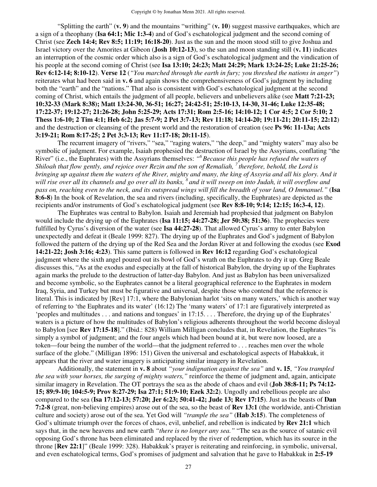"Splitting the earth" (**v. 9**) and the mountains "writhing" (**v. 10**) suggest massive earthquakes, which are a sign of a theophany (**Isa 64:1; Mic 1:3-4**) and of God's eschatological judgment and the second coming of Christ (see **Zech 14:4; Rev 8:5; 11:19; 16:18-20**). Just as the sun and the moon stood still to give Joshua and Israel victory over the Amorites at Gibeon (**Josh 10:12-13**), so the sun and moon standing still (**v. 11**) indicates an interruption of the cosmic order which also is a sign of God's eschatological judgment and the vindication of his people at the second coming of Christ (see **Isa 13:10; 24:23; Matt 24:29; Mark 13:24-25; Luke 21:25-26; Rev 6:12-14; 8:10-12**). **Verse 12** (*"You marched through the earth in fury; you threshed the nations in anger"*) reiterates what had been said in **v. 6** and again shows the comprehensiveness of God's judgment by including both the "earth" and the "nations." That also is consistent with God's eschatological judgment at the second coming of Christ, which entails the judgment of all people, believers and unbelievers alike (see **Matt 7:21-23; 10:32-33 (Mark 8:38); Matt 13:24-30, 36-51; 16:27; 24:42-51; 25:10-13, 14-30, 31-46; Luke 12:35-48; 17:22-37; 19:12-27; 21:26-28; John 5:25-29; Acts 17:31; Rom 2:5-16; 14:10-12; 1 Cor 4:5; 2 Cor 5:10; 2 Thess 1:6-10; 2 Tim 4:1; Heb 6:2; Jas 5:7-9; 2 Pet 3:7-13; Rev 11:18; 14:14-20; 19:11-21; 20:11-15; 22:12**) and the destruction or cleansing of the present world and the restoration of creation (see **Ps 96: 11-13a; Acts 3:19-21; Rom 8:17-25; 2 Pet 3:3-13; Rev 11:17-18; 20:11-15**).

The recurrent imagery of "rivers," "sea," "raging waters," "the deep," and "mighty waters" may also be symbolic of judgment. For example, Isaiah prophesied the destruction of Israel by the Assyrians, conflating "the River" (i.e., the Euphrates) with the Assyrians themselves: *" <sup>6</sup>Because this people has refused the waters of Shiloah that flow gently, and rejoice over Rezin and the son of Remaliah, <sup>7</sup>therefore, behold, the Lord is bringing up against them the waters of the River, mighty and many, the king of Assyria and all his glory. And it will rise over all its channels and go over all its banks, <sup>8</sup>and it will sweep on into Judah, it will overflow and pass on, reaching even to the neck, and its outspread wings will fill the breadth of your land, O Immanuel."* (**Isa 8:6-8**) In the book of Revelation, the sea and rivers (including, specifically, the Euphrates) are depicted as the recipients and/or instruments of God's eschatological judgment (see **Rev 8:8-10; 9:14; 12:15; 16:3-4, 12**).

The Euphrates was central to Babylon. Isaiah and Jeremiah had prophesied that judgment on Babylon would include the drying up of the Euphrates (**Isa 11:15; 44:27-28; Jer 50:38; 51:36**). The prophecies were fulfilled by Cyrus's diversion of the water (see **Isa 44:27-28**). That allowed Cyrus's army to enter Babylon unexpectedly and defeat it (Beale 1999: 827). The drying up of the Euphrates and God's judgment of Babylon followed the pattern of the drying up of the Red Sea and the Jordan River at and following the exodus (see **Exod 14:21-22; Josh 3:16; 4:23**). This same pattern is followed in **Rev 16:12** regarding God's eschatological judgment where the sixth angel poured out its bowl of God's wrath on the Euphrates to dry it up. Greg Beale discusses this, "As at the exodus and especially at the fall of historical Babylon, the drying up of the Euphrates again marks the prelude to the destruction of latter-day Babylon. And just as Babylon has been universalized and become symbolic, so the Euphrates cannot be a literal geographical reference to the Euphrates in modern Iraq, Syria, and Turkey but must be figurative and universal, despite those who contend that the reference is literal. This is indicated by [Rev] 17:1, where the Babylonian harlot 'sits on many waters,' which is another way of referring to 'the Euphrates and its water' (16:12) The 'many waters' of 17:1 are figuratively interpreted as 'peoples and multitudes . . . and nations and tongues' in 17:15. . . . Therefore, the drying up of the Euphrates' waters is a picture of how the multitudes of Babylon's religious adherents throughout the world become disloyal to Babylon [see **Rev 17:15-18**]." (Ibid.: 828) William Milligan concludes that, in Revelation, the Euphrates "is simply a symbol of judgment; and the four angels which had been bound at it, but were now loosed, are a token—four being the number of the world—that the judgment referred to . . . reaches men over the whole surface of the globe." (Milligan 1896: 151) Given the universal and eschatological aspects of Habakkuk, it appears that the river and water imagery is anticipating similar imagery in Revelation.

Additionally, the statement in **v. 8** about *"your indignation against the sea"* and **v. 15**, *"You trampled the sea with your horses, the surging of mighty waters,"* reinforce the theme of judgment and, again, anticipate similar imagery in Revelation. The OT portrays the sea as the abode of chaos and evil (**Job 38:8-11; Ps 74:12- 15; 89:9-10; 104:5-9; Prov 8:27-29; Isa 27:1; 51:9-10; Ezek 32:2**). Ungodly and rebellious people are also compared to the sea (**Isa 17:12-13; 57:20; Jer 6:23; 50:41-42; Jude 13; Rev 17:15**). Just as the beasts of **Dan 7:2-8** (great, non-believing empires) arose out of the sea, so the beast of **Rev 13:1** (the worldwide, anti-Christian culture and society) arose out of the sea. Yet God will *"trample the sea"* (**Hab 3:15**). The completeness of God's ultimate triumph over the forces of chaos, evil, unbelief, and rebellion is indicated by **Rev 21:1** which says that, in the new heavens and new earth *"there is no longer any sea."* "The sea as the source of satanic evil opposing God's throne has been eliminated and replaced by the river of redemption, which has its source in the throne [**Rev 22:1**]" (Beale 1999: 328). Habakkuk's prayer is reiterating and reinforcing, in symbolic, universal, and even eschatological terms, God's promises of judgment and salvation that he gave to Habakkuk in **2:5-19**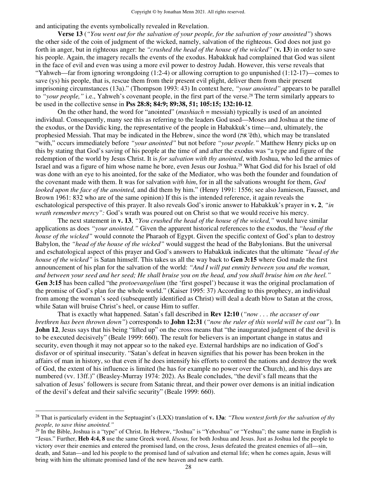and anticipating the events symbolically revealed in Revelation.

**Verse 13** (*"You went out for the salvation of your people, for the salvation of your anointed"*) shows the other side of the coin of judgment of the wicked, namely, salvation of the righteous. God does not just go forth in anger, but in righteous anger: he *"crushed the head of the house of the wicked"* (**v. 13**) in order to save his people. Again, the imagery recalls the events of the exodus. Habakkuk had complained that God was silent in the face of evil and even was using a more evil power to destroy Judah. However, this verse reveals that "Yahweh—far from ignoring wrongdoing (1:2-4) or allowing corruption to go unpunished (1:12-17)—comes to save (ys) his people, that is, rescue them from their present evil plight, deliver them from their present imprisoning circumstances (13a)." (Thompson 1993: 43) In context here, *"your anointed"* appears to be parallel to *"your people*," *i.e.*, Yahweh's covenant people, in the first part of the verse.<sup>28</sup> The term similarly appears to be used in the collective sense in **Pss 28:8; 84:9; 89:38, 51; 105:15; 132:10-12**.

On the other hand, the word for "anointed" (*mashiach* = messiah) typically is used of an anointed individual. Consequently, many see this as referring to the leaders God used—Moses and Joshua at the time of the exodus, or the Davidic king, the representative of the people in Habakkuk's time—and, ultimately, the prophesied Messiah. That may be indicated in the Hebrew, since the word (את' êth), which may be translated "with," occurs immediately before *"your anointed"* but not before *"your people."* Matthew Henry picks up on this by stating that God's saving of his people at the time of and after the exodus was "a type and figure of the redemption of the world by Jesus Christ. It is *for salvation with thy anointed*, with Joshua, who led the armies of Israel and was a figure of him whose name he bore, even Jesus our Joshua.<sup>29</sup> What God did for his Israel of old was done with an eye to his anointed, for the sake of the Mediator, who was both the founder and foundation of the covenant made with them. It was for salvation *with him*, for in all the salvations wrought for them, *God looked upon the face of the anointed,* and did them by him." (Henry 1991: 1556; see also Jamieson, Fausset, and Brown 1961: 832 who are of the same opinion) If this is the intended reference, it again reveals the eschatological perspective of this prayer. It also reveals God's ironic answer to Habakkuk's prayer in **v. 2**, *"in wrath remember mercy*": God's wrath was poured out on Christ so that we would receive his mercy.

The next statement in **v. 13**, *"You crushed the head of the house of the wicked,"* would have similar applications as does *"your anointed."* Given the apparent historical references to the exodus, the *"head of the house of the wicked"* would connote the Pharaoh of Egypt. Given the specific context of God's plan to destroy Babylon, the *"head of the house of the wicked"* would suggest the head of the Babylonians. But the universal and eschatological aspect of this prayer and God's answers to Habakkuk indicates that the ultimate *"head of the house of the wicked"* is Satan himself. This takes us all the way back to **Gen 3:15** where God made the first announcement of his plan for the salvation of the world: *"And I will put enmity between you and the woman, and between your seed and her seed; He shall bruise you on the head, and you shall bruise him on the heel."*  **Gen 3:15** has been called "the *protoevangelium* (the 'first gospel') because it was the original proclamation of the promise of God's plan for the whole world." (Kaiser 1995: 37) According to this prophecy, an individual from among the woman's seed (subsequently identified as Christ) will deal a death blow to Satan at the cross, while Satan will bruise Christ's heel, or cause Him to suffer.

That is exactly what happened. Satan's fall described in **Rev 12:10** (*"now . . . the accuser of our brethren has been thrown down"*) corresponds to **John 12:31** (*"now the ruler of this world will be cast out"*). In **John 12.** Jesus says that his being "lifted up" on the cross means that "the inaugurated judgment of the devil is to be executed decisively" (Beale 1999: 660). The result for believers is an important change in status and security, even though it may not appear so to the naked eye. External hardships are no indication of God's disfavor or of spiritual insecurity. "Satan's defeat in heaven signifies that his power has been broken in the affairs of man in history, so that even if he does intensify his efforts to control the nations and destroy the work of God, the extent of his influence is limited (he has for example no power over the Church), and his days are numbered (vv. 13ff.)" (Beasley-Murray 1974: 202). As Beale concludes, "the devil's fall means that the salvation of Jesus' followers is secure from Satanic threat, and their power over demons is an initial indication of the devil's defeat and their salvific security" (Beale 1999: 660).

<sup>28</sup> That is particularly evident in the Septuagint's (LXX) translation of **v. 13a**: *"Thou wentest forth for the salvation of thy people, to save thine anointed."* 

<sup>&</sup>lt;sup>29</sup> In the Bible, Joshua is a "type" of Christ. In Hebrew, "Joshua" is "Yehoshua" or "Yeshua"; the same name in English is "Jesus." Further, **Heb 4:4, 8** use the same Greek word, *Iēsous,* for both Joshua and Jesus. Just as Joshua led the people to victory over their enemies and entered the promised land, on the cross, Jesus defeated the greatest enemies of all—sin, death, and Satan—and led his people to the promised land of salvation and eternal life; when he comes again, Jesus will bring with him the ultimate promised land of the new heaven and new earth.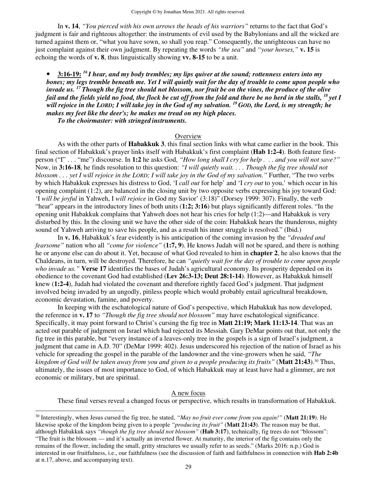In **v. 14**, *"You pierced with his own arrows the heads of his warriors"* returns to the fact that God's judgment is fair and righteous altogether: the instruments of evil used by the Babylonians and all the wicked are turned against them or, "what you have sown, so shall you reap." Consequently, the unrighteous can have no just complaint against their own judgment. By repeating the words *"the sea"* and *"your horses,"* **v. 15** is echoing the words of **v. 8**, thus linguistically showing **vv. 8-15** to be a unit.

• **3:16-19:** *<sup>16</sup>I hear, and my body trembles; my lips quiver at the sound; rottenness enters into my bones; my legs tremble beneath me. Yet I will quietly wait for the day of trouble to come upon people who invade us. <sup>17</sup>Though the fig tree should not blossom, nor fruit be on the vines, the produce of the olive fail and the fields yield no food, the flock be cut off from the fold and there be no herd in the stalls, <sup>18</sup>yet I will rejoice in the LORD; I will take joy in the God of my salvation. <sup>19</sup>GOD, the Lord, is my strength; he makes my feet like the deer's; he makes me tread on my high places. To the choirmaster: with stringed instruments.*

#### **Overview**

As with the other parts of **Habakkuk 3**, this final section links with what came earlier in the book. This final section of Habakkuk's prayer links itself with Habakkuk's first complaint (**Hab 1:2-4**). Both feature firstperson ("I" . . . "me") discourse. In **1:2** he asks God, *"How long shall I cry for help . . . and you will not save?"*  Now, in **3:16-18**, he finds resolution to this question: *"I will quietly wait. . . . Though the fig tree should not blossom . . . yet I will rejoice in the LORD; I will take joy in the God of my salvation."* Further, "The two verbs by which Habakkuk expresses his distress to God, 'I *call out* for help' and 'I *cry out* to you,' which occur in his opening complaint (1:2), are balanced in the closing unit by two opposite verbs expressing his joy toward God: 'I *will be joyful* in Yahweh, I *will rejoice* in God my Savior' (3:18)" (Dorsey 1999: 307). Finally, the verb "hear" appears in the introductory lines of both units (**1:2; 3:16**) but plays significantly different roles. "In the opening unit Habakkuk complains that Yahweh does not hear his cries for help (1:2)—and Habakkuk is very disturbed by this. In the closing unit we have the other side of the coin: Habakkuk hears the thunderous, mighty sound of Yahweh arriving to save his people, and as a result his inner struggle is resolved." (Ibid.)

 In **v. 16**, Habakkuk's fear evidently is his anticipation of the coming invasion by the *"dreaded and fearsome"* nation who all *"come for violence"* (**1:7, 9**). He knows Judah will not be spared, and there is nothing he or anyone else can do about it. Yet, because of what God revealed to him in **chapter 2**, he also knows that the Chaldeans, in turn, will be destroyed. Therefore, he can *"quietly wait for the day of trouble to come upon people who invade us."* **Verse 17** identifies the bases of Judah's agricultural economy. Its prosperity depended on its obedience to the covenant God had established (**Lev 26:3-13; Deut 28:1-14**). However, as Habakkuk himself knew (**1:2-4**), Judah had violated the covenant and therefore rightly faced God's judgment. That judgment involved being invaded by an ungodly, pitiless people which would probably entail agricultural breakdown, economic devastation, famine, and poverty.

 In keeping with the eschatological nature of God's perspective, which Habakkuk has now developed, the reference in **v. 17** to *"Though the fig tree should not blossom"* may have eschatological significance. Specifically, it may point forward to Christ's cursing the fig tree in **Matt 21:19; Mark 11:13-14**. That was an acted out parable of judgment on Israel which had rejected its Messiah. Gary DeMar points out that, not only the fig tree in this parable, but "every instance of a leaves-only tree in the gospels is a sign of Israel's judgment, a judgment that came in A.D. 70" (DeMar 1999: 402). Jesus underscored his rejection of the nation of Israel as his vehicle for spreading the gospel in the parable of the landowner and the vine-growers when he said, *"The kingdom of God will be taken away from you and given to a people producing its fruits"* (**Matt 21:43**).<sup>30</sup> Thus, ultimately, the issues of most importance to God, of which Habakkuk may at least have had a glimmer, are not economic or military, but are spiritual.

# A new focus

These final verses reveal a changed focus or perspective, which results in transformation of Habakkuk.

at n.17, above, and accompanying text).

<sup>30</sup> Interestingly, when Jesus cursed the fig tree, he stated, *"May no fruit ever come from you again!"* (**Matt 21:19**). He likewise spoke of the kingdom being given to a people *"producing its fruit"* (**Matt 21:43**). The reason may be that, although Habakkuk says *"though the fig tree should not blossom"* (**Hab 3:17**), technically, fig trees do not "blossom": "The fruit is the blossom — and it's actually an inverted flower. At maturity, the interior of the fig contains only the remains of the flower, including the small, gritty structures we usually refer to as seeds." (Marks 2016: n.p.) God is interested in our fruitfulness, i.e., our faithfulness (see the discussion of faith and faithfulness in connection with **Hab 2:4b**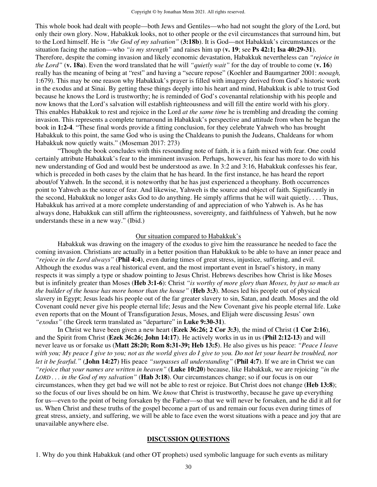This whole book had dealt with people—both Jews and Gentiles—who had not sought the glory of the Lord, but only their own glory. Now, Habakkuk looks, not to other people or the evil circumstances that surround him, but to the Lord himself. He is *"the God of my salvation"* (**3:18b**). It is God—not Habakkuk's circumstances or the situation facing the nation—who *"is my strength"* and raises him up (**v. 19**; see **Ps 42:1; Isa 40:29-31**). Therefore, despite the coming invasion and likely economic devastation, Habakkuk nevertheless can *"rejoice in the Lord"* (**v. 18a**). Even the word translated that he will *"quietly wait"* for the day of trouble to come (**v. 16**) really has the meaning of being at "rest" and having a "secure repose" (Koehler and Baumgartner 2001: *nooagh,*  1:679). This may be one reason why Habakkuk's prayer is filled with imagery derived from God's historic work in the exodus and at Sinai. By getting these things deeply into his heart and mind, Habakkuk is able to trust God because he knows the Lord is trustworthy; he is reminded of God's covenantal relationship with his people and now knows that the Lord's salvation will establish righteousness and will fill the entire world with his glory. This enables Habakkuk to rest and rejoice in the Lord *at the same time* he is trembling and dreading the coming invasion. This represents a complete turnaround in Habakkuk's perspective and attitude from when he began the book in **1:2-4**. "These final words provide a fitting conclusion, for they celebrate Yahweh who has brought Habakkuk to this point, the same God who is using the Chaldeans to punish the Judeans, Chaldeans for whom Habakkuk now quietly waits." (Moseman 2017: 273)

"Though the book concludes with this resounding note of faith, it is a faith mixed with fear. One could certainly attribute Habakkuk's fear to the imminent invasion. Perhaps, however, his fear has more to do with his new understanding of God and would best be understood as awe. In 3:2 and 3:16, Habakkuk confesses his fear, which is preceded in both cases by the claim that he has heard. In the first instance, he has heard the report about/of Yahweh. In the second, it is noteworthy that he has just experienced a theophany. Both occurrences point to Yahweh as the source of fear. And likewise, Yahweh is the source and object of faith. Significantly in the second, Habakkuk no longer asks God to do anything. He simply affirms that he will wait quietly. . . . Thus, Habakkuk has arrived at a more complete understanding of and appreciation of who Yahweh is. As he has always done, Habakkuk can still affirm the righteousness, sovereignty, and faithfulness of Yahweh, but he now understands these in a new way." (Ibid.)

#### Our situation compared to Habakkuk's

Habakkuk was drawing on the imagery of the exodus to give him the reassurance he needed to face the coming invasion. Christians are actually in a better position than Habakkuk to be able to have an inner peace and *"rejoice in the Lord always"* (**Phil 4:4**), even during times of great stress, injustice, suffering, and evil. Although the exodus was a real historical event, and the most important event in Israel's history, in many respects it was simply a type or shadow pointing to Jesus Christ. Hebrews describes how Christ is like Moses but is infinitely greater than Moses (**Heb 3:1-6**): Christ *"is worthy of more glory than Moses, by just so much as the builder of the house has more honor than the house"* (**Heb 3:3**). Moses led his people out of physical slavery in Egypt; Jesus leads his people out of the far greater slavery to sin, Satan, and death. Moses and the old Covenant could never give his people eternal life; Jesus and the New Covenant give his people eternal life. Luke even reports that on the Mount of Transfiguration Jesus, Moses, and Elijah were discussing Jesus' own *"exodus"* (the Greek term translated as "departure" in **Luke 9:30-31**).

In Christ we have been given a new heart (**Ezek 36:26; 2 Cor 3:3**), the mind of Christ (**1 Cor 2:16**), and the Spirit from Christ (**Ezek 36:26; John 14:17**). He actively works in us in us (**Phil 2:12-13**) and will never leave us or forsake us (**Matt 28:20; Rom 8:31-39; Heb 13:5**). He also gives us his peace: *"Peace I leave with you; My peace I give to you; not as the world gives do I give to you. Do not let your heart be troubled, nor let it be fearful."* (**John 14:27**) His peace *"surpasses all understanding"* (**Phil 4:7**). If we are in Christ we can *"rejoice that your names are written in heaven"* (**Luke 10:20**) because, like Habakkuk, we are rejoicing *"in the LORD . . . in the God of my salvation"* (**Hab 3:18**). Our circumstances change; so if our focus is on our circumstances, when they get bad we will not be able to rest or rejoice. But Christ does not change (**Heb 13:8**); so the focus of our lives should be on him. We *know* that Christ is trustworthy, because he gave up everything for us—even to the point of being forsaken by the Father—so that we will never be forsaken, and he did it all for us. When Christ and these truths of the gospel become a part of us and remain our focus even during times of great stress, anxiety, and suffering, we will be able to face even the worst situations with a peace and joy that are unavailable anywhere else.

#### **DISCUSSION QUESTIONS**

1. Why do you think Habakkuk (and other OT prophets) used symbolic language for such events as military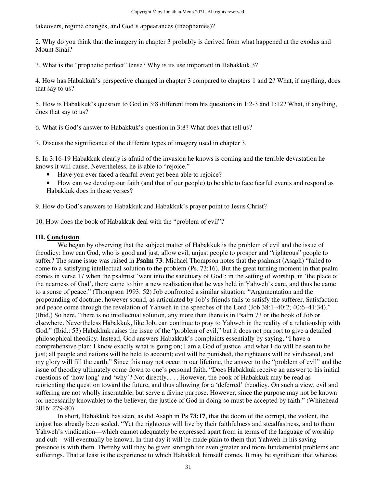takeovers, regime changes, and God's appearances (theophanies)?

2. Why do you think that the imagery in chapter 3 probably is derived from what happened at the exodus and Mount Sinai?

3. What is the "prophetic perfect" tense? Why is its use important in Habakkuk 3?

4. How has Habakkuk's perspective changed in chapter 3 compared to chapters 1 and 2? What, if anything, does that say to us?

5. How is Habakkuk's question to God in 3:8 different from his questions in 1:2-3 and 1:12? What, if anything, does that say to us?

6. What is God's answer to Habakkuk's question in 3:8? What does that tell us?

7. Discuss the significance of the different types of imagery used in chapter 3.

8. In 3:16-19 Habakkuk clearly is afraid of the invasion he knows is coming and the terrible devastation he knows it will cause. Nevertheless, he is able to "rejoice."

- Have you ever faced a fearful event yet been able to rejoice?
- How can we develop our faith (and that of our people) to be able to face fearful events and respond as Habakkuk does in these verses?

9. How do God's answers to Habakkuk and Habakkuk's prayer point to Jesus Christ?

10. How does the book of Habakkuk deal with the "problem of evil"?

# **III. Conclusion**

 We began by observing that the subject matter of Habakkuk is the problem of evil and the issue of theodicy: how can God, who is good and just, allow evil, unjust people to prosper and "righteous" people to suffer? The same issue was raised in **Psalm 73**. Michael Thompson notes that the psalmist (Asaph) "failed to come to a satisfying intellectual solution to the problem (Ps. 73:16). But the great turning moment in that psalm comes in verse 17 when the psalmist 'went into the sanctuary of God': in the setting of worship, in 'the place of the nearness of God', there came to him a new realisation that he was held in Yahweh's care, and thus he came to a sense of peace." (Thompson 1993: 52) Job confronted a similar situation: "Argumentation and the propounding of doctrine, however sound, as articulated by Job's friends fails to satisfy the sufferer. Satisfaction and peace come through the revelation of Yahweh in the speeches of the Lord (Job 38:1–40:2; 40:6–41:34)." (Ibid.) So here, "there is no intellectual solution, any more than there is in Psalm 73 or the book of Job or elsewhere. Nevertheless Habakkuk, like Job, can continue to pray to Yahweh in the reality of a relationship with God." (Ibid.: 53) Habakkuk raises the issue of the "problem of evil," but it does not purport to give a detailed philosophical theodicy. Instead, God answers Habakkuk's complaints essentially by saying, "I have a comprehensive plan; I know exactly what is going on; I am a God of justice, and what I do will be seen to be just; all people and nations will be held to account; evil will be punished, the righteous will be vindicated, and my glory will fill the earth." Since this may not occur in our lifetime, the answer to the "problem of evil" and the issue of theodicy ultimately come down to one's personal faith. "Does Habakkuk receive an answer to his initial questions of 'how long' and 'why'? Not directly. . . . However, the book of Habakkuk may be read as reorienting the question toward the future, and thus allowing for a 'deferred' theodicy. On such a view, evil and suffering are not wholly inscrutable, but serve a divine purpose. However, since the purpose may not be known (or necessarily knowable) to the believer, the justice of God in doing so must be accepted by faith." (Whitehead 2016: 279-80)

In short, Habakkuk has seen, as did Asaph in **Ps 73:17**, that the doom of the corrupt, the violent, the unjust has already been sealed. "Yet the righteous will live by their faithfulness and steadfastness, and to them Yahweh's vindication—which cannot adequately be expressed apart from in terms of the language of worship and cult—will eventually be known. In that day it will be made plain to them that Yahweh in his saving presence is with them. Thereby will they be given strength for even greater and more fundamental problems and sufferings. That at least is the experience to which Habakkuk himself comes. It may be significant that whereas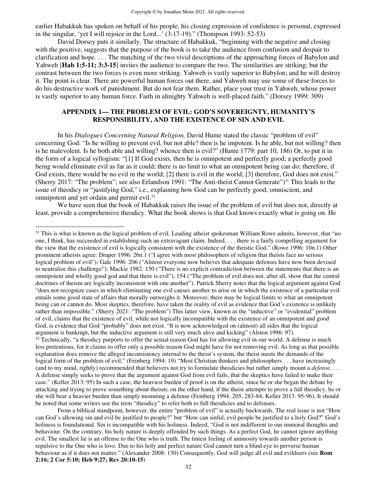earlier Habakkuk has spoken on behalf of his people, his closing expression of confidence is personal, expressed in the singular, 'yet I will rejoice in the Lord...' (3:17-19)." (Thompson 1993: 52-53)

David Dorsey puts it similarly. The structure of Habakkuk, "beginning with the negative and closing with the positive, suggests that the purpose of the book is to take the audience from confusion and despair to clarification and hope. . . . The matching of the two vivid descriptions of the approaching forces of Babylon and Yahweh [**Hab 1:5-11; 3:3-15**] invites the audience to compare the two. The similarities are striking; but the contrast between the two forces is even more striking. Yahweh is vastly superior to Babylon; and he will destroy it. The point is clear. There are powerful human forces out there, and Yahweh may use some of these forces to do his destructive work of punishment. But do not fear them. Rather, place your trust in Yahweh, whose power is vastly superior to any human force. Faith in almighty Yahweh is well-placed faith." (Dorsey 1999: 309)

#### **APPENDIX 1— THE PROBLEM OF EVIL: GOD'S SOVEREIGNTY, HUMANITY'S RESPONSIBILITY, AND THE EXISTENCE OF SIN AND EVIL**

In his *Dialogues Concerning Natural Religion,* David Hume stated the classic "problem of evil" concerning God: "Is he willing to prevent evil, but not able? then is he impotent. Is he able, but not willing? then is he malevolent. Is he both able and willing? whence then is evil?" (Hume 1779: part 10, 186) Or, to put it in the form of a logical syllogism: "[1] If God exists, then he is omnipotent and perfectly good; a perfectly good being would eliminate evil as far as it could; there is no limit to what an omnipotent being can do; therefore, if God exists, there would be no evil in the world; [2] there is evil in the world; [3] therefore, God does not exist." (Sherry 2017: "The problem"; see also Erlandson 1991: "The Anti-theist Cannot Generate")<sup>31</sup> This leads to the issue of theodicy or "justifying God," i.e., explaining how God can be perfectly good, omniscient, and omnipotent and yet ordain and permit evil.<sup>32</sup>

We have seen that the book of Habakkuk raises the issue of the problem of evil but does not, directly at least, provide a comprehensive theodicy. What the book shows is that God knows exactly what is going on. He

be noted that some writers use the term "theodicy" to refer both to full theodicies and to defenses.

 $31$  This is what is known as the logical problem of evil. Leading atheist spokesman William Rowe admits, however, that "no one, I think, has succeeded in establishing such an extravagant claim. Indeed, . . . there is a fairly compelling argument for the view that the existence of evil is logically consistent with the existence of the theistic God." (Rowe 1996: 10n.1) Other prominent atheists agree: Draper 1996: 26n.1 ("I agree with most philosophers of religion that theists face no serious logical problem of evil"); Gale 1996: 206 ("Almost everyone now believes that adequate defenses have now been devised to neutralize this challenge"); Mackie 1982: 150 ("There is no explicit contradiction between the statements that there is an omnipotent and wholly good god and that there is evil"), 154 ("The problem of evil does not, after all, show that the central doctrines of theism are logically inconsistent with one another"). Patrick Sherry notes that the logical argument against God "does not recognize cases in which eliminating one evil causes another to arise or in which the existence of a particular evil entails some good state of affairs that morally outweighs it. Moreover, there may be logical limits to what an omnipotent being can or cannot do. Most skeptics, therefore, have taken the reality of evil as evidence that God's existence is unlikely rather than impossible." (Sherry 2021: "The problem") This latter view, known as the "inductive" or "evidential" problem of evil, claims that the existence of evil, while not logically incompatible with the existence of an omnipotent and good God, is evidence that God "probably" does not exist. "It is now acknowledged on (almost) all sides that the logical argument is bankrupt, but the inductive argument is still very much alive and kicking" (Alston 1996: 97).  $32$  Technically, "a theodicy purports to offer the actual reason God has for allowing evil in our world. A defense is much less pretentious, for it claims to offer only a possible reason God might have for not removing evil. As long as that possible explanation does remove the alleged inconsistency internal to the theist's system, the theist meets the demands of the logical form of the problem of evil." (Feinberg 1994: 19) "Most Christian thinkers and philosophers . . . have increasingly (and to my mind, rightly) recommended that believers not try to formulate theodicies but rather simply mount a *defense*. . . . A defense simply seeks to prove that the argument against God from evil fails, that the skeptics have failed to make their case." (Keller 2013: 95) In such a case, the heaviest burden of proof is on the atheist, since he or she began the debate by attacking and trying to prove something about theism; on the other hand, if the theist attempts to prove a full theodicy, he or she will bear a heavier burden than simply mounting a defense (Feinberg 1994: 205, 283-84; Keller 2013: 95-96). It should

From a biblical standpoint, however, the entire "problem of evil" is actually backwards. The real issue is not "How can God's allowing sin and evil be justified to people?" but "How can sinful, evil people be justified to a holy God?" God's holiness is foundational. Sin is incompatible with his holiness. Indeed, "God is not indifferent to our immoral thoughts and behaviour. On the contrary, his holy nature is deeply offended by such things. As a perfect God, he cannot ignore anything evil. The smallest lie is an offense to the One who is truth. The tiniest feeling of animosity towards another person is repulsive to the One who is love. Due to his holy and perfect nature God cannot turn a blind eye to perverse human behaviour as if it does not matter." (Alexander 2008: 130) Consequently, God will judge all evil and evildoers (see **Rom 2:16; 2 Cor 5:10; Heb 9:27; Rev 20:10-15**)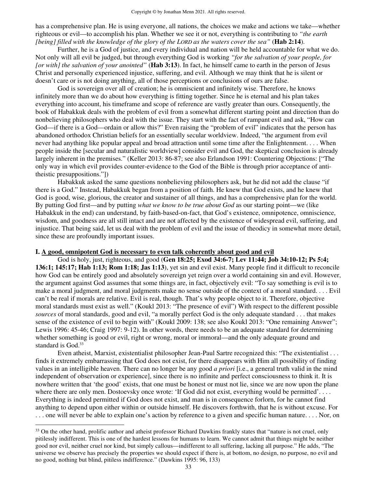has a comprehensive plan. He is using everyone, all nations, the choices we make and actions we take—whether righteous or evil—to accomplish his plan. Whether we see it or not, everything is contributing to *"the earth [being] filled with the knowledge of the glory of the LORD as the waters cover the sea"* (**Hab 2:14**).

Further, he is a God of justice, and every individual and nation will be held accountable for what we do. Not only will all evil be judged, but through everything God is working *"for the salvation of your people, for [or with] the salvation of your anointed"* (**Hab 3:13**). In fact, he himself came to earth in the person of Jesus Christ and personally experienced injustice, suffering, and evil. Although we may think that he is silent or doesn't care or is not doing anything, all of those perceptions or conclusions of ours are false.

God is sovereign over all of creation; he is omniscient and infinitely wise. Therefore, he knows infinitely more than we do about how everything is fitting together. Since he is eternal and his plan takes everything into account, his timeframe and scope of reference are vastly greater than ours. Consequently, the book of Habakkuk deals with the problem of evil from a somewhat different starting point and direction than do nonbelieving philosophers who deal with the issue. They start with the fact of rampant evil and ask, "How can God—if there is a God—ordain or allow this?" Even raising the "problem of evil" indicates that the person has abandoned orthodox Christian beliefs for an essentially secular worldview. Indeed, "the argument from evil never had anything like popular appeal and broad attraction until some time after the Enlightenment. . . . When people inside the [secular and naturalistic worldview] consider evil and God, the skeptical conclusion is already largely inherent in the premises." (Keller 2013: 86-87; see also Erlandson 1991: Countering Objections: ["The only way in which evil provides counter-evidence to the God of the Bible is through prior acceptance of antitheistic presuppositions."])

Habakkuk asked the same questions nonbelieving philosophers ask, but he did not add the clause "if there is a God." Instead, Habakkuk began from a position of faith. He knew that God exists, and he knew that God is good, wise, glorious, the creator and sustainer of all things, and has a comprehensive plan for the world. By putting God first—and by putting *what we know to be true about God* as our starting point—we (like Habakkuk in the end) can understand, by faith-based-on-fact, that God's existence, omnipotence, omniscience, wisdom, and goodness are all still intact and are not affected by the existence of widespread evil, suffering, and injustice. That being said, let us deal with the problem of evil and the issue of theodicy in somewhat more detail, since these are profoundly important issues.

#### **I. A good, omnipotent God is necessary to even talk coherently about good and evil**

 God is holy, just, righteous, and good (**Gen 18:25; Exod 34:6-7; Lev 11:44; Job 34:10-12; Ps 5:4; 136:1; 145:17; Hab 1:13; Rom 1:18; Jas 1:13**), yet sin and evil exist. Many people find it difficult to reconcile how God can be entirely good and absolutely sovereign yet reign over a world containing sin and evil. However, the argument against God assumes that some things are, in fact, objectively evil: "To say something is evil is to make a moral judgment, and moral judgments make no sense outside of the context of a moral standard. . . . Evil can't be real if morals are relative. Evil is real, though. That's why people object to it. Therefore, objective moral standards must exist as well." (Koukl 2013: "The presence of evil") With respect to the different possible *sources* of moral standards, good and evil, "a morally perfect God is the only adequate standard . . . that makes sense of the existence of evil to begin with" (Koukl 2009: 138; see also Koukl 2013: "One remaining Answer"; Lewis 1996: 45-46; Craig 1997: 9-12). In other words, there needs to be an adequate standard for determining whether something is good or evil, right or wrong, moral or immoral—and the only adequate ground and standard is God.<sup>33</sup>

Even atheist, Marxist, existentialist philosopher Jean-Paul Sartre recognized this: "The existentialist . . . finds it extremely embarrassing that God does not exist, for there disappears with Him all possibility of finding values in an intelligible heaven. There can no longer be any good *a priori* [i.e., a general truth valid in the mind independent of observation or experience], since there is no infinite and perfect consciousness to think it. It is nowhere written that 'the good' exists, that one must be honest or must not lie, since we are now upon the plane where there are only men. Dostoevsky once wrote: 'If God did not exist, everything would be permitted'.... Everything is indeed permitted if God does not exist, and man is in consequence forlorn, for he cannot find anything to depend upon either within or outside himself. He discovers forthwith, that he is without excuse. For . . . one will never be able to explain one's action by reference to a given and specific human nature. . . . Nor, on

<sup>&</sup>lt;sup>33</sup> On the other hand, prolific author and atheist professor Richard Dawkins frankly states that "nature is not cruel, only pitilessly indifferent. This is one of the hardest lessons for humans to learn. We cannot admit that things might be neither good nor evil, neither cruel nor kind, but simply callous—indifferent to all suffering, lacking all purpose." He adds, "The universe we observe has precisely the properties we should expect if there is, at bottom, no design, no purpose, no evil and no good, nothing but blind, pitiless indifference." (Dawkins 1995: 96, 133)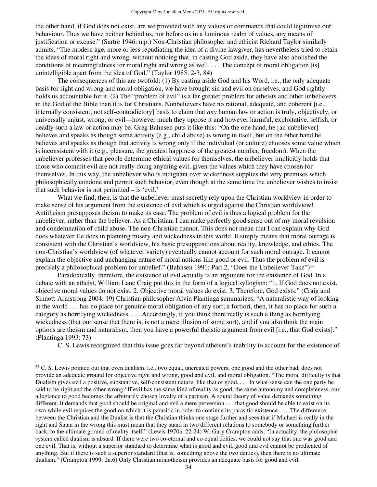the other hand, if God does not exist, are we provided with any values or commands that could legitimise our behaviour. Thus we have neither behind us, nor before us in a luminous realm of values, any means of justification or excuse." (Sartre 1946: n.p.) Non-Christian philosopher and ethicist Richard Taylor similarly admits, "The modern age, more or less repudiating the idea of a divine lawgiver, has nevertheless tried to retain the ideas of moral right and wrong, without noticing that, in casting God aside, they have also abolished the conditions of meaningfulness for moral right and wrong as well. . . . The concept of moral obligation [is] unintelligible apart from the idea of God." (Taylor 1985: 2-3, 84)

The consequences of this are twofold: (1) By casting aside God and his Word, i.e., the only adequate basis for right and wrong and moral obligation, we have brought sin and evil on ourselves, and God rightly holds us accountable for it. (2) The "problem of evil" is a far greater problem for atheists and other unbelievers in the God of the Bible than it is for Christians. Nonbelievers have no rational, adequate, and coherent [i.e., internally consistent; not self-contradictory] basis to claim that *any* human law or action is truly, objectively, or universally unjust, wrong, or evil—however much they oppose it and however harmful, exploitative, selfish, or deadly such a law or action may be. Greg Bahnsen puts it like this: "On the one hand, he [an unbeliever] believes and speaks as though some activity (e.g., child abuse) is wrong in itself, but on the other hand he believes and speaks as though that activity is wrong only if the individual (or culture) chooses some value which is inconsistent with it (e.g., pleasure, the greatest happiness of the greatest number, freedom). When the unbeliever professes that people determine ethical values for themselves, the unbeliever implicitly holds that those who commit evil are not really doing anything evil, given the values which they have chosen for themselves. In this way, the unbeliever who is indignant over wickedness supplies the very premises which philosophically condone and permit such behavior, even though at the same time the unbeliever wishes to insist that such behavior is not permitted  $-$  is 'evil.'

What we find, then, is that the unbeliever must secretly rely upon the Christian worldview in order to make sense of his argument from the existence of evil which is urged against the Christian worldview! Antitheism presupposes theism to make its case. The problem of evil is thus a logical problem for the unbeliever, rather than the believer. As a Christian, I can make perfectly good sense out of my moral revulsion and condemnation of child abuse. The non-Christian cannot. This does not mean that I can explain why God does whatever He does in planning misery and wickedness in this world. It simply means that moral outrage is consistent with the Christian's worldview, his basic presuppositions about reality, knowledge, and ethics. The non-Christian's worldview (of whatever variety) eventually cannot account for such moral outrage. It cannot explain the objective and unchanging nature of moral notions like good or evil. Thus the problem of evil is precisely a philosophical problem for unbelief." (Bahnsen 1991: Part 2, "Does the Unbeliever Take")<sup>34</sup>

Paradoxically, therefore, the existence of evil actually is an argument for the existence of God. In a debate with an atheist, William Lane Craig put this in the form of a logical syllogism: "1. If God does not exist, objective moral values do not exist. 2. Objective moral values do exist. 3. Therefore, God exists." (Craig and Sinnott-Armstrong 2004: 19) Christian philosopher Alvin Plantinga summarizes, "A naturalistic way of looking at the world . . . has no place for genuine moral obligation of any sort; a fortiori, then, it has no place for such a category as horrifying wickedness. . . . Accordingly, if you think there really is such a thing as horrifying wickedness (that our sense that there is, is not a mere illusion of some sort), and if you also think the main options are theism and naturalism, then you have a powerful theistic argument from evil [i.e., that God exists]." (Plantinga 1993: 73)

C. S. Lewis recognized that this issue goes far beyond atheism's inability to account for the existence of

<sup>&</sup>lt;sup>34</sup> C. S. Lewis pointed out that even dualism, i.e., two equal, uncreated powers, one good and the other bad, does not provide an adequate ground for objective right and wrong, good and evil, and moral obligation. "The moral difficulty is that Dualism gives evil a positive, substantive, self-consistent nature, like that of good. . . . In what sense can the one party be said to be right and the other wrong? If evil has the same kind of reality as good, the same autonomy and completeness, our allegiance to good becomes the arbitrarily chosen loyalty of a partisan. A sound theory of value demands something different. It demands that good should be original and evil a mere perversion . . . that good should be able to exist on its own while evil requires the good on which it is parasitic in order to continue its parasitic existence. . . . The difference between the Christian and the Dualist is that the Christian thinks one stage further and sees that if Michael is really in the right and Satan in the wrong this must mean that they stand in two different relations to somebody or something further back, to the ultimate ground of reality itself." (Lewis 1970a: 22-24) W. Gary Crampton adds, "In actuality, the philosophic system called dualism is absurd. If there were two co-eternal and co-equal deities, we could not say that one was good and one evil. That is, without a superior standard to determine what is good and evil, good and evil cannot be predicated of anything. But if there is such a superior standard (that is, something above the two deities), then there is no ultimate dualism." (Crampton 1999: 2n.6) Only Christian monotheism provides an adequate basis for good and evil.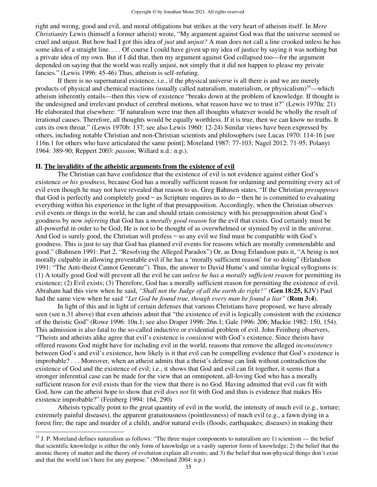right and wrong, good and evil, and moral obligations but strikes at the very heart of atheism itself. In *Mere Christianity* Lewis (himself a former atheist) wrote, "My argument against God was that the universe seemed so cruel and unjust. But how had I got this idea of *just* and *unjust?* A man does not call a line crooked unless he has some idea of a straight line. . . . Of course I could have given up my idea of justice by saying it was nothing but a private idea of my own. But if I did that, then my argument against God collapsed too—for the argument depended on saying that the world was really unjust, not simply that it did not happen to please my private fancies." (Lewis 1996: 45-46) Thus, atheism is self-refuting.

If there is no supernatural existence, i.e., if the physical universe is all there is and we are merely products of physical and chemical reactions (usually called naturalism, materialism, or physicalism) $35$ —which atheism inherently entails—then this view of existence "breaks down at the problem of knowledge. If thought is the undesigned and irrelevant product of cerebral motions, what reason have we to trust it?" (Lewis 1970a: 21) He elaborated that elsewhere: "If naturalism were true then all thoughts whatever would be wholly the result of irrational causes. Therefore, all thoughts would be equally worthless. If it is true, then we can know no truths. It cuts its own throat." (Lewis 1970b: 137; see also Lewis 1960: 12-24) Similar views have been expressed by others, including notable Christian and non-Christian scientists and philosophers (see Lucas 1970: 114-16 [see 116n.1 for others who have articulated the same point]; Moreland 1987: 77-103; Nagel 2012: 71-95; Polanyi 1964: 389-90; Reppert 2003: *passim*; Willard n.d.: n.p.).

## **II. The invalidity of the atheistic arguments from the existence of evil**

 The Christian can have confidence that the existence of evil is not evidence against either God's existence *or his goodness,* because God has a morally sufficient reason for ordaining and permitting every act of evil even though he may not have revealed that reason to us. Greg Bahnsen states, "If the Christian *presupposes* that God is perfectly and completely good  $-$  as Scripture requires us to do  $-$  then he is committed to evaluating everything within his experience in the light of that presupposition. Accordingly, when the Christian observes evil events or things in the world, he can and should retain consistency with his presupposition about God's goodness by now *inferring* that God has a *morally good reason* for the evil that exists. God certainly must be all-powerful in order to be God; He is not to be thought of as overwhelmed or stymied by evil in the universe. And God is surely good, the Christian will profess – so any evil we find must be compatible with God's goodness. This is just to say that God has planned evil events for reasons which are morally commendable and good." (Bahnsen 1991: Part 2, "Resolving the Alleged Paradox") Or, as Doug Erlandson puts it, "A being is not morally culpable in allowing preventable evil if he has a 'morally sufficient reason' for so doing" (Erlandson 1991: "The Anti-theist Cannot Generate"). Thus, the answer to David Hume's and similar logical syllogisms is: (1) A totally good God will prevent all the evil he can *unless he has a morally sufficient reason* for permitting its existence; (2) Evil exists; (3) Therefore, God has a morally sufficient reason for permitting the existence of evil. Abraham had this view when he said, *"Shall not the Judge of all the earth do right?"* (**Gen 18:25,** KJV) Paul had the same view when he said *"Let God be found true, though every man be found a liar"* (**Rom 3:4**).

In light of this and in light of certain defenses that various Christians have proposed, we have already seen (see n.31 above) that even atheists admit that "the existence of evil is logically consistent with the existence of the theistic God" (Rowe 1996: 10n.1; see also Draper 1996: 26n.1; Gale 1996: 206; Mackie 1982: 150, 154). This admission is also fatal to the so-called inductive or evidential problem of evil. John Feinberg observers, "Theists and atheists alike agree that evil's existence is *consistent* with God's existence. Since theists have offered reasons God might have for including evil in the world, reasons that remove the alleged *inconsistency* between God's and evil's existence, how likely is it that evil can be compelling evidence that God's existence is improbable? . . . Moreover, when an atheist admits that a theist's defense can link without contradiction the existence of God and the existence of evil; i.e., it shows that God and evil can fit together, it seems that a stronger inferential case can be made for the view that an omnipotent, all-loving God who has a morally sufficient reason for evil exists than for the view that there is no God. Having admitted that evil *can* fit with God, how can the atheist hope to show that evil *does not* fit with God and thus is evidence that makes His existence improbable?" (Feinberg 1994: 164, 290)

Atheists typically point to the great quantity of evil in the world, the intensity of much evil (e.g., torture; extremely painful diseases), the apparent gratuitousness (pointlessness) of much evil (e.g., a fawn dying in a forest fire; the rape and murder of a child), and/or natural evils (floods; earthquakes; diseases) in making their

 $35$  J. P. Moreland defines naturalism as follows: "The three major components to naturalism are 1) scientism — the belief that scientific knowledge is either the only form of knowledge or a vastly superior form of knowledge; 2) the belief that the atomic theory of matter and the theory of evolution explain all events; and 3) the belief that non-physical things don't exist and that the world isn't here for any purpose." (Moreland 2004: n.p.)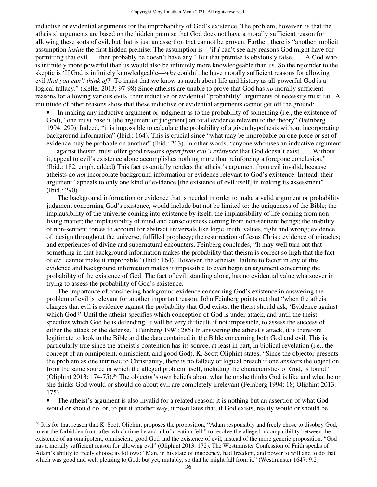inductive or evidential arguments for the improbability of God's existence. The problem, however, is that the atheists' arguments are based on the hidden premise that God does not have a morally sufficient reason for allowing these sorts of evil, but that is just an assertion that cannot be proven. Further, there is "another implicit assumption *inside* the first hidden premise. The assumption is—'if *I* can't see any reasons God might have for permitting that evil . . . then probably he doesn't have any.' But that premise is obviously false. . . . A God who is infinitely more powerful than us would also be infinitely more knowledgeable than us. So the rejoinder to the skeptic is 'If God is infinitely knowledgeable—*why* couldn't he have morally sufficient reasons for allowing evil *that you can't think of*?' To insist that we know as much about life and history as all-powerful God is a logical fallacy." (Keller 2013: 97-98) Since atheists are unable to prove that God has *no* morally sufficient reasons for allowing various evils, their inductive or evidential "probability" arguments of necessity must fail. A multitude of other reasons show that these inductive or evidential arguments cannot get off the ground:

In making any inductive argument or judgment as to the probability of something (i.e., the existence of God), "one must base it [the argument or judgment] on total evidence relevant to the theory" (Feinberg 1994: 290). Indeed, "it is impossible to calculate the probability of a given hypothesis without incorporating background information" (Ibid.: 164). This is crucial since "what may be improbable on one piece or set of evidence may be probable on another" (Ibid.: 213). In other words, "anyone who uses an inductive argument . . . against theism, must offer good reasons *apart from evil's existence* that God doesn't exist. . . . Without it, appeal to evil's existence alone accomplishes nothing more than reinforcing a foregone conclusion." (Ibid.: 182, emph. added) This fact essentially renders the atheist's argument from evil invalid, because atheists do *not* incorporate background information or evidence relevant to God's existence. Instead, their argument "appeals to only one kind of evidence [the existence of evil itself] in making its assessment" (Ibid.: 290).

The background information or evidence that is needed in order to make a valid argument or probability judgment concerning God's existence, would include but not be limited to: the uniqueness of the Bible; the implausibility of the universe coming into existence by itself; the implausibility of life coming from nonliving matter; the implausibility of mind and consciousness coming from non-sentient beings; the inability of non-sentient forces to account for abstract universals like logic, truth, values, right and wrong; evidence of design throughout the universe; fulfilled prophecy; the resurrection of Jesus Christ; evidence of miracles; and experiences of divine and supernatural encounters. Feinberg concludes, "It may well turn out that something in that background information makes the probability that theism is correct so high that the fact of evil cannot make it improbable" (Ibid.: 164). However, the atheists' failure to factor in any of this evidence and background information makes it impossible to even begin an argument concerning the probability of the existence of God. The fact of evil, standing alone, has no evidential value whatsoever in trying to assess the probability of God's existence.

The importance of considering background evidence concerning God's existence in answering the problem of evil is relevant for another important reason. John Feinberg points out that "when the atheist charges that evil is evidence against the probability that God exists, the theist should ask, 'Evidence against which God?' Until the atheist specifies which conception of God is under attack, and until the theist specifies which God he is defending, it will be very difficult, if not impossible, to assess the success of either the attack or the defense." (Feinberg 1994: 285) In answering the atheist's attack, it is therefore legitimate to look to the Bible and the data contained in the Bible concerning both God and evil. This is particularly true since the atheist's contention has its source, at least in part, in biblical revelation (i.e., the concept of an omnipotent, omniscient, and good God). K. Scott Oliphint states, "Since the objector presents the problem as one intrinsic to Christianity, there is no fallacy or logical breach if one answers the objection from the same source in which the alleged problem itself, including the characteristics of God, is found" (Oliphint 2013: 174-75).<sup>36</sup> The objector's own beliefs about what he or she thinks God is like and what he or she thinks God would or should do about evil are completely irrelevant (Feinberg 1994: 18; Oliphint 2013: 175).

• The atheist's argument is also invalid for a related reason: it is nothing but an assertion of what God would or should do, or, to put it another way, it postulates that, if God exists, reality would or should be

<sup>&</sup>lt;sup>36</sup> It is for that reason that K. Scott Oliphint proposes the proposition, "Adam responsibly and freely chose to disobey God, to eat the forbidden fruit, after which time he and all of creation fell," to resolve the alleged incompatibility between the existence of an omnipotent, omniscient, good God and the existence of evil, instead of the more generic proposition, "God has a morally sufficient reason for allowing evil" (Oliphint 2013: 172). The Westminster Confession of Faith speaks of Adam's ability to freely choose as follows: "Man, in his state of innocency, had freedom, and power to will and to do that which was good and well pleasing to God; but yet, mutably, so that he might fall from it." (Westminster 1647: 9.2)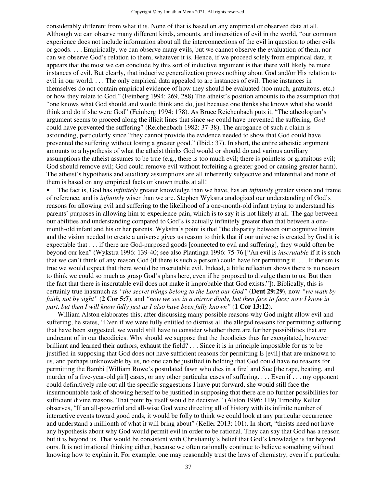considerably different from what it is. None of that is based on any empirical or observed data at all. Although we can observe many different kinds, amounts, and intensities of evil in the world, "our common experience does not include information about all the interconnections of the evil in question to other evils or goods. . . . Empirically, we can observe many evils, but we cannot observe the evaluation of them, nor can we observe God's relation to them, whatever it is. Hence, if we proceed solely from empirical data, it appears that the most we can conclude by this sort of inductive argument is that there will likely be more instances of evil. But clearly, that inductive generalization proves nothing about God and/or His relation to evil in our world. . . . The only empirical data appealed to are instances of evil. Those instances in themselves do not contain empirical evidence of how they should be evaluated (too much, gratuitous, etc.) or how they relate to God." (Feinberg 1994: 269, 288) The atheist's position amounts to the assumption that "one knows what God should and would think and do, just because one thinks she knows what she would think and do if she were God" (Feinberg 1994: 178). As Bruce Reichenbach puts it, "The atheologian's argument seems to proceed along the illicit lines that since *we* could have prevented the suffering, *God* could have prevented the suffering" (Reichenbach 1982: 37-38). The arrogance of such a claim is astounding, particularly since "they cannot provide the evidence needed to show that God could have prevented the suffering without losing a greater good." (Ibid.: 37). In short, the entire atheistic argument amounts to a hypothesis of what the atheist thinks God would or should do and various auxiliary assumptions the atheist assumes to be true (e.g., there is too much evil; there is pointless or gratuitous evil; God should remove evil; God could remove evil without forfeiting a greater good or causing greater harm). The atheist's hypothesis and auxiliary assumptions are all inherently subjective and inferential and none of them is based on any empirical facts or known truths at all!

• The fact is, God has *infinitely* greater knowledge than we have, has an *infinitely* greater vision and frame of reference, and is *infinitely* wiser than we are. Stephen Wykstra analogized our understanding of God's reasons for allowing evil and suffering to the likelihood of a one-month-old infant trying to understand his parents' purposes in allowing him to experience pain, which is to say it is not likely at all. The gap between our abilities and understanding compared to God's is actually infinitely greater than that between a onemonth-old infant and his or her parents. Wykstra's point is that "the disparity between our cognitive limits and the vision needed to create a universe gives us reason to think that if our universe is created by God it is expectable that . . . if there are God-purposed goods [connected to evil and suffering], they would often be beyond our ken" (Wykstra 1996: 139-40; see also Plantinga 1996: 75-76 ["An evil is *inscrutable* if it is such that we can't think of any reason God (if there is such a person) could have for permitting it. . . . If theism is true we would expect that there would be inscrutable evil. Indeed, a little reflection shows there is no reason to think we could so much as grasp God's plans here, even if he proposed to divulge them to us. But then the fact that there is inscrutable evil does not make it improbable that God exists."]). Biblically, this is certainly true inasmuch as *"the secret things belong to the Lord our God"* (**Deut 29:29**), now *"we walk by faith, not by sight"* (**2 Cor 5:7**), and *"now we see in a mirror dimly, but then face to face; now I know in part, but then I will know fully just as I also have been fully known"* (**1 Cor 13:12**).

William Alston elaborates this; after discussing many possible reasons why God might allow evil and suffering, he states, "Even if we were fully entitled to dismiss all the alleged reasons for permitting suffering that have been suggested, we would still have to consider whether there are further possibilities that are undreamt of in our theodicies. Why should we suppose that the theodicies thus far excogitated, however brilliant and learned their authors, exhaust the field? . . . Since it is in principle impossible for us to be justified in supposing that God does not have sufficient reasons for permitting E [evil] that are unknown to us, and perhaps unknowable by us, no one can be justified in holding that God could have no reasons for permitting the Bambi [William Rowe's postulated fawn who dies in a fire] and Sue [the rape, beating, and murder of a five-year-old girl] cases, or any other particular cases of suffering. . . . Even if . . . my opponent could definitively rule out all the specific suggestions I have put forward, she would still face the insurmountable task of showing herself to be justified in supposing that there are no further possibilities for sufficient divine reasons. That point by itself would be decisive." (Alston 1996: 119) Timothy Keller observes, "If an all-powerful and all-wise God were directing all of history with its infinite number of interactive events toward good ends, it would be folly to think we could look at any particular occurrence and understand a millionth of what it will bring about" (Keller 2013: 101). In short, "theists need not have any hypothesis about why God would permit evil in order to be rational. They can say that God has a reason but it is beyond us. That would be consistent with Christianity's belief that God's knowledge is far beyond ours. It is not irrational thinking either, because we often rationally continue to believe something without knowing how to explain it. For example, one may reasonably trust the laws of chemistry, even if a particular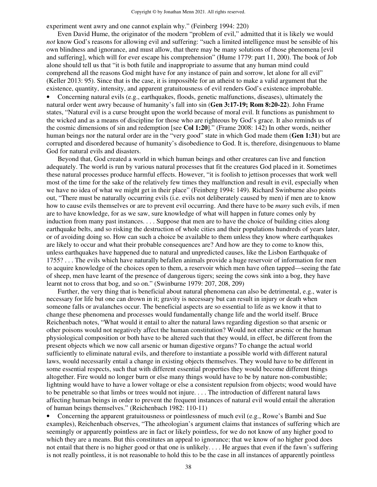experiment went awry and one cannot explain why." (Feinberg 1994: 220)

Even David Hume, the originator of the modern "problem of evil," admitted that it is likely we would *not* know God's reasons for allowing evil and suffering: "such a limited intelligence must be sensible of his own blindness and ignorance, and must allow, that there may be many solutions of those phenomena [evil and suffering], which will for ever escape his comprehension" (Hume 1779: part 11, 200). The book of Job alone should tell us that "it is both futile and inappropriate to assume that any human mind could comprehend all the reasons God might have for any instance of pain and sorrow, let alone for all evil" (Keller 2013: 95). Since that is the case, it is impossible for an atheist to make a valid argument that the existence, quantity, intensity, and apparent gratuitousness of evil renders God's existence improbable.

• Concerning natural evils (e.g., earthquakes, floods, genetic malfunctions, diseases), ultimately the natural order went awry because of humanity's fall into sin (**Gen 3:17-19; Rom 8:20-22**). John Frame states, "Natural evil is a curse brought upon the world because of moral evil. It functions as punishment to the wicked and as a means of discipline for those who are righteous by God's grace. It also reminds us of the cosmic dimensions of sin and redemption [see **Col 1:20**]." (Frame 2008: 142) In other words, neither human beings nor the natural order are in the "very good" state in which God made them (**Gen 1:31**) but are corrupted and disordered because of humanity's disobedience to God. It is, therefore, disingenuous to blame God for natural evils and disasters.

Beyond that, God created a world in which human beings and other creatures can live and function adequately. The world is run by various natural processes that fit the creatures God placed in it. Sometimes these natural processes produce harmful effects. However, "it is foolish to jettison processes that work well most of the time for the sake of the relatively few times they malfunction and result in evil, especially when we have no idea of what we might get in their place" (Feinberg 1994: 149). Richard Swinburne also points out, "There must be naturally occurring evils (i.e. evils not deliberately caused by men) if men are to know how to cause evils themselves or are to prevent evil occurring. And there have to be *many* such evils, if men are to have knowledge, for as we saw, sure knowledge of what will happen in future comes only by induction from many past instances. . . . Suppose that men are to have the choice of building cities along earthquake belts, and so risking the destruction of whole cities and their populations hundreds of years later, or of avoiding doing so. How can such a choice be available to them unless they know where earthquakes are likely to occur and what their probable consequences are? And how are they to come to know this, unless earthquakes have happened due to natural and unpredicted causes, like the Lisbon Earthquake of 1755? . . . The evils which have naturally befallen animals provide a huge reservoir of information for men to acquire knowledge of the choices open to them, a reservoir which men have often tapped—seeing the fate of sheep, men have learnt of the presence of dangerous tigers; seeing the cows sink into a bog, they have learnt not to cross that bog, and so on." (Swinburne 1979: 207, 208, 209)

Further, the very thing that is beneficial about natural phenomena can also be detrimental, e.g., water is necessary for life but one can drown in it; gravity is necessary but can result in injury or death when someone falls or avalanches occur. The beneficial aspects are so essential to life as we know it that to change these phenomena and processes would fundamentally change life and the world itself. Bruce Reichenbach notes, "What would it entail to alter the natural laws regarding digestion so that arsenic or other poisons would not negatively affect the human constitution? Would not either arsenic or the human physiological composition or both have to be altered such that they would, in effect, be different from the present objects which we now call arsenic or human digestive organs? To change the actual world sufficiently to eliminate natural evils, and therefore to instantiate a possible world with different natural laws, would necessarily entail a change in existing objects themselves. They would have to be different in some essential respects, such that with different essential properties they would become different things altogether. Fire would no longer burn or else many things would have to be by nature non-combustible; lightning would have to have a lower voltage or else a consistent repulsion from objects; wood would have to be penetrable so that limbs or trees would not injure. . . . The introduction of different natural laws affecting human beings in order to prevent the frequent instances of natural evil would entail the alteration of human beings themselves." (Reichenbach 1982: 110-11)

• Concerning the apparent gratuitousness or pointlessness of much evil (e.g., Rowe's Bambi and Sue examples), Reichenbach observes, "The atheologian's argument claims that instances of suffering which are seemingly or apparently pointless are in fact or likely pointless, for we do not know of any higher good to which they are a means. But this constitutes an appeal to ignorance; that we know of no higher good does not entail that there is no higher good or that one is unlikely. . . . He argues that even if the fawn's suffering is not really pointless, it is not reasonable to hold this to be the case in all instances of apparently pointless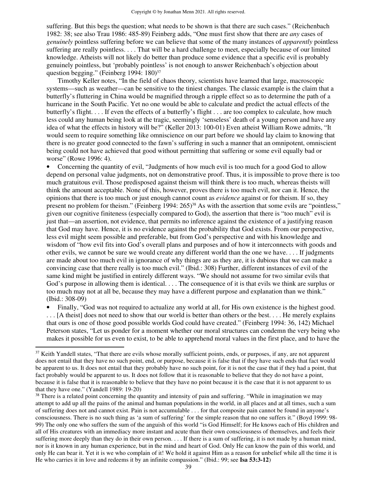suffering. But this begs the question; what needs to be shown is that there are such cases." (Reichenbach 1982: 38; see also Trau 1986: 485-89) Feinberg adds, "One must first show that there are *any* cases of *genuinely* pointless suffering before we can believe that some of the many instances of *apparently* pointless suffering are really pointless. . . . That will be a hard challenge to meet, especially because of our limited knowledge. Atheists will not likely do better than produce some evidence that a specific evil is probably genuinely pointless, but 'probably pointless' is not enough to answer Reichenbach's objection about question begging." (Feinberg 1994: 180)<sup>37</sup>

Timothy Keller notes, "In the field of chaos theory, scientists have learned that large, macroscopic systems—such as weather—can be sensitive to the tiniest changes. The classic example is the claim that a butterfly's fluttering in China would be magnified through a ripple effect so as to determine the path of a hurricane in the South Pacific. Yet no one would be able to calculate and predict the actual effects of the butterfly's flight. . . . If even the effects of a butterfly's flight . . . are too complex to calculate, how much less could any human being look at the tragic, seemingly 'senseless' death of a young person and have any idea of what the effects in history will be?" (Keller 2013: 100-01) Even atheist William Rowe admits, "It would seem to require something like omniscience on our part before we should lay claim to knowing that there is no greater good connected to the fawn's suffering in such a manner that an omnipotent, omniscient being could not have achieved that good without permitting that suffering or some evil equally bad or worse" (Rowe 1996: 4).

• Concerning the quantity of evil, "Judgments of how much evil is too much for a good God to allow depend on personal value judgments, not on demonstrative proof. Thus, it is impossible to prove there is too much gratuitous evil. Those predisposed against theism will think there is too much, whereas theists will think the amount acceptable. None of this, however, proves there is too much evil, nor can it. Hence, the opinions that there is too much or just enough cannot count as *evidence* against or for theism. If so, they present no problem for theism." (Feinberg 1994: 265)<sup>38</sup> As with the assertion that some evils are "pointless," given our cognitive finiteness (especially compared to God), the assertion that there is "too much" evil is just that—an assertion, not evidence, that permits no inference against the existence of a justifying reason that God may have. Hence, it is no evidence against the probability that God exists. From our perspective, less evil might seem possible and preferable, but from God's perspective and with his knowledge and wisdom of "how evil fits into God's overall plans and purposes and of how it interconnects with goods and other evils, we cannot be sure we would create any different world than the one we have. . . . If judgments are made about too much evil in ignorance of why things are as they are, it is dubious that we can make a convincing case that there really is too much evil." (Ibid.: 308) Further, different instances of evil of the same kind might be justified in entirely different ways. "We should not assume for two similar evils that God's purpose in allowing them is identical. . . . The consequence of it is that evils we think are surplus or too much may not at all be, because they may have a different purpose and explanation than we think." (Ibid.: 308-09)

• Finally, "God was not required to actualize any world at all, for His own existence is the highest good. . . . [A theist] does not need to show that our world is better than others or the best. . . . He merely explains that ours is one of those good possible worlds God could have created." (Feinberg 1994: 36, 142) Michael Peterson states, "Let us ponder for a moment whether our moral structures can condemn the very being who makes it possible for us even to exist, to be able to apprehend moral values in the first place, and to have the

 $37$  Keith Yandell states, "That there are evils whose morally sufficient points, ends, or purposes, if any, are not apparent does not entail that they have no such point, end, or purpose, because it is false that if they have such ends that fact would be apparent to us. It does not entail that they probably have no such point, for it is not the case that if they had a point, that fact probably would be apparent to us. It does not follow that it is reasonable to believe that they do not have a point, because it is false that it is reasonable to believe that they have no point because it is the case that it is not apparent to us that they have one." (Yandell 1989: 19-20)

<sup>&</sup>lt;sup>38</sup> There is a related point concerning the quantity and intensity of pain and suffering. "While in imagination we may attempt to add up all the pains of the animal and human populations in the world, in all places and at all times, such a sum of suffering does not and cannot exist. Pain is not accumulable . . . for that composite pain cannot be found in anyone's consciousness. There is no such thing as 'a sum of suffering' for the simple reason that no one suffers it." (Boyd 1999: 98- 99) The only one who suffers the sum of the anguish of this world "is God Himself; for He knows each of His children and all of His creatures with an immediacy more instant and acute than their own consciousness of themselves, and feels their suffering more deeply than they do in their own person. . . . If there is a sum of suffering, it is not made by a human mind, nor is it known in any human experience, but in the mind and heart of God. Only He can know the pain of this world, and only He can bear it. Yet it is we who complain of it! We hold it against Him as a reason for unbelief while all the time it is He who carries it in love and redeems it by an infinite compassion." (Ibid.: 99; see **Isa 53:3-12**)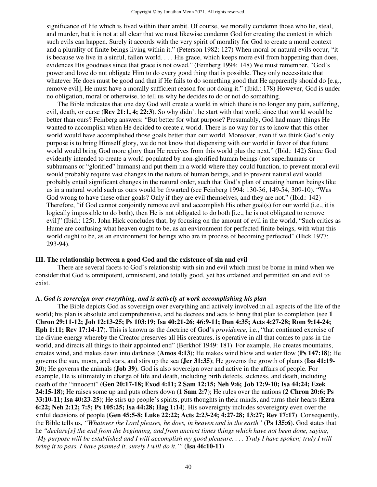significance of life which is lived within their ambit. Of course, we morally condemn those who lie, steal, and murder, but it is not at all clear that we must likewise condemn God for creating the context in which such evils can happen. Surely it accords with the very spirit of morality for God to create a moral context and a plurality of finite beings living within it." (Peterson 1982: 127) When moral or natural evils occur, "it is because we live in a sinful, fallen world. . . . His grace, which keeps more evil from happening than does, evidences His goodness since that grace is not owed." (Feinberg 1994: 148) We must remember, "God's power and love do not obligate Him to do every good thing that is possible. They only necessitate that whatever He does must be good and that if He fails to do something good that He apparently should do [e.g., remove evil], He must have a morally sufficient reason for not doing it." (Ibid.: 178) However, God is under no obligation, moral or otherwise, to tell us why he decides to do or not do something.

The Bible indicates that one day God will create a world in which there is no longer any pain, suffering, evil, death, or curse (**Rev 21:1, 4; 22:3**). So why didn't he start with that world since that world would be better than ours? Feinberg answers: "But better for what purpose? Presumably, God had many things He wanted to accomplish when He decided to create a world. There is no way for us to know that this other world would have accomplished those goals better than our world. Moreover, even if we think God's only purpose is to bring Himself glory, we do not know that dispensing with our world in favor of that future world would bring God more glory than He receives from this world plus the next." (Ibid.: 142) Since God evidently intended to create a world populated by non-glorified human beings (not superhumans or subhumans or "glorified" humans) and put them in a world where they could function, to prevent moral evil would probably require vast changes in the nature of human beings, and to prevent natural evil would probably entail significant changes in the natural order, such that God's plan of creating human beings like us in a natural world such as ours would be thwarted (see Feinberg 1994: 130-36, 149-54, 309-10). "Was God wrong to have these other goals? Only if they are evil themselves, and they are not." (Ibid.: 142) Therefore, "if God cannot conjointly remove evil and accomplish His other goal(s) for our world (i.e., it is logically impossible to do both), then He is not obligated to do both [i.e., he is not obligated to remove evil]" (Ibid.: 125). John Hick concludes that, by focusing on the amount of evil in the world, "Such critics as Hume are confusing what heaven ought to be, as an environment for perfected finite beings, with what this world ought to be, as an environment for beings who are in process of becoming perfected" (Hick 1977: 293-94).

#### **III. The relationship between a good God and the existence of sin and evil**

 There are several facets to God's relationship with sin and evil which must be borne in mind when we consider that God is omnipotent, omniscient, and totally good, yet has ordained and permitted sin and evil to exist.

## **A.** *God is sovereign over everything, and is actively at work accomplishing his plan*

The Bible depicts God as sovereign over everything and actively involved in all aspects of the life of the world; his plan is absolute and comprehensive, and he decrees and acts to bring that plan to completion (see **1 Chron 29:11-12; Job 12:13-25; Ps 103:19; Isa 40:21-26; 46:9-11; Dan 4:35; Acts 4:27-28; Rom 9:14-24; Eph 1:11; Rev 17:14-17**). This is known as the doctrine of God's *providence,* i.e., "that continued exercise of the divine energy whereby the Creator preserves all His creatures, is operative in all that comes to pass in the world, and directs all things to their appointed end" (Berkhof 1949: 181). For example, He creates mountains, creates wind, and makes dawn into darkness (**Amos 4:13**); He makes wind blow and water flow (**Ps 147:18**); He governs the sun, moon, and stars, and stirs up the sea (**Jer 31:35**); He governs the growth of plants (**Isa 41:19- 20**); He governs the animals (**Job 39**). God is also sovereign over and active in the affairs of people. For example, He is ultimately in charge of life and death, including birth defects, sickness, and death, including death of the "innocent" (**Gen 20:17-18; Exod 4:11; 2 Sam 12:15; Neh 9:6; Job 12:9-10; Isa 44:24; Ezek 24:15-18**); He raises some up and puts others down (**1 Sam 2:7**); He rules over the nations (**2 Chron 20:6; Ps 33:10-11; Isa 40:23-25**); He stirs up people's spirits, puts thoughts in their minds, and turns their hearts (**Ezra 6:22; Neh 2:12; 7:5; Ps 105:25; Isa 44:28; Hag 1:14**). His sovereignty includes sovereignty even over the sinful decisions of people (**Gen 45:5-8; Luke 22:22; Acts 2:23-24; 4:27-28; 13:27; Rev 17:17**). Consequently, the Bible tells us, *"Whatever the Lord pleases, he does, in heaven and in the earth"* (**Ps 135:6**). God states that he *"declare[s] the end from the beginning, and from ancient times things which have not been done, saying, 'My purpose will be established and I will accomplish my good pleasure. . . . Truly I have spoken; truly I will bring it to pass. I have planned it, surely I will do it.'"* (**Isa 46:10-11**)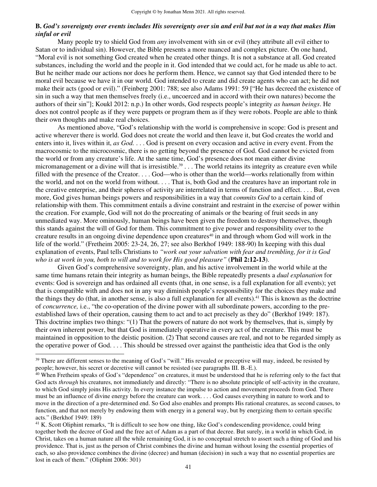## **B.** *God's sovereignty over events includes His sovereignty over sin and evil but not in a way that makes Him sinful or evil*

Many people try to shield God from *any* involvement with sin or evil (they attribute all evil either to Satan or to individual sin). However, the Bible presents a more nuanced and complex picture. On one hand, "Moral evil is not something God created when he created other things. It is not a substance at all. God created substances, including the world and the people in it. God intended that we could act, for he made us able to act. But he neither made our actions nor does he perform them. Hence, we cannot say that God intended there to be moral evil because we have it in our world. God intended to create and did create agents who can act; he did not make their acts (good or evil)." (Feinberg 2001: 788; see also Adams 1991: 59 ["He has decreed the existence of sin in such a way that men themselves freely (i.e., uncoerced and in accord with their own natures) become the authors of their sin"]; Koukl 2012: n.p.) In other words, God respects people's integrity *as human beings*. He does not control people as if they were puppets or program them as if they were robots. People are able to think their own thoughts and make real choices.

As mentioned above, "God's relationship with the world is comprehensive in scope: God is present and active wherever there is world. God does not create the world and then leave it, but God creates the world and enters into it, lives within it, *as God.* . . . God is present on every occasion and active in every event. From the macrocosmic to the microcosmic, there is no getting beyond the presence of God. God cannot be evicted from the world or from any creature's life. At the same time, God's presence does not mean either divine micromanagement or a divine will that is irresistible.<sup>39</sup>  $\dots$  The world retains its integrity as creature even while filled with the presence of the Creator. . . . God—who is other than the world—works relationally from within the world, and not on the world from without. . . . That is, both God and the creatures have an important role in the creative enterprise, and their spheres of activity are interrelated in terms of function and effect. . . . But, even more, God gives human beings powers and responsibilities in a way that *commits God* to a certain kind of relationship with them. This commitment entails a divine constraint and restraint in the exercise of power within the creation. For example, God will not do the procreating of animals or the bearing of fruit seeds in any unmediated way. More ominously, human beings have been given the freedom to destroy themselves, though this stands against the will of God for them. This commitment to give power and responsibility over to the creature results in an ongoing divine dependence upon creatures<sup>40</sup> in and through whom God will work in the life of the world." (Fretheim 2005: 23-24, 26, 27; see also Berkhof 1949: 188-90) In keeping with this dual explanation of events, Paul tells Christians to *"work out your salvation with fear and trembling, for it is God who is at work in you, both to will and to work for His good pleasure"* (**Phil 2:12-13**).

Given God's comprehensive sovereignty, plan, and his active involvement in the world while at the same time humans retain their integrity as human beings, the Bible repeatedly presents a *dual explanation* for events: God is sovereign and has ordained all events (that, in one sense, is a full explanation for all events); yet that is compatible with and does not in any way diminish people's responsibility for the choices they make and the things they do (that, in another sense, is also a full explanation for all events).<sup>41</sup> This is known as the doctrine of *concurrence,* i.e., "the co-operation of the divine power with all subordinate powers, according to the preestablished laws of their operation, causing them to act and to act precisely as they do" (Berkhof 1949: 187). This doctrine implies two things: "(1) That the powers of nature do not work by themselves, that is, simply by their own inherent power, but that God is immediately operative in every act of the creature. This must be maintained in opposition to the deistic position. (2) That second causes are real, and not to be regarded simply as the operative power of God. . . . This should be stressed over against the pantheistic idea that God is the only

<sup>&</sup>lt;sup>39</sup> There are different senses to the meaning of God's "will." His revealed or preceptive will may, indeed, be resisted by people; however, his secret or decretive will cannot be resisted (see paragraphs III. B.-E.).

 $^{40}$  When Fretheim speaks of God's "dependence" on creatures, it must be understood that he is referring only to the fact that God acts *through* his creatures, not immediately and directly: "There is no absolute principle of self-activity in the creature, to which God simply joins His activity. In every instance the impulse to action and movement proceeds from God. There must be an influence of divine energy before the creature can work. . . . God causes everything in nature to work and to move in the direction of a pre-determined end. So God also enables and prompts His rational creatures, as second causes, to function, and that not merely by endowing them with energy in a general way, but by energizing them to certain specific acts." (Berkhof 1949: 189)

<sup>&</sup>lt;sup>41</sup> K. Scott Oliphint remarks, "It is difficult to see how one thing, like God's condescending providence, could bring together both the decree of God and the free act of Adam as a part of that decree. But surely, in a world in which God, in Christ, takes on a human nature all the while remaining God, it is no conceptual stretch to assert such a thing of God and his providence. That is, just as the person of Christ combines the divine and human without losing the essential properties of each, so also providence combines the divine (decree) and human (decision) in such a way that no essential properties are lost in each of them." (Oliphint 2006: 301)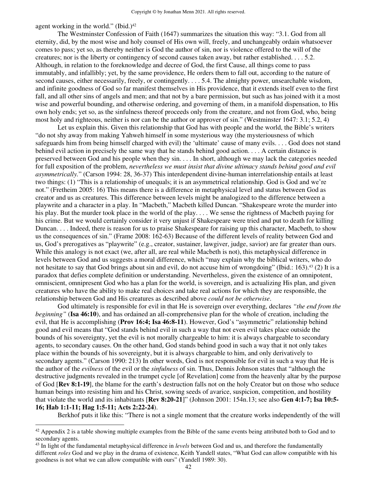agent working in the world." (Ibid.) $42$ 

The Westminster Confession of Faith (1647) summarizes the situation this way: "3.1. God from all eternity, did, by the most wise and holy counsel of His own will, freely, and unchangeably ordain whatsoever comes to pass; yet so, as thereby neither is God the author of sin, nor is violence offered to the will of the creatures; nor is the liberty or contingency of second causes taken away, but rather established. . . . 5.2. Although, in relation to the foreknowledge and decree of God, the first Cause, all things come to pass immutably, and infallibly; yet, by the same providence, He orders them to fall out, according to the nature of second causes, either necessarily, freely, or contingently. . . . 5.4. The almighty power, unsearchable wisdom, and infinite goodness of God so far manifest themselves in His providence, that it extends itself even to the first fall, and all other sins of angels and men; and that not by a bare permission, but such as has joined with it a most wise and powerful bounding, and otherwise ordering, and governing of them, in a manifold dispensation, to His own holy ends; yet so, as the sinfulness thereof proceeds only from the creature, and not from God, who, being most holy and righteous, neither is nor can be the author or approver of sin." (Westminster 1647: 3.1; 5.2, 4)

Let us explain this. Given this relationship that God has with people and the world, the Bible's writers "do not shy away from making Yahweh himself in some mysterious way (the mysteriousness of which safeguards him from being himself charged with evil) the 'ultimate' cause of many evils. . . . God does not stand behind evil action in precisely the same way that he stands behind good action. . . . A certain distance is preserved between God and his people when they sin. . . . In short, although we may lack the categories needed for full exposition of the problem, *nevertheless we must insist that divine ultimacy stands behind good and evil asymmetrically.*" (Carson 1994: 28, 36-37) This interdependent divine-human interrelationship entails at least two things: (1) "This is a relationship of unequals; it is an asymmetrical relationship. God is God and we're not." (Fretheim 2005: 16) This means there is a difference in metaphysical level and status between God as creator and us as creatures. This difference between levels might be analogized to the difference between a playwrite and a character in a play. In "Macbeth," Macbeth killed Duncan. "Shakespeare wrote the murder into his play. But the murder took place in the world of the play. . . . We sense the rightness of Macbeth paying for his crime. But we would certainly consider it very unjust if Shakespeare were tried and put to death for killing Duncan. . . . Indeed, there is reason for us to praise Shakespeare for raising up this character, Macbeth, to show us the consequences of sin." (Frame 2008: 162-63) Because of the different levels of reality between God and us, God's prerogatives as "playwrite" (e.g., creator, sustainer, lawgiver, judge, savior) are far greater than ours. While this analogy is not exact (we, after all, are real while Macbeth is not), this metaphysical difference in levels between God and us suggests a moral difference, which "may explain why the biblical writers, who do not hesitate to say that God brings about sin and evil, do not accuse him of wrongdoing" (Ibid.: 163).<sup>43</sup> (2) It is a paradox that defies complete definition or understanding. Nevertheless, given the existence of an omnipotent, omniscient, omnipresent God who has a plan for the world, is sovereign, and is actualizing His plan, and given creatures who have the ability to make real choices and take real actions for which they are responsible, the relationship between God and His creatures as described above *could not be otherwise*.

God ultimately is responsible for evil in that He is sovereign over everything, declares *"the end from the beginning"* (**Isa 46:10**), and has ordained an all-comprehensive plan for the whole of creation, including the evil, that He is accomplishing (**Prov 16:4; Isa 46:8-11**). However, God's "asymmetric" relationship behind good and evil means that "God stands behind evil in such a way that not even evil takes place outside the bounds of his sovereignty, yet the evil is not morally chargeable to him: it is always chargeable to secondary agents, to secondary causes. On the other hand, God stands behind good in such a way that it not only takes place within the bounds of his sovereignty, but it is always chargeable to him, and only derivatively to secondary agents." (Carson 1990: 213) In other words, God is not responsible for evil in such a way that He is the author of the *evilness* of the evil or the *sinfulness* of sin. Thus, Dennis Johnson states that "although the destructive judgments revealed in the trumpet cycle [of Revelation] come from the heavenly altar by the purpose of God [**Rev 8:1-19**], the blame for the earth's destruction falls not on the holy Creator but on those who seduce human beings into resisting him and his Christ, sowing seeds of avarice, suspicion, competition, and hostility that violate the world and its inhabitants [**Rev 8:20-21**]" (Johnson 2001: 154n.13; see also **Gen 4:1-7; Isa 10:5- 16; Hab 1:1-11; Hag 1:5-11; Acts 2:22-24**).

Berkhof puts it like this: "There is not a single moment that the creature works independently of the will

 $42$  Appendix 2 is a table showing multiple examples from the Bible of the same events being attributed both to God and to secondary agents.

<sup>43</sup> In light of the fundamental metaphysical difference in *levels* between God and us, and therefore the fundamentally different *roles* God and we play in the drama of existence, Keith Yandell states, "What God can allow compatible with his goodness is not what we can allow compatible with ours" (Yandell 1989: 30).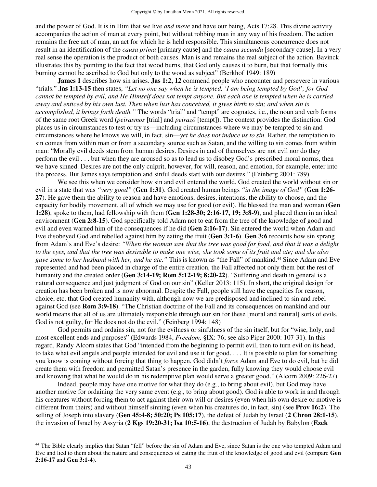and the power of God. It is in Him that we live *and move* and have our being, Acts 17:28. This divine activity accompanies the action of man at every point, but without robbing man in any way of his freedom. The action remains the free act of man, an act for which he is held responsible. This simultaneous concurrence does not result in an identification of the *causa prima* [primary cause] and the *causa secunda* [secondary cause]. In a very real sense the operation is the product of both causes. Man is and remains the real subject of the action. Bavinck illustrates this by pointing to the fact that wood burns, that God only causes it to burn, but that formally this burning cannot be ascribed to God but only to the wood as subject" (Berkhof 1949: 189)

**James 1** describes how sin arises. **Jas 1:2, 12** commend people who encounter and persevere in various "trials." **Jas 1:13-15** then states, *"Let no one say when he is tempted, 'I am being tempted by God'; for God cannot be tempted by evil, and He Himself does not tempt anyone. But each one is tempted when he is carried away and enticed by his own lust. Then when lust has conceived, it gives birth to sin; and when sin is accomplished, it brings forth death."* The words "trial" and "tempt" are cognates, i.e., the noun and verb forms of the same root Greek word (*peirasmos* [trial] and *peirazō* [tempt]). The context provides the distinction: God places us in circumstances to test or try us—including circumstances where we may be tempted to sin and circumstances where he knows we will, in fact, sin—*yet he does not induce us to sin*. Rather, the temptation to sin comes from within man or from a secondary source such as Satan, and the willing to sin comes from within man: "Morally evil deeds stem from human desires. Desires in and of themselves are not evil nor do they perform the evil . . . but when they are aroused so as to lead us to disobey God's prescribed moral norms, then we have sinned. Desires are not the only culprit, however, for will, reason, and emotion, for example, enter into the process. But James says temptation and sinful deeds start with our desires." (Feinberg 2001: 789)

We see this when we consider how sin and evil entered the world. God created the world without sin or evil in a state that was *"very good"* (**Gen 1:31**). God created human beings *"in the image of God"* (**Gen 1:26- 27**). He gave them the ability to reason and have emotions, desires, intentions, the ability to choose, and the capacity for bodily movement, all of which we may use for good (or evil). He blessed the man and woman (**Gen 1:28**), spoke to them, had fellowship with them (**Gen 1:28-30; 2:16-17, 19; 3:8-9**), and placed them in an ideal environment (**Gen 2:8-15**). God specifically told Adam not to eat from the tree of the knowledge of good and evil and even warned him of the consequences if he did (**Gen 2:16-17**). Sin entered the world when Adam and Eve disobeyed God and rebelled against him by eating the fruit (**Gen 3:1-6**). **Gen 3:6** recounts how sin sprang from Adam's and Eve's desire: *"When the woman saw that the tree was good for food, and that it was a delight to the eyes, and that the tree was desirable to make one wise, she took some of its fruit and ate; and she also gave some to her husband with her, and he ate."* This is known as "the Fall" of mankind.<sup>44</sup> Since Adam and Eve represented and had been placed in charge of the entire creation, the Fall affected not only them but the rest of humanity and the created order (**Gen 3:14-19; Rom 5:12-19; 8:20-22**). "Suffering and death in general is a natural consequence and just judgment of God on our sin" (Keller 2013: 115). In short, the original design for creation has been broken and is now abnormal. Despite the Fall, people still have the capacities for reason, choice, etc. that God created humanity with, although now we are predisposed and inclined to sin and rebel against God (see **Rom 3:9-18**). "The Christian doctrine of the Fall and its consequences on mankind and our world means that all of us are ultimately responsible through our sin for these [moral and natural] sorts of evils. God is not guilty, for He does not do the evil." (Feinberg 1994: 148)

God permits and ordains sin, not for the evilness or sinfulness of the sin itself, but for "wise, holy, and most excellent ends and purposes" (Edwards 1984, *Freedom,* §IX: 76; see also Piper 2000: 107-31). In this regard, Randy Alcorn states that God "intended from the beginning to permit evil, then to turn evil on its head, to take what evil angels and people intended for evil and use it for good. . . . It is possible to plan for something you know is coming without forcing that thing to happen. God didn't *force* Adam and Eve to do evil, but he did create them with freedom and permitted Satan's presence in the garden, fully knowing they would choose evil and knowing that what he would do in his redemptive plan would serve a greater good." (Alcorn 2009: 226-27)

Indeed, people may have one motive for what they do (e.g., to bring about evil), but God may have another motive for ordaining the very same event (e.g., to bring about good). God is able to work in and through his creatures without forcing them to act against their own will or desires (even when his own desire or motive is different from theirs) and without himself sinning (even when his creatures do, in fact, sin) (see **Prov 16:2**). The selling of Joseph into slavery (**Gen 45:4-8; 50:20; Ps 105:17**), the defeat of Judah by Israel (**2 Chron 28:1-15**), the invasion of Israel by Assyria (**2 Kgs 19:20-31; Isa 10:5-16**), the destruction of Judah by Babylon (**Ezek** 

<sup>&</sup>lt;sup>44</sup> The Bible clearly implies that Satan "fell" before the sin of Adam and Eve, since Satan is the one who tempted Adam and Eve and lied to them about the nature and consequences of eating the fruit of the knowledge of good and evil (compare **Gen 2:16-17** and **Gen 3:1-4**).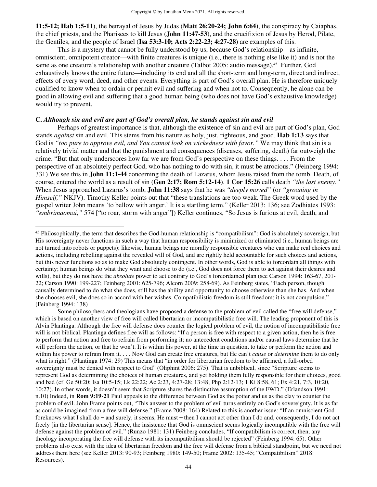**11:5-12; Hab 1:5-11**), the betrayal of Jesus by Judas (**Matt 26:20-24; John 6:64)**, the conspiracy by Caiaphas, the chief priests, and the Pharisees to kill Jesus (**John 11:47-53**), and the crucifixion of Jesus by Herod, Pilate, the Gentiles, and the people of Israel (**Isa 53:3-10; Acts 2:22-23; 4:27-28**) are examples of this.

This is a mystery that cannot be fully understood by us, because God's relationship—as infinite, omniscient, omnipotent creator—with finite creatures is unique (i.e., there is nothing else like it) and is not the same as one creature's relationship with another creature (Talbot 2005: audio message).<sup>45</sup> Further, God exhaustively knows the entire future—including its end and all the short-term and long-term, direct and indirect, effects of every word, deed, and other events. Everything is part of God's overall plan. He is therefore uniquely qualified to know when to ordain or permit evil and suffering and when not to. Consequently, he alone can be good in allowing evil and suffering that a good human being (who does not have God's exhaustive knowledge) would try to prevent.

# **C.** *Although sin and evil are part of God's overall plan, he stands against sin and evil*

Perhaps of greatest importance is that, although the existence of sin and evil are part of God's plan, God stands *against* sin and evil. This stems from his nature as holy, just, righteous, and good. **Hab 1:13** says that God is *"too pure to approve evil, and You cannot look on wickedness with favor."* We may think that sin is a relatively trivial matter and that the punishment and consequences (diseases, suffering, death) far outweigh the crime. "But that only underscores how far we are from God's perspective on these things. . . . From the perspective of an absolutely perfect God, who has nothing to do with sin, it must be atrocious." (Feinberg 1994: 331) We see this in **John 11:1-44** concerning the death of Lazarus, whom Jesus raised from the tomb. Death, of course, entered the world as a result of sin (**Gen 2:17; Rom 5:12-14**). **1 Cor 15:26** calls death *"the last enemy."*  When Jesus approached Lazarus's tomb, **John 11:38** says that he was *"deeply moved"* (or *"groaning in Himself,"* NKJV). Timothy Keller points out that "these translations are too weak. The Greek word used by the gospel writer John means 'to bellow with anger.' It is a startling term." (Keller 2013: 136; see Zodhiates 1993: *"embrimaomai,"* 574 ["to roar, storm with anger"]) Keller continues, "So Jesus is furious at evil, death, and

 Some philosophers and theologians have proposed a defense to the problem of evil called the "free will defense," which is based on another view of free will called libertarian or incompatibilistic free will. The leading proponent of this is Alvin Plantinga. Although the free will defense does counter the logical problem of evil, the notion of incompatibilistic free will is not biblical. Plantinga defines free will as follows: "If a person is free with respect to a given action, then he is free to perform that action and free to refrain from performing it; no antecedent conditions and/or causal laws determine that he will perform the action, or that he won't. It is within his power, at the time in question, to take or perform the action and within his power to refrain from it. . . . Now God can create free creatures, but He can't *cause* or *determine* them to do only what is right." (Plantinga 1974: 29) This means that "in order for libertarian freedom to be affirmed, a full-orbed sovereignty must be denied with respect to God" (Oliphint 2006: 275). That is unbiblical, since "Scripture seems to represent God as determining the choices of human creatures, and yet holding them fully responsible for their choices, good and bad (cf. Ge 50:20; Isa 10:5-15; Lk 22:22; Ac 2:23, 4:27-28; 13:48; Php 2:12-13; 1 Ki 8:58, 61; Ex 4:21, 7:3, 10:20, 10:27). In other words, it doesn't seem that Scripture shares the distinctive assumption of the FWD." (Erlandson 1991: n.10) Indeed, in **Rom 9:19-21** Paul appeals to the difference between God as the potter and us as the clay to counter the problem of evil. John Frame points out, "This answer to the problem of evil turns entirely on God's sovereignty. It is as far as could be imagined from a free will defense." (Frame 2008: 164) Related to this is another issue: "If an omniscient God foreknows what I shall do – and surely, it seems, He must – then I cannot act other than I do and, consequently, I do not act freely [in the libertarian sense]. Hence, the insistence that God is omniscient seems logically incompatible with the free will defense against the problem of evil." (Runzo 1981: 131) Feinberg concludes, "If compatibilism is correct, then, any theology incorporating the free will defense with its incompatibilism should be rejected" (Feinberg 1994: 65). Other problems also exist with the idea of libertarian freedom and the free will defense from a biblical standpoint, but we need not address them here (see Keller 2013: 90-93; Feinberg 1980: 149-50; Frame 2002: 135-45; "Compatibilism" 2018: Resources).

<sup>&</sup>lt;sup>45</sup> Philosophically, the term that describes the God-human relationship is "compatibilism": God is absolutely sovereign, but His sovereignty never functions in such a way that human responsibility is minimized or eliminated (i.e., human beings are not turned into robots or puppets); likewise, human beings are morally responsible creatures who can make real choices and actions, including rebelling against the revealed will of God, and are rightly held accountable for such choices and actions, but this never functions so as to make God absolutely contingent. In other words, God is able to foreordain all things with certainty; human beings do what they want and choose to do (i.e., God does not force them to act against their desires and wills), but they do not have the *absolute* power to act contrary to God's foreordained plan (see Carson 1994: 163-67, 201- 22; Carson 1990: 199-227; Feinberg 2001: 625-796; Alcorn 2009: 258-69). As Feinberg states, "Each person, though causally determined to do what she does, still has the ability and opportunity to choose otherwise than she has. And when she chooses evil, she does so in accord with her wishes. Compatibilistic freedom is still freedom; it is not compulsion." (Feinberg 1994: 138)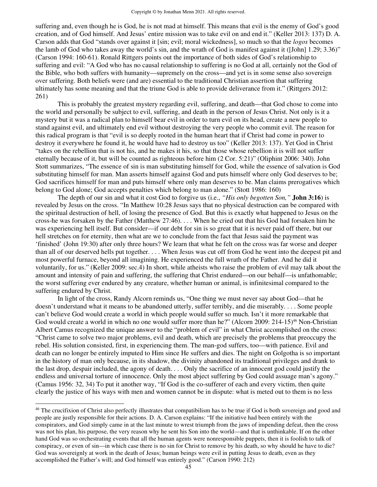suffering and, even though he is God, he is not mad at himself. This means that evil is the enemy of God's good creation, and of God himself. And Jesus' entire mission was to take evil on and end it." (Keller 2013: 137) D. A. Carson adds that God "stands over against it [sin; evil; moral wickedness], so much so that the *logos* becomes the lamb of God who takes away the world's sin, and the wrath of God is manifest against it ([John] 1.29; 3.36)" (Carson 1994: 160-61). Ronald Rittgers points out the importance of both sides of God's relationship to suffering and evil: "A God who has no causal relationship to suffering is no God at all, certainly not the God of the Bible, who both suffers with humanity—supremely on the cross—and yet is in some sense also sovereign over suffering. Both beliefs were (and are) essential to the traditional Christian assertion that suffering ultimately has some meaning and that the triune God is able to provide deliverance from it." (Rittgers 2012: 261)

This is probably the greatest mystery regarding evil, suffering, and death—that God chose to come into the world and personally be subject to evil, suffering, and death in the person of Jesus Christ. Not only is it a mystery but it was a radical plan to himself bear evil in order to turn evil on its head, create a new people to stand against evil, and ultimately end evil without destroying the very people who commit evil. The reason for this radical program is that "evil is so deeply rooted in the human heart that if Christ had come in power to destroy it everywhere he found it, he would have had to destroy us too" (Keller 2013: 137). Yet God in Christ "takes on the rebellion that is not his, and he makes it his, so that those whose rebellion it is will not suffer eternally because of it, but will be counted as righteous before him (2 Cor. 5:21)" (Oliphint 2006: 340). John Stott summarizes, "The essence of sin is man substituting himself for God, while the essence of salvation is God substituting himself for man. Man asserts himself against God and puts himself where only God deserves to be; God sacrifices himself for man and puts himself where only man deserves to be. Man claims prerogatives which belong to God alone; God accepts penalties which belong to man alone." (Stott 1986: 160)

The depth of our sin and what it cost God to forgive us (i.e., *"His only begotten Son,"* **John 3:16**) is revealed by Jesus on the cross. "In Matthew 10:28 Jesus says that no physical destruction can be compared with the spiritual destruction of hell, of losing the presence of God. But this is exactly what happened to Jesus on the cross-he was forsaken by the Father (Matthew 27:46). . . . When he cried out that his God had forsaken him he was experiencing hell itself. But consider—if our debt for sin is so great that it is never paid off there, but our hell stretches on for eternity, then what are we to conclude from the fact that Jesus said the payment was 'finished' (John 19:30) after only three hours? We learn that what he felt on the cross was far worse and deeper than all of our deserved hells put together. . . . When Jesus was cut off from God he went into the deepest pit and most powerful furnace, beyond all imagining. He experienced the full wrath of the Father. And he did it voluntarily, for us." (Keller 2009: sec.4) In short, while atheists who raise the problem of evil may talk about the amount and intensity of pain and suffering, the suffering that Christ endured—on our behalf—is unfathomable; the worst suffering ever endured by any creature, whether human or animal, is infinitesimal compared to the suffering endured by Christ.

In light of the cross, Randy Alcorn reminds us, "One thing we must never say about God—that he doesn't understand what it means to be abandoned utterly, suffer terribly, and die miserably. . . . Some people can't believe God would create a world in which people would suffer so much. Isn't it more remarkable that God would create a world in which no one would suffer more than he?" (Alcorn 2009: 214-15)<sup>46</sup> Non-Christian Albert Camus recognized the unique answer to the "problem of evil" in what Christ accomplished on the cross: "Christ came to solve two major problems, evil and death, which are precisely the problems that preoccupy the rebel. His solution consisted, first, in experiencing them. The man-god suffers, too—with patience. Evil and death can no longer be entirely imputed to Him since He suffers and dies. The night on Golgotha is so important in the history of man only because, in its shadow, the divinity abandoned its traditional privileges and drank to the last drop, despair included, the agony of death. . . . Only the sacrifice of an innocent god could justify the endless and universal torture of innocence. Only the most abject suffering by God could assuage man's agony." (Camus 1956: 32, 34) To put it another way, "If God is the co-sufferer of each and every victim, then quite clearly the justice of his ways with men and women cannot be in dispute: what is meted out to them is no less

<sup>&</sup>lt;sup>46</sup> The crucifixion of Christ also perfectly illustrates that compatibilism has to be true if God is both sovereign and good and people are justly responsible for their actions. D. A. Carson explains: "If the initiative had been entirely with the conspirators, and God simply came in at the last minute to wrest triumph from the jaws of impending defeat, then the cross was not his plan, his purpose, the very reason why he sent his Son into the world—and that is unthinkable. If on the other hand God was so orchestrating events that all the human agents were nonresponsible puppets, then it is foolish to talk of conspiracy, or even of sin—in which case there is no sin for Christ to remove by his death, so why should he have to die? God was sovereignly at work in the death of Jesus; human beings were evil in putting Jesus to death, even as they accomplished the Father's will; and God himself was entirely good." (Carson 1990: 212)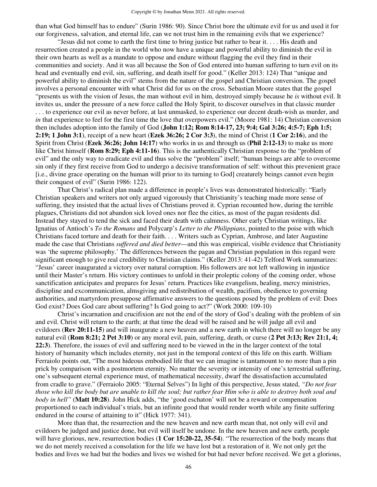than what God himself has to endure" (Surin 1986: 90). Since Christ bore the ultimate evil for us and used it for our forgiveness, salvation, and eternal life, can we not trust him in the remaining evils that we experience?

"Jesus did not come to earth the first time to bring justice but rather to bear it. . . . His death and resurrection created a people in the world who now have a unique and powerful ability to diminish the evil in their own hearts as well as a mandate to oppose and endure without flagging the evil they find in their communities and society. And it was all because the Son of God entered into human suffering to turn evil on its head and eventually end evil, sin, suffering, and death itself for good." (Keller 2013: 124) That "unique and powerful ability to diminish the evil" stems from the nature of the gospel and Christian conversion. The gospel involves a personal encounter with what Christ did for us on the cross. Sebastian Moore states that the gospel "presents us with the vision of Jesus, the man without evil in him, destroyed simply because he *is* without evil. It invites us, under the pressure of a new force called the Holy Spirit, to discover ourselves in that classic murder . . . to experience our evil as never before, at last unmasked, to experience our decent death-wish as murder, and *in* that experience to feel for the first time the love that overpowers evil." (Moore 1981: 14) Christian conversion then includes adoption into the family of God (**John 1:12; Rom 8:14-17, 23; 9:4; Gal 3:26; 4:5-7; Eph 1:5; 2:19; 1 John 3:1**), receipt of a new heart (**Ezek 36:26; 2 Cor 3:3**), the mind of Christ (**1 Cor 2:16**), and the Spirit from Christ (**Ezek 36:26; John 14:17**) who works in us and through us (**Phil 2:12-13**) to make us more like Christ himself (**Rom 8:29; Eph 4:11-16**). This is the authentically Christian response to the "problem of evil" and the only way to eradicate evil and thus solve the "problem" itself; "human beings are able to overcome sin only if they first receive from God to undergo a decisive transformation of self: without this prevenient grace [i.e., divine grace operating on the human will prior to its turning to God] creaturely beings cannot even begin their conquest of evil" (Surin 1986: 122).

That Christ's radical plan made a difference in people's lives was demonstrated historically: "Early Christian speakers and writers not only argued vigorously that Christianity's teaching made more sense of suffering, they insisted that the actual lives of Christians proved it. Cyprian recounted how, during the terrible plagues, Christians did not abandon sick loved ones nor flee the cities, as most of the pagan residents did. Instead they stayed to tend the sick and faced their death with calmness. Other early Christian writings, like Ignatius of Antioch's *To the Romans* and Polycarp's *Letter to the Philippians*, pointed to the poise with which Christians faced torture and death for their faith. . . . Writers such as Cyprian, Ambrose, and later Augustine made the case that Christians *suffered and died better*—and this was empirical, visible evidence that Christianity was 'the supreme philosophy.' The differences between the pagan and Christian population in this regard were significant enough to give real credibility to Christian claims." (Keller 2013: 41-42) Telford Work summarizes: "Jesus' career inaugurated a victory over natural corruption. His followers are not left wallowing in injustice until their Master's return. His victory continues to unfold in their proleptic colony of the coming order, whose sanctification anticipates and prepares for Jesus' return. Practices like evangelism, healing, mercy ministries, discipline and excommunication, almsgiving and redistribution of wealth, pacifism, obedience to governing authorities, and martyrdom presuppose affirmative answers to the questions posed by the problem of evil: Does God exist? Does God care about suffering? Is God going to act?" (Work 2000: 109-10)

Christ's incarnation and crucifixion are not the end of the story of God's dealing with the problem of sin and evil. Christ will return to the earth; at that time the dead will be raised and he will judge all evil and evildoers (**Rev 20:11-15**) and will inaugurate a new heaven and a new earth in which there will no longer be any natural evil (**Rom 8:21; 2 Pet 3:10**) or any moral evil, pain, suffering, death, or curse (**2 Pet 3:13; Rev 21:1, 4; 22:3**). Therefore, the issues of evil and suffering need to be viewed in the in the larger context of the total history of humanity which includes eternity, not just in the temporal context of this life on this earth. William Ferraiolo points out, "The most hideous embodied life that we can imagine is tantamount to no more than a pin prick by comparison with a postmortem eternity. No matter the severity or intensity of one's terrestrial suffering, one's subsequent eternal experience must, of mathematical necessity, dwarf the dissatisfaction accumulated from cradle to grave." (Ferraiolo 2005: "Eternal Selves") In light of this perspective, Jesus stated, *"Do not fear those who kill the body but are unable to kill the soul; but rather fear Him who is able to destroy both soul and body in hell"* (**Matt 10:28**). John Hick adds, "the 'good eschaton' will not be a reward or compensation proportioned to each individual's trials, but an infinite good that would render worth while any finite suffering endured in the course of attaining to it" (Hick 1977: 341).

More than that, the resurrection and the new heaven and new earth mean that, not only will evil and evildoers be judged and justice done, but evil will itself be undone. In the new heaven and new earth, people will have glorious, new, resurrection bodies (**1 Cor 15:20-22, 35-54**). "The resurrection of the body means that we do not merely received a consolation for the life we have lost but a restoration of it. We not only get the bodies and lives we had but the bodies and lives we wished for but had never before received. We get a glorious,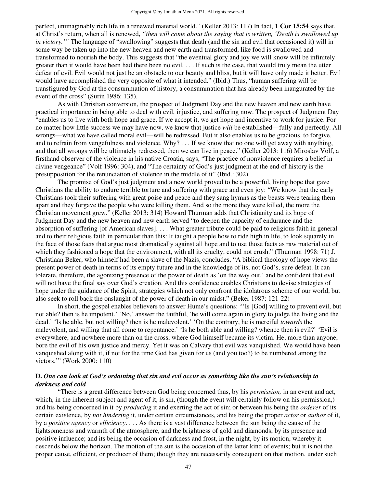perfect, unimaginably rich life in a renewed material world." (Keller 2013: 117) In fact, **1 Cor 15:54** says that, at Christ's return, when all is renewed, *"then will come about the saying that is written, 'Death is swallowed up in victory.'"* The language of "swallowing" suggests that death (and the sin and evil that occasioned it) will in some way be taken up into the new heaven and new earth and transformed, like food is swallowed and transformed to nourish the body. This suggests that "the eventual glory and joy we will know will be infinitely greater than it would have been had there been no evil. . . . If such is the case, that would truly mean the utter defeat of evil. Evil would not just be an obstacle to our beauty and bliss, but it will have only made it better. Evil would have accomplished the very opposite of what it intended." (Ibid.) Thus, "human suffering will be transfigured by God at the consummation of history, a consummation that has already been inaugurated by the event of the cross" (Surin 1986: 135).

As with Christian conversion, the prospect of Judgment Day and the new heaven and new earth have practical importance in being able to deal with evil, injustice, and suffering now. The prospect of Judgment Day "enables us to live with both hope and grace. If we accept it, we get hope and incentive to work for justice. For no matter how little success we may have now, we know that justice *will* be established—fully and perfectly. All wrongs—what we have called moral evil—will be redressed. But it also enables us to be gracious, to forgive, and to refrain from vengefulness and violence. Why? . . . If we know that no one will get away with anything, and that all wrongs will be ultimately redressed, then we can live in peace." (Keller 2013: 116) Miroslav Volf, a firsthand observer of the violence in his native Croatia, says, "The practice of nonviolence requires a belief in divine vengeance" (Volf 1996: 304), and "The certainty of God's just judgment at the end of history is the presupposition for the renunciation of violence in the middle of it" (Ibid.: 302).

The promise of God's just judgment and a new world proved to be a powerful, living hope that gave Christians the ability to endure terrible torture and suffering with grace and even joy: "We know that the early Christians took their suffering with great poise and peace and they sang hymns as the beasts were tearing them apart and they forgave the people who were killing them. And so the more they were killed, the more the Christian movement grew." (Keller 2013: 314) Howard Thurman adds that Christianity and its hope of Judgment Day and the new heaven and new earth served "to deepen the capacity of endurance and the absorption of suffering [of American slaves]. . . . What greater tribute could be paid to religious faith in general and to their religious faith in particular than this: It taught a people how to ride high in life, to look squarely in the face of those facts that argue most dramatically against all hope and to use those facts as raw material out of which they fashioned a hope that the environment, with all its cruelty, could not crush." (Thurman 1998: 71) J. Christiaan Beker, who himself had been a slave of the Nazis, concludes, "A biblical theology of hope views the present power of death in terms of its empty future and in the knowledge of its, not God's, sure defeat. It can tolerate, therefore, the agonizing presence of the power of death as 'on the way out,' and be confident that evil will not have the final say over God's creation. And this confidence enables Christians to devise strategies of hope under the guidance of the Spirit, strategies which not only confront the idolatrous scheme of our world, but also seek to roll back the onslaught of the power of death in our midst." (Beker 1987: 121-22)

In short, the gospel enables believers to answer Hume's questions: "'Is [God] willing to prevent evil, but not able? then is he impotent.' 'No,' answer the faithful, 'he will come again in glory to judge the living and the dead.' 'Is he able, but not willing? then is he malevolent.' 'On the contrary, he is merciful *towards* the malevolent, and willing that all come to repentance.' 'Is he both able and willing? whence then is evil?' 'Evil is everywhere, and nowhere more than on the cross, where God himself became its victim. He, more than anyone, bore the evil of his own justice and mercy. Yet it was on Calvary that evil was vanquished. We would have been vanquished along with it, if not for the time God has given for us (and you too?) to be numbered among the victors.'" (Work 2000: 110)

# **D.** *One can look at God's ordaining that sin and evil occur as something like the sun's relationship to darkness and cold*

"There is a great difference between God being concerned thus, by his *permission,* in an event and act, which, in the inherent subject and agent of it, is sin, (though the event will certainly follow on his permission,) and his being concerned in it by *producing* it and exerting the act of sin; or between his being the *orderer* of its certain existence, by *not hindering* it, under certain circumstances, and his being the proper *actor* or *author* of it, by a *positive agency* or *efficiency*. . . . As there is a vast difference between the sun being the cause of the lightsomeness and warmth of the atmosphere, and the brightness of gold and diamonds, by its presence and positive influence; and its being the occasion of darkness and frost, in the night, by its motion, whereby it descends below the horizon. The motion of the sun is the occasion of the latter kind of events; but it is not the proper cause, efficient, or producer of them; though they are necessarily consequent on that motion, under such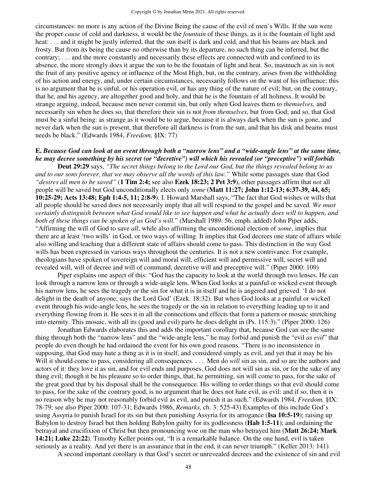circumstances: no more is any action of the Divine Being the cause of the evil of men's Wills. If the sun were the proper *cause* of cold and darkness, it would be the *fountain* of these things, as it is the fountain of light and heat: . . . and it might be justly inferred, that the sun itself is dark and cold, and that his beams are black and frosty. But from its being the cause no otherwise than by its departure, no such thing can be inferred, but the contrary; . . . and the more constantly and necessarily these effects are connected with and confined to its absence, the more strongly does it argue the sun to be the fountain of light and heat. So, inasmuch as sin is not the fruit of any positive agency or influence of the Most High, but, on the contrary, arises from the withholding of his action and energy, and, under certain circumstances, necessarily follows on the want of his influence; this is no argument that he is sinful, or his operation evil, or has any thing of the nature of evil; but, on the contrary, that he, and his agency, are altogether good and holy, and that he is the fountain of all holiness. It would be strange arguing, indeed, because men never commit sin, but only when God leaves them *to themselves,* and necessarily sin when he does so, that therefore their sin is not *from themselves,* but from God; and so, that God must be a sinful being: as strange as it would be to argue, because it is always dark when the sun is gone, and never dark when the sun is present, that therefore all darkness is from the sun, and that his disk and beams must needs be black." (Edwards 1984, *Freedom,* §IX: 77)

## **E.** *Because God can look at an event through both a "narrow lens" and a "wide-angle lens" at the same time, he may decree something by his secret (or "decretive") will which his revealed (or "preceptive") will forbids*

**Deut 29:29** says, *"The secret things belong to the Lord our God, but the things revealed belong to us and to our sons forever, that we may observe all the words of this law."* While some passages state that God *"desires all men to be saved"* (**1 Tim 2:4;** see also **Ezek 18:23; 2 Pet 3:9**), other passages affirm that *not* all people will be saved but God unconditionally elects only *some* (**Matt 11:27; John 1:12-13; 6:37-39, 44, 65; 10:25-29; Acts 13:48; Eph 1:4-5, 11; 2:8-9**). I. Howard Marshall says, "The fact that God wishes or wills that all people should be saved does not necessarily imply that all will respond to the gospel and be saved. *We must certainly distinguish between what God would like to see happen and what he actually does will to happen, and both of these things can be spoken of as God's will.*" (Marshall 1989: 56, emph. added) John Piper adds, "Affirming the will of God to save *all*, while also affirming the unconditional election of *some*, implies that there are at least 'two wills' in God, or two ways of willing. It implies that God decrees one state of affairs while also willing and teaching that a different state of affairs should come to pass. This distinction in the way God wills has been expressed in various ways throughout the centuries. It is not a new contrivance. For example, theologians have spoken of sovereign will and moral will, efficient will and permissive will, secret will and revealed will, will of decree and will of command, decretive will and preceptive will." (Piper 2000: 109)

Piper explains one aspect of this: "God has the capacity to look at the world through two lenses. He can look through a narrow lens or through a wide-angle lens*.* When God looks at a painful or wicked event through his narrow lens, he sees the tragedy or the sin for what it is in itself and he is angered and grieved. 'I do not delight in the death of anyone, says the Lord God' (Ezek. 18:32). But when God looks at a painful or wicked event through his wide-angle lens, he sees the tragedy or the sin in relation to everything leading up to it and everything flowing from it. He sees it in all the connections and effects that form a pattern or mosaic stretching into eternity. This mosaic, with all its (good and evil) parts he does delight in (Ps. 115:3)." (Piper 2000: 126)

Jonathan Edwards elaborates this and adds the important corollary that, because God can see the same thing through both the "narrow lens" and the "wide-angle lens," he may forbid and punish the "evil *as evil*" that people do even though he had ordained the event for his own good reasons. "There is no inconsistence in supposing, that God may hate a thing as it is in itself, and considered simply as evil, and yet that it may be his Will it should come to pass, considering all consequences. . . . Men do *will* sin as sin, and so are the authors and actors of it: they love it as sin, and for evil ends and purposes. God does not will sin as sin, or for the sake of any thing evil; though it be his pleasure so to order things, that, he permitting, sin will come to pass, for the sake of the great good that by his disposal shall be the consequence. His willing to order things so that evil should come to pass, for the sake of the contrary good, is no argument that he does not hate evil, as evil: and if so, then it is no reason why he may not reasonably forbid evil as evil, and punish it as such." (Edwards 1984, *Freedom,* §IX: 78-79; see also Piper 2000: 107-31; Edwards 1986, *Remarks,* ch. 3: 525-43) Examples of this include God's using Assyria to punish Israel for its sin but then punishing Assyria for its arrogance (**Isa 10:5-19**); raising up Babylon to destroy Israel but then holding Babylon guilty for its godlessness (**Hab 1:5-11**); and ordaining the betrayal and crucifixion of Christ but then pronouncing woe on the man who betrayed him (**Matt 26:24; Mark 14:21; Luke 22:22**). Timothy Keller points out, "It is a remarkable balance. On the one hand, evil is taken seriously as a reality. And yet there is an assurance that in the end, it can never triumph." (Keller 2013: 141)

A second important corollary is that God's secret or unrevealed decrees and the existence of sin and evil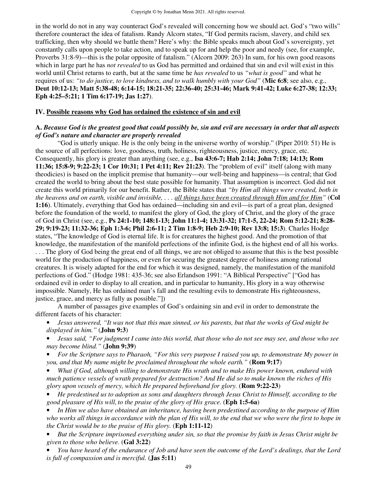in the world do not in any way counteract God's revealed will concerning how we should act. God's "two wills" therefore counteract the idea of fatalism. Randy Alcorn states, "If God permits racism, slavery, and child sex trafficking, then why should we battle them? Here's why: the Bible speaks much about God's sovereignty, yet constantly calls upon people to take action, and to speak up for and help the poor and needy (see, for example, Proverbs 31:8-9)—this is the polar opposite of fatalism." (Alcorn 2009: 263) In sum, for his own good reasons which in large part he has *not revealed* to us God has permitted and ordained that sin and evil will exist in this world until Christ returns to earth, but at the same time he *has revealed* to us *"what is good"* and what he requires of us: *"to do justice, to love kindness, and to walk humbly with your God"* (**Mic 6:8**; see also, e.g., **Deut 10:12-13; Matt 5:38-48; 6:14-15; 18:21-35; 22:36-40; 25:31-46; Mark 9:41-42; Luke 6:27-38; 12:33; Eph 4:25–5:21; 1 Tim 6:17-19; Jas 1:27**).

## **IV. Possible reasons why God has ordained the existence of sin and evil**

# **A.** *Because God is the greatest good that could possibly be, sin and evil are necessary in order that all aspects of God's nature and character are properly revealed*

"God is utterly unique. He is the only being in the universe worthy of worship." (Piper 2010: 51) He is the source of all perfections: love, goodness, truth, holiness, righteousness, justice, mercy, grace, etc. Consequently, his glory is greater than anything (see, e.g., **Isa 43:6-7; Hab 2:14; John 7:18; 14:13; Rom 11:36; 15:8-9; 9:22-23; 1 Cor 10:31; 1 Pet 4:11; Rev 21:23**). The "problem of evil" itself (along with many theodicies) is based on the implicit premise that humanity—our well-being and happiness—is central; that God created the world to bring about the best state possible for humanity. That assumption is incorrect. God did not create this world primarily for our benefit. Rather, the Bible states that *"by Him all things were created, both in the heavens and on earth, visible and invisible, . . . all things have been created through Him and for Him"* (**Col 1:16**). Ultimately, everything that God has ordained—including sin and evil—is part of a great plan, designed before the foundation of the world, to manifest the glory of God, the glory of Christ, and the glory of the grace of God in Christ (see, e.g., **Ps 24:1-10; 148:1-13; John 11:1-4; 13:31-32; 17:1-5, 22-24; Rom 5:12-21; 8:28- 29; 9:19-23; 11:32-36; Eph 1:3-6; Phil 2:6-11; 2 Tim 1:8-9; Heb 2:9-10; Rev 13:8; 15:3**). Charles Hodge states, "The knowledge of God is eternal life. It is for creatures the highest good. And the promotion of that knowledge, the manifestation of the manifold perfections of the infinite God, is the highest end of all his works. . . . The glory of God being the great end of all things, we are not obliged to assume that this is the best possible world for the production of happiness, or even for securing the greatest degree of holiness among rational creatures. It is wisely adapted for the end for which it was designed, namely, the manifestation of the manifold perfections of God." (Hodge 1981: 435-36; see also Erlandson 1991: "A Biblical Perspective" ["God has ordained evil in order to display to all creation, and in particular to humanity, His glory in a way otherwise impossible. Namely, He has ordained man's fall and the resulting evils to demonstrate His righteousness, justice, grace, and mercy as fully as possible."])

A number of passages give examples of God's ordaining sin and evil in order to demonstrate the different facets of his character:

• *Jesus answered, "It was not that this man sinned, or his parents, but that the works of God might be displayed in him."* (**John 9:3**)

• *Jesus said, "For judgment I came into this world, that those who do not see may see, and those who see may become blind."* (**John 9:39**)

- *For the Scripture says to Pharaoh, "For this very purpose I raised you up, to demonstrate My power in you, and that My name might be proclaimed throughout the whole earth."* (**Rom 9:17**)
- *What if God, although willing to demonstrate His wrath and to make His power known, endured with much patience vessels of wrath prepared for destruction? And He did so to make known the riches of His glory upon vessels of mercy, which He prepared beforehand for glory.* (**Rom 9:22-23**)
- *He predestined us to adoption as sons and daughters through Jesus Christ to Himself, according to the good pleasure of His will, to the praise of the glory of His grace.* (**Eph 1:5-6a**)

• *In Him we also have obtained an inheritance, having been predestined according to the purpose of Him who works all things in accordance with the plan of His will, to the end that we who were the first to hope in the Christ would be to the praise of His glory.* (**Eph 1:11-12**)

• *But the Scripture imprisoned everything under sin, so that the promise by faith in Jesus Christ might be given to those who believe.* (**Gal 3:22**)

• *You have heard of the endurance of Job and have seen the outcome of the Lord's dealings, that the Lord is full of compassion and is merciful.* (**Jas 5:11**)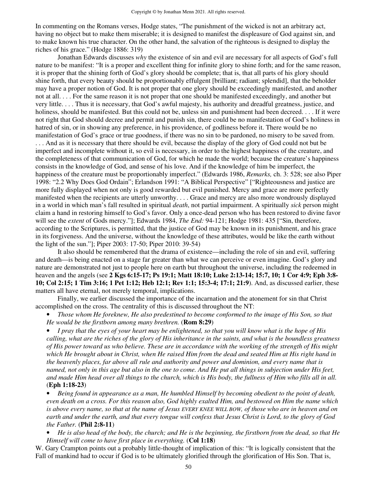In commenting on the Romans verses, Hodge states, "The punishment of the wicked is not an arbitrary act, having no object but to make them miserable; it is designed to manifest the displeasure of God against sin, and to make known his true character. On the other hand, the salvation of the righteous is designed to display the riches of his grace." (Hodge 1886: 319)

Jonathan Edwards discusses *why* the existence of sin and evil are necessary for all aspects of God's full nature to be manifest: "It is a proper and excellent thing for infinite glory to shine forth; and for the same reason, it is proper that the shining forth of God's glory should be complete; that is, that all parts of his glory should shine forth, that every beauty should be proportionably effulgent [brilliant; radiant; splendid], that the beholder may have a proper notion of God. It is not proper that one glory should be exceedingly manifested, and another not at all. . . . For the same reason it is not proper that one should be manifested exceedingly, and another but very little. . . . Thus it is necessary, that God's awful majesty, his authority and dreadful greatness, justice, and holiness, should be manifested. But this could not be, unless sin and punishment had been decreed. . . . If it were not right that God should decree and permit and punish sin, there could be no manifestation of God's holiness in hatred of sin, or in showing any preference, in his providence, of godliness before it. There would be no manifestation of God's grace or true goodness, if there was no sin to be pardoned, no misery to be saved from. . . . And as it is necessary that there should be evil, because the display of the glory of God could not but be imperfect and incomplete without it, so evil is necessary, in order to the highest happiness of the creature, and the completeness of that communication of God, for which he made the world; because the creature's happiness consists in the knowledge of God, and sense of his love. And if the knowledge of him be imperfect, the happiness of the creature must be proportionably imperfect." (Edwards 1986, *Remarks,* ch. 3: 528; see also Piper 1998: "2.2 Why Does God Ordain"; Erlandson 1991: "A Biblical Perspective" ["Righteousness and justice are more fully displayed when not only is good rewarded but evil punished. Mercy and grace are more perfectly manifested when the recipients are utterly unworthy. . . . Grace and mercy are also more wondrously displayed in a world in which man's fall resulted in spiritual *death*, not partial impairment. A spiritually *sick* person might claim a hand in restoring himself to God's favor. Only a once-dead person who has been restored to divine favor will see the *extent* of Gods mercy."]; Edwards 1984, *The End:* 94-121; Hodge 1981: 435 ["Sin, therefore, according to the Scriptures, is permitted, that the justice of God may be known in its punishment, and his grace in its forgiveness. And the universe, without the knowledge of these attributes, would be like the earth without the light of the sun."]; Piper 2003: 17-50; Piper 2010: 39-54)

It also should be remembered that the drama of existence—including the role of sin and evil, suffering and death—is being enacted on a stage far greater than what we can perceive or even imagine. God's glory and nature are demonstrated not just to people here on earth but throughout the universe, including the redeemed in heaven and the angels (see **2 Kgs 6:15-17; Ps 19:1; Matt 18:10; Luke 2:13-14; 15:7, 10; 1 Cor 4:9; Eph 3:8- 10; Col 2:15; 1 Tim 3:16; 1 Pet 1:12; Heb 12:1; Rev 1:1; 15:3-4; 17:1; 21:9**). And, as discussed earlier, these matters all have eternal, not merely temporal, implications.

 Finally, we earlier discussed the importance of the incarnation and the atonement for sin that Christ accomplished on the cross. The centrality of this is discussed throughout the NT:

- *Those whom He foreknew, He also predestined to become conformed to the image of His Son, so that*
- *He would be the firstborn among many brethren.* (**Rom 8:29**)

• *I pray that the eyes of your heart may be enlightened, so that you will know what is the hope of His calling, what are the riches of the glory of His inheritance in the saints, and what is the boundless greatness of His power toward us who believe. These are in accordance with the working of the strength of His might which He brought about in Christ, when He raised Him from the dead and seated Him at His right hand in the heavenly places, far above all rule and authority and power and dominion, and every name that is named, not only in this age but also in the one to come. And He put all things in subjection under His feet, and made Him head over all things to the church, which is His body, the fullness of Him who fills all in all.* (**Eph 1:18-23**)

• *Being found in appearance as a man, He humbled Himself by becoming obedient to the point of death, even death on a cross. For this reason also, God highly exalted Him, and bestowed on Him the name which is above every name, so that at the name of Jesus EVERY KNEE WILL BOW, of those who are in heaven and on earth and under the earth, and that every tongue will confess that Jesus Christ is Lord, to the glory of God the Father.* (**Phil 2:8-11**)

• *He is also head of the body, the church; and He is the beginning, the firstborn from the dead, so that He Himself will come to have first place in everything.* (**Col 1:18**)

W. Gary Crampton points out a probably little-thought of implication of this: "It is logically consistent that the Fall of mankind had to occur if God is to be ultimately glorified through the glorification of His Son. That is,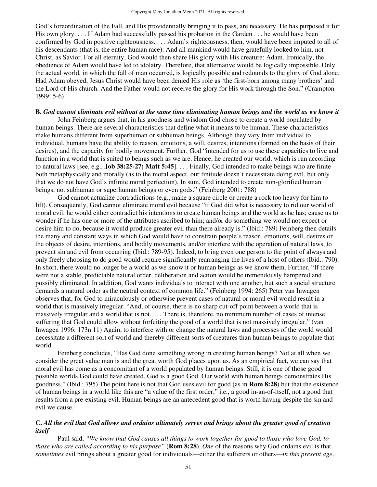God's foreordination of the Fall, and His providentially bringing it to pass, are necessary. He has purposed it for His own glory. . . . If Adam had successfully passed his probation in the Garden . . . he would have been confirmed by God in positive righteousness. . . . Adam's righteousness, then, would have been imputed to all of his descendants (that is, the entire human race). And all mankind would have gratefully looked to him, not Christ, as Savior. For all eternity, God would then share His glory with His creature: Adam. Ironically, the obedience of Adam would have led to idolatry. Therefore, that alternative would be logically impossible. Only the actual world, in which the fall of man occurred, is logically possible and redounds to the glory of God alone. Had Adam obeyed, Jesus Christ would have been denied His role as 'the first-born among many brothers' and the Lord of His church. And the Father would not receive the glory for His work through the Son." (Crampton 1999: 5-6)

## **B.** *God cannot eliminate evil without at the same time eliminating human beings and the world as we know it*

 John Feinberg argues that, in his goodness and wisdom God chose to create a world populated by human beings. There are several characteristics that define what it means to be human. These characteristics make humans different from superhuman or subhuman beings. Although they vary from individual to individual, humans have the ability to reason, emotions, a will, desires, intentions (formed on the basis of their desires), and the capacity for bodily movement. Further, God "intended for us to use these capacities to live and function in a world that is suited to beings such as we are. Hence, he created our world, which is run according to natural laws [see, e.g., **Job 38:25-27; Matt 5:45**]. . . . Finally, God intended to make beings who are finite both metaphysically and morally (as to the moral aspect, our finitude doesn't necessitate doing evil, but only that we do not have God's infinite moral perfection). In sum, God intended to create non-glorified human beings, not subhuman or superhuman beings or even gods." (Feinberg 2001: 788)

 God cannot actualize contradictions (e.g., make a square circle or create a rock too heavy for him to lift). Consequently, God cannot eliminate moral evil because "if God did what is necessary to rid our world of moral evil, he would either contradict his intentions to create human beings and the world as he has; cause us to wonder if he has one or more of the attributes ascribed to him; and/or do something we would not expect or desire him to do, because it would produce greater evil than there already is." (Ibid.: 789) Feinberg then details the many and constant ways in which God would have to constrain people's reason, emotions, will, desires or the objects of desire, intentions, and bodily movements, and/or interfere with the operation of natural laws, to prevent sin and evil from occurring (Ibid.: 789-95). Indeed, to bring even one person to the point of always and only freely choosing to do good would require significantly rearranging the lives of a host of others (Ibid.: 790). In short, there would no longer be a world as we know it or human beings as we know them. Further, "If there were not a stable, predictable natural order, deliberation and action would be tremendously hampered and possibly eliminated. In addition, God wants individuals to interact with one another, but such a social structure demands a natural order as the neutral context of common life." (Feinberg 1994: 265) Peter van Inwagen observes that, for God to miraculously or otherwise prevent cases of natural or moral evil would result in a world that is massively irregular. "And, of course, there is no sharp cut-off point between a world that is massively irregular and a world that is not. . . . There is, therefore, no minimum number of cases of intense suffering that God could allow without forfeiting the good of a world that is not massively irregular." (van Inwagen 1996: 173n.11) Again, to interfere with or change the natural laws and processes of the world would necessitate a different sort of world and thereby different sorts of creatures than human beings to populate that world.

Feinberg concludes, "Has God done something wrong in creating human beings? Not at all when we consider the great value man is and the great worth God places upon us. As an empirical fact, we can say that moral evil has come as a concomitant of a world populated by human beings. Still, it is one of those good possible worlds God could have created. God is a good God. Our world with human beings demonstrates His goodness." (Ibid.: 795) The point here is not that God uses evil for good (as in **Rom 8:28**) but that the existence of human beings in a world like this are "a value of the first order," i.e., a good in-an-of-itself, not a good that results from a pre-existing evil. Human beings are an antecedent good that is worth having despite the sin and evil we cause.

# **C.** *All the evil that God allows and ordains ultimately serves and brings about the greater good of creation itself*

Paul said, *"We know that God causes all things to work together for good to those who love God, to those who are called according to his purpose"* (**Rom 8:28**). *One* of the reasons why God ordains evil is that *sometimes* evil brings about a greater good for individuals—either the sufferers or others—*in this present age*.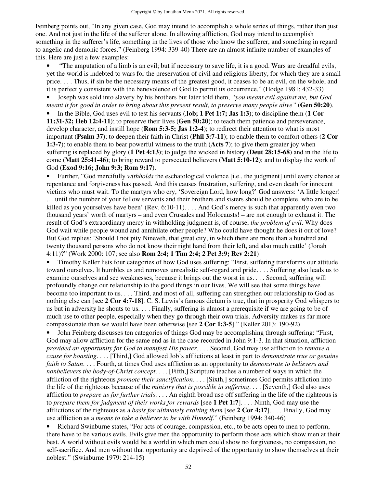Feinberg points out, "In any given case, God may intend to accomplish a whole series of things, rather than just one. And not just in the life of the sufferer alone. In allowing affliction, God may intend to accomplish something in the sufferer's life, something in the lives of those who know the sufferer, and something in regard to angelic and demonic forces." (Feinberg 1994: 339-40) There are an almost infinite number of examples of this. Here are just a few examples:

• "The amputation of a limb is an evil; but if necessary to save life, it is a good. Wars are dreadful evils, yet the world is indebted to wars for the preservation of civil and religious liberty, for which they are a small price. . . . Thus, if sin be the necessary means of the greatest good, it ceases to be an evil, on the whole, and it is perfectly consistent with the benevolence of God to permit its occurrence." (Hodge 1981: 432-33)

• Joseph was sold into slavery by his brothers but later told them, *"you meant evil against me, but God meant it for good in order to bring about this present result, to preserve many people alive"* (**Gen 50:20**).

• In the Bible, God uses evil to test his servants (**Job; 1 Pet 1:7; Jas 1:3**); to discipline them (**1 Cor 11:31-32; Heb 12:4-11**); to preserve their lives (**Gen 50:20**); to teach them patience and perseverance, develop character, and instill hope (**Rom 5:3-5; Jas 1:2-4**); to redirect their attention to what is most important (**Psalm 37**); to deepen their faith in Christ (**Phil 3:7-11**); to enable them to comfort others (**2 Cor 1:3-7**); to enable them to bear powerful witness to the truth (**Acts 7**); to give them greater joy when suffering is replaced by glory (**1 Pet 4:13**); to judge the wicked in history (**Deut 28:15-68**) and in the life to come (**Matt 25:41-46**); to bring reward to persecuted believers (**Matt 5:10-12**); and to display the work of God (**Exod 9:16; John 9:3; Rom 9:17**).

• Further, "God mercifully *withholds* the eschatological violence [i.e., the judgment] until every chance at repentance and forgiveness has passed. And this causes frustration, suffering, and even death for innocent victims who must wait. To the martyrs who cry, 'Sovereign Lord, how long?' God answers: 'A little longer! … until the number of your fellow servants and their brothers and sisters should be complete, who are to be killed as you yourselves have been'  $(Rev. 6: 10-11)$ ... And God's mercy is such that apparently even two thousand years' worth of martyrs – and even Crusades and Holocausts! – are not enough to exhaust it. The result of God's extraordinary mercy in withholding judgment is, of course, *the problem of evil*. Why does God wait while people wound and annihilate other people? Who could have thought he does it out of love? But God replies: 'Should I not pity Nineveh, that great city, in which there are more than a hundred and twenty thousand persons who do not know their right hand from their left, and also much cattle' (Jonah 4:11)?" (Work 2000: 107; see also **Rom 2:4; 1 Tim 2:4; 2 Pet 3:9; Rev 2:21**)

• Timothy Keller lists four categories of how God uses suffering: "First, suffering transforms our attitude toward ourselves. It humbles us and removes unrealistic self-regard and pride. . . . Suffering also leads us to examine ourselves and see weaknesses, because it brings out the worst in us. . . . Second, suffering will profoundly change our relationship to the good things in our lives. We will see that some things have become too important to us. . . . Third, and most of all, suffering can strengthen our relationship to God as nothing else can [see **2 Cor 4:7-18**]. C. S. Lewis's famous dictum is true, that in prosperity God whispers to us but in adversity he shouts to us. . . . Finally, suffering is almost a prerequisite if we are going to be of much use to other people, especially when they go through their own trials. Adversity makes us far more compassionate than we would have been otherwise [see **2 Cor 1:3-5**]." (Keller 2013: 190-92)

• John Feinberg discusses ten categories of things God may be accomplishing through suffering: "First, God may allow affliction for the same end as in the case recorded in John 9:1-3. In that situation, affliction *provided an opportunity for God to manifest His power*. . . . Second, God may use affliction to *remove a cause for boasting*. . . . [Third,] God allowed Job's afflictions at least in part to *demonstrate true or genuine faith to Satan*. . . . Fourth, at times God uses affliction as an opportunity to *demonstrate to believers and nonbelievers the body-of-Christ concept*. . . . [Fifth,] Scripture teaches a number of ways in which the affliction of the righteous *promote their sanctification*. . . . [Sixth,] sometimes God permits affliction into the life of the righteous because of the *ministry that is possible in suffering*. . . . [Seventh,] God also uses affliction to *prepare us for further trials*. . . . An eighth broad use off suffering in the life of the righteous is to *prepare them for judgment of their works for rewards* [see **1 Pet 1:7**]. . . . Ninth, God may use the afflictions of the righteous as a *basis for ultimately exalting them* [see **2 Cor 4:17**]. . . . Finally, God may use affliction as a *means to take a believer to be with Himself*." (Feinberg 1994: 340-46)

• Richard Swinburne states, "For acts of courage, compassion, etc., to be acts open to men to perform, there have to be various evils. Evils give men the opportunity to perform those acts which show men at their best. A world without evils would be a world in which men could show no forgiveness, no compassion, no self-sacrifice. And men without that opportunity are deprived of the opportunity to show themselves at their noblest." (Swinburne 1979: 214-15)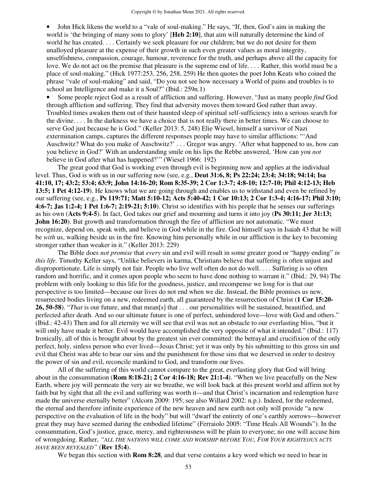• John Hick likens the world to a "vale of soul-making." He says, "If, then, God's aim in making the world is 'the bringing of many sons to glory' [**Heb 2:10**], that aim will naturally determine the kind of world he has created. . . . Certainly we seek pleasure for our children; but we do not desire for them unalloyed pleasure at the expense of their growth in such even greater values as moral integrity, unselfishness, compassion, courage, humour, reverence for the truth, and perhaps above all the capacity for love. We do not act on the premise that pleasure is the supreme end of life. . . . Rather, this world must be a place of soul-making." (Hick 1977:253, 256, 258, 259) He then quotes the poet John Keats who coined the phrase "vale of soul-making" and said, "Do you not see how necessary a World of pains and troubles is to school an Intelligence and make it a Soul?" (Ibid.: 259n.1)

• Some people reject God as a result of affliction and suffering. However, "Just as many people *find* God through affliction and suffering. They find that adversity moves them toward God rather than away. Troubled times awaken them out of their haunted sleep of spiritual self-sufficiency into a serious search for the divine. . . . In the darkness we have a choice that is not really there in better times. We can choose to serve God just because he is God." (Keller 2013: 5, 248) Elie Wiesel, himself a survivor of Nazi extermination camps, captures the different responses people may have to similar afflictions: "'And Auschwitz? What do you make of Auschwitz?' . . . Gregor was angry. 'After what happened to us, how can you believe in God?' With an understanding smile on his lips the Rebbe answered, 'How can you *not*  believe in God after what has happened?'" (Wiesel 1966: 192)

The great good that God is working even through evil is beginning now and applies at the individual level. Thus, God is with us in our suffering now (see, e.g., **Deut 31:6, 8; Ps 22:24; 23:4; 34:18; 94:14; Isa 41:10, 17; 43:2; 53:4; 63:9; John 14:16-20; Rom 8:35-39; 2 Cor 1:3-7; 4:8-10; 12:7-10; Phil 4:12-13; Heb 13:5; 1 Pet 4:12-19**). He knows what we are going through and enables us to withstand and even be refined by our suffering (see, e.g., **Ps 119:71; Matt 5:10-12; Acts 5:40-42; 1 Cor 10:13; 2 Cor 1:3-4; 4:16-17; Phil 3:10; 4:6-7; Jas 1:2-4; 1 Pet 1:6-7; 2:19-21; 5:10**). Christ so identifies with his people that he senses our sufferings as his own (**Acts 9:4-5**). In fact, God takes our grief and mourning and turns it into joy (**Ps 30:11; Jer 31:13; John 16:20**). But growth and transformation through the fire of affliction are not automatic. "We must recognize, depend on, speak with, and believe in God while in the fire. God himself says in Isaiah 43 that he will be *with* us, walking beside us in the fire. Knowing him personally while in our affliction is the key to becoming stronger rather than weaker in it." (Keller 2013: 229)

The Bible does *not promise* that *every* sin and evil will result in some greater good or "happy ending" *in this life.* Timothy Keller says, "Unlike believers in karma, Christians believe that suffering is often unjust and disproportionate. Life is simply not fair. People who live well often do not do well. . . . Suffering is so often random and horrific, and it comes upon people who seem to have done nothing to warrant it." (Ibid.: 29, 94) The problem with only looking to this life for the goodness, justice, and recompense we long for is that our perspective is too limited—because our lives do not end when we die. Instead, the Bible promises us new, resurrected bodies living on a new, redeemed earth, all guaranteed by the resurrection of Christ (**1 Cor 15:20- 26, 50-58**). "*That* is our future, and that mean[s] that . . . our personalities will be sustained, beautified, and perfected after death. And so our ultimate future is one of perfect, unhindered love—love with God and others." (Ibid.: 42-43) Then and for all eternity we will see that evil was not an obstacle to our everlasting bliss, "but it will only have made it better. Evil would have accomplished the very opposite of what it intended." (Ibid.: 117) Ironically, all of this is brought about by the greatest sin ever committed: the betrayal and crucifixion of the only perfect, holy, sinless person who ever lived—Jesus Christ; yet it was only by his submitting to this gross sin and evil that Christ was able to bear our sins and the punishment for those sins that we deserved in order to destroy the power of sin and evil, reconcile mankind to God, and transform our lives.

All of the suffering of this world cannot compare to the great, everlasting glory that God will bring about in the consummation (**Rom 8:18-21; 2 Cor 4:16-18; Rev 21:1-4**). "When we live peacefully on the New Earth, where joy will permeate the very air we breathe, we will look back at this present world and affirm not by faith but by sight that all the evil and suffering was worth it—and that Christ's incarnation and redemption have made the universe eternally better" (Alcorn 2009: 195; see also Willard 2002: n.p.). Indeed, for the redeemed, the eternal and therefore infinite experience of the new heaven and new earth not only will provide "a new perspective on the evaluation of life in the body" but will "dwarf the entirety of one's earthly sorrows—however great they may have seemed during the embodied lifetime" (Ferraiolo 2005: "Time Heals All Wounds"). In the consummation, God's justice, grace, mercy, and righteousness will be plain to everyone; no one will accuse him of wrongdoing. Rather, *"ALL THE NATIONS WILL COME AND WORSHIP BEFORE YOU, FOR YOUR RIGHTEOUS ACTS HAVE BEEN REVEALED"* (**Rev 15:4**).

We began this section with **Rom 8:28**, and that verse contains a key word which we need to bear in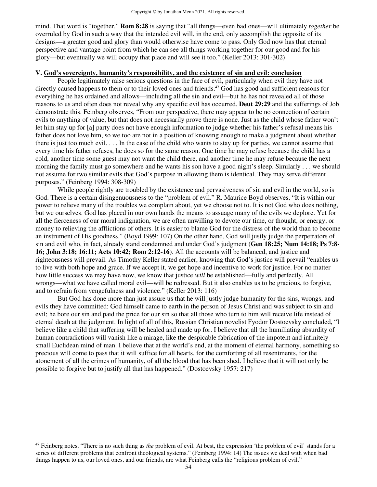mind. That word is "together." **Rom 8:28** is saying that "all things—even bad ones—will ultimately *together* be overruled by God in such a way that the intended evil will, in the end, only accomplish the opposite of its designs—a greater good and glory than would otherwise have come to pass. Only God now has that eternal perspective and vantage point from which he can see all things working together for our good and for his glory—but eventually we will occupy that place and will see it too." (Keller 2013: 301-302)

# **V. God's sovereignty, humanity's responsibility, and the existence of sin and evil: conclusion**

 People legitimately raise serious questions in the face of evil, particularly when evil they have not directly caused happens to them or to their loved ones and friends.<sup>47</sup> God has good and sufficient reasons for everything he has ordained and allows—including all the sin and evil—but he has not revealed all of those reasons to us and often does not reveal why any specific evil has occurred. **Deut 29:29** and the sufferings of Job demonstrate this. Feinberg observes, "From our perspective, there may appear to be no connection of certain evils to anything of value, but that does not necessarily prove there is none. Just as the child whose father won't let him stay up for [a] party does not have enough information to judge whether his father's refusal means his father does not love him, so we too are not in a position of knowing enough to make a judgment about whether there is just too much evil. . . . In the case of the child who wants to stay up for parties, we cannot assume that every time his father refuses, he does so for the same reason. One time he may refuse because the child has a cold, another time some guest may not want the child there, and another time he may refuse because the next morning the family must go somewhere and he wants his son have a good night's sleep. Similarly . . . we should not assume for two similar evils that God's purpose in allowing them is identical. They may serve different purposes." (Feinberg 1994: 308-309)

While people rightly are troubled by the existence and pervasiveness of sin and evil in the world, so is God. There is a certain disingenuousness to the "problem of evil." R. Maurice Boyd observes, "It is within our power to relieve many of the troubles we complain about, yet we choose not to. It is not God who does nothing, but we ourselves. God has placed in our own hands the means to assuage many of the evils we deplore. Yet for all the fierceness of our moral indignation, we are often unwilling to devote our time, or thought, or energy, or money to relieving the afflictions of others. It is easier to blame God for the distress of the world than to become an instrument of His goodness." (Boyd 1999: 107) On the other hand, God will justly judge the perpetrators of sin and evil who, in fact, already stand condemned and under God's judgment (**Gen 18:25; Num 14:18; Ps 7:8- 16; John 3:18; 16:11; Acts 10:42; Rom 2:12-16**). All the accounts will be balanced, and justice and righteousness will prevail. As Timothy Keller stated earlier, knowing that God's justice will prevail "enables us to live with both hope and grace. If we accept it, we get hope and incentive to work for justice. For no matter how little success we may have now, we know that justice *will* be established—fully and perfectly. All wrongs—what we have called moral evil—will be redressed. But it also enables us to be gracious, to forgive, and to refrain from vengefulness and violence." (Keller 2013: 116)

But God has done more than just assure us that he will justly judge humanity for the sins, wrongs, and evils they have committed: God himself came to earth in the person of Jesus Christ and was subject to sin and evil; he bore our sin and paid the price for our sin so that all those who turn to him will receive life instead of eternal death at the judgment. In light of all of this, Russian Christian novelist Fyodor Dostoevsky concluded, "I believe like a child that suffering will be healed and made up for. I believe that all the humiliating absurdity of human contradictions will vanish like a mirage, like the despicable fabrication of the impotent and infinitely small Euclidean mind of man. I believe that at the world's end, at the moment of eternal harmony, something so precious will come to pass that it will suffice for all hearts, for the comforting of all resentments, for the atonement of all the crimes of humanity, of all the blood that has been shed. I believe that it will not only be possible to forgive but to justify all that has happened." (Dostoevsky 1957: 217)

<sup>47</sup> Feinberg notes, "There is no such thing as *the* problem of evil. At best, the expression 'the problem of evil' stands for a series of different problems that confront theological systems." (Feinberg 1994: 14) The issues we deal with when bad things happen to us, our loved ones, and our friends, are what Feinberg calls the "religious problem of evil."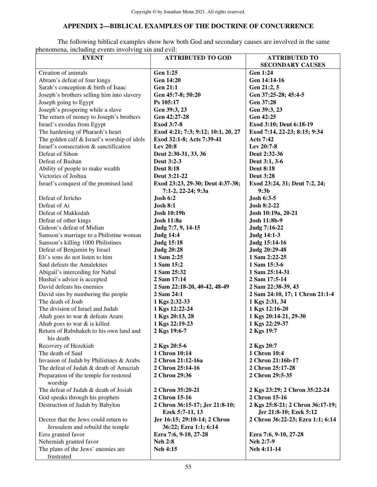# **APPENDIX 2—BIBLICAL EXAMPLES OF THE DOCTRINE OF CONCURRENCE**

The following biblical examples show how both God and secondary causes are involved in the same phenomena, including events involving sin and evil:

| <b>EVENT</b>                                     | <b>ATTRIBUTED TO GOD</b>                               | <b>ATTRIBUTED TO</b>                              |
|--------------------------------------------------|--------------------------------------------------------|---------------------------------------------------|
|                                                  |                                                        | <b>SECONDARY CAUSES</b>                           |
| Creation of animals                              | <b>Gen 1:25</b>                                        | <b>Gen 1:24</b>                                   |
| Abram's defeat of four kings                     | <b>Gen 14:20</b>                                       | Gen 14:14-16                                      |
| Sarah's conception & birth of Isaac              | <b>Gen 21:1</b>                                        | Gen 21:2, 5                                       |
| Joseph's brothers selling him into slavery       | Gen 45:7-8; 50:20                                      | Gen 37:25-28; 45:4-5                              |
| Joseph going to Egypt                            | Ps 105:17                                              | Gen 37:28                                         |
| Joseph's prospering while a slave                | Gen 39:3, 23                                           | Gen 39:3, 23                                      |
| The return of money to Joseph's brothers         | Gen 42:27-28                                           | Gen 42:25                                         |
| Israel's exodus from Egypt                       | <b>Exod 3:7-8</b>                                      | Exod 3:10; Deut 6:18-19                           |
| The hardening of Pharaoh's heart                 | Exod 4:21; 7:3; 9:12; 10:1, 20, 27                     | Exod 7:14, 22-23; 8:15; 9:34                      |
| The golden calf & Israel's worship of idols      | Exod 32:1-8; Acts 7:39-41                              | <b>Acts 7:42</b>                                  |
| Israel's consecration & sanctification           | Lev 20:8                                               | Lev 20:7-8                                        |
| Defeat of Sihon                                  | Deut 2:30-31, 33, 36                                   | Deut 2:32-36                                      |
| Defeat of Bashan                                 | Deut 3:2-3                                             | Deut 3:1, 3-6                                     |
| Ability of people to make wealth                 | <b>Deut 8:18</b>                                       | <b>Deut 8:18</b>                                  |
| Victories of Joshua                              | Deut 3:21-22                                           | <b>Deut 3:28</b>                                  |
| Israel's conquest of the promised land           | Exod 23:23, 29-30; Deut 4:37-38;<br>7:1-2, 22-24; 9:3a | Exod 23:24, 31; Deut 7:2, 24;<br>9:3 <sub>b</sub> |
| Defeat of Jericho                                | <b>Josh 6:2</b>                                        | Josh 6:3-5                                        |
| Defeat of Ai                                     | <b>Josh 8:1</b>                                        | Josh 8:2-22                                       |
| Defeat of Makkedah                               | <b>Josh 10:19b</b>                                     | Josh 10:19a, 20-21                                |
| Defeat of other kings                            | <b>Josh 11:8a</b>                                      | <b>Josh 11:8b-9</b>                               |
| Gideon's defeat of Midian                        | Judg 7:7, 9, 14-15                                     | Judg 7:16-22                                      |
| Samson's marriage to a Philistine woman          | <b>Judg 14:4</b>                                       | <b>Judg 14:1-3</b>                                |
| Samson's killing 1000 Philistines                | <b>Judg 15:18</b>                                      | Judg 15:14-16                                     |
| Defeat of Benjamin by Israel                     | <b>Judg 20:28</b>                                      | Judg 20:29-48                                     |
| Eli's sons do not listen to him                  | 1 Sam 2:25                                             | 1 Sam 2:22-25                                     |
| Saul defeats the Amalekites                      | 1 Sam 15:2                                             | 1 Sam 15:3-6                                      |
| Abigail's interceding for Nabal                  | 1 Sam 25:32                                            | 1 Sam 25:14-31                                    |
| Hushai's advice is accepted                      | 2 Sam 17:14                                            | 2 Sam 17:5-14                                     |
| David defeats his enemies                        | 2 Sam 22:18-20, 40-42, 48-49                           | 2 Sam 22:38-39, 43                                |
| David sins by numbering the people               | 2 Sam 24:1                                             | 2 Sam 24:10, 17; 1 Chron 21:1-4                   |
| The death of Joab                                | 1 Kgs 2:32-33                                          | 1 Kgs 2:31, 34                                    |
| The division of Israel and Judah                 | 1 Kgs 12:22-24                                         | 1 Kgs 12:16-20                                    |
| Ahab goes to war & defeats Aram                  | 1 Kgs 20:13, 28                                        | 1 Kgs 20:14-21, 29-30                             |
| Ahab goes to war & is killed                     | 1 Kgs 22:19-23                                         | 1 Kgs 22:29-37                                    |
| Return of Rabshakeh to his own land and          | 2 Kgs 19:6-7                                           | 2 Kgs 19:7                                        |
| his death<br>Recovery of Hezekiah                | 2 Kgs 20:5-6                                           | 2 Kgs 20:7                                        |
| The death of Saul                                | 1 Chron 10:14                                          | 1 Chron 10:4                                      |
| Invasion of Judah by Philistines & Arabs         | 2 Chron 21:12-16a                                      | 2 Chron 21:16b-17                                 |
| The defeat of Judah & death of Amaziah           | 2 Chron 25:14-16                                       | 2 Chron 25:17-28                                  |
| Preparation of the temple for restored           | 2 Chron 29:36                                          | 2 Chron 29:5-35                                   |
| worship                                          |                                                        |                                                   |
| The defeat of Judah & death of Josiah            | 2 Chron 35:20-21                                       | 2 Kgs 23:29; 2 Chron 35:22-24                     |
| God speaks through his prophets                  | 2 Chron 15-16                                          | 2 Chron 15-16                                     |
| Destruction of Judah by Babylon                  | 2 Chron 36:15-17; Jer 21:8-10;                         | 2 Kgs 25:8-21; 2 Chron 36:17-19;                  |
|                                                  | Ezek 5:7-11, 13                                        | Jer 21:8-10; Ezek 5:12                            |
| Decree that the Jews could return to             | Jer 16:15; 29:10-14; 2 Chron                           | 2 Chron 36:22-23; Ezra 1:1; 6:14                  |
| Jerusalem and rebuild the temple                 | 36:22; Ezra 1:1; 6:14                                  |                                                   |
| Ezra granted favor                               | Ezra 7:6, 9-10, 27-28                                  | Ezra 7:6, 9-10, 27-28                             |
| Nehemiah granted favor                           | <b>Neh 2:8</b>                                         | Neh 2:7-9                                         |
| The plans of the Jews' enemies are<br>frustrated | <b>Neh 4:15</b>                                        | Neh 4:11-14                                       |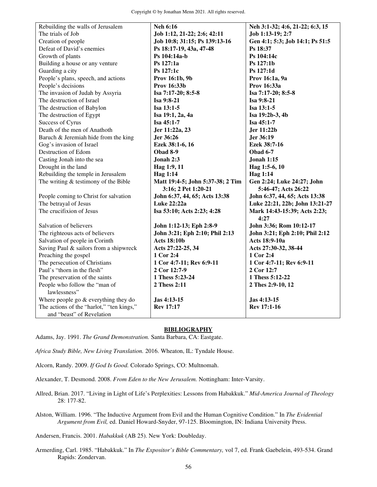| Rebuilding the walls of Jerusalem                                                 | Neh 6:16                                             | Neh 3:1-32; 4:6, 21-22; 6:3, 15        |
|-----------------------------------------------------------------------------------|------------------------------------------------------|----------------------------------------|
| The trials of Job                                                                 | Job 1:12, 21-22; 2:6; 42:11                          | Job 1:13-19; 2:7                       |
| Creation of people                                                                | Job 10:8; 31:15; Ps 139:13-16                        | Gen 4:1; 5:3; Job 14:1; Ps 51:5        |
| Defeat of David's enemies                                                         | Ps 18:17-19, 43a, 47-48                              | Ps 18:37                               |
| Growth of plants                                                                  | Ps 104:14a-b                                         | Ps 104:14c                             |
| Building a house or any venture                                                   | Ps 127:1a                                            | $Ps$ 127:1 $b$                         |
| Guarding a city                                                                   | Ps 127:1c                                            | Ps 127:1d                              |
| People's plans, speech, and actions                                               | Prov 16:1b, 9b                                       | Prov 16:1a, 9a                         |
| People's decisions                                                                | Prov 16:33b                                          | Prov 16:33a                            |
| The invasion of Judah by Assyria                                                  | Isa 7:17-20; 8:5-8                                   | Isa 7:17-20; 8:5-8                     |
| The destruction of Israel                                                         | Isa 9:8-21                                           | <b>Isa 9:8-21</b>                      |
| The destruction of Babylon                                                        | Isa 13:1-5                                           | $Isa 13:1-5$                           |
| The destruction of Egypt                                                          | Isa 19:1, 2a, 4a                                     | Isa 19:2b-3, 4b                        |
| <b>Success of Cyrus</b>                                                           | Isa 45:1-7                                           | Isa 45:1-7                             |
| Death of the men of Anathoth                                                      | Jer 11:22a, 23                                       | <b>Jer 11:22b</b>                      |
| Baruch & Jeremiah hide from the king                                              | Jer 36:26                                            | Jer 36:19                              |
| Gog's invasion of Israel                                                          | Ezek 38:1-6, 16                                      | Ezek 38:7-16                           |
| Destruction of Edom                                                               | <b>Obad 8-9</b>                                      | <b>Obad 6-7</b>                        |
| Casting Jonah into the sea                                                        | Jonah 2:3                                            | <b>Jonah 1:15</b>                      |
| Drought in the land                                                               | Hag 1:9, 11                                          | Hag 1:5-6, 10                          |
| Rebuilding the temple in Jerusalem                                                | Hag 1:14                                             | Hag 1:14                               |
| The writing & testimony of the Bible                                              | Matt 19:4-5; John 5:37-38; 2 Tim                     | Gen 2:24; Luke 24:27; John             |
|                                                                                   | 3:16; 2 Pet 1:20-21                                  | 5:46-47; Acts 26:22                    |
| People coming to Christ for salvation                                             | John 6:37, 44, 65; Acts 13:38                        | John 6:37, 44, 65; Acts 13:38          |
| The betrayal of Jesus                                                             | Luke 22:22a                                          | Luke 22:21, 22b; John 13:21-27         |
| The crucifixion of Jesus                                                          | Isa 53:10; Acts 2:23; 4:28                           | Mark 14:43-15:39; Acts 2:23;           |
|                                                                                   |                                                      | 4:27                                   |
| Salvation of believers<br>The righteous acts of believers                         | John 1:12-13; Eph 2:8-9                              | John 3:36; Rom 10:12-17                |
|                                                                                   | John 3:21; Eph 2:10; Phil 2:13<br><b>Acts 18:10b</b> | John 3:21; Eph 2:10; Phil 2:12         |
| Salvation of people in Corinth<br>Saving Paul & sailors from a shipwreck          |                                                      | Acts 18:9-10a                          |
| Preaching the gospel                                                              | Acts 27:22-25, 34<br>1 Cor 2:4                       | Acts 27:30-32, 38-44<br>1 Cor 2:4      |
| The persecution of Christians                                                     | 1 Cor 4:7-11; Rev 6:9-11                             |                                        |
| Paul's "thorn in the flesh"                                                       | 2 Cor 12:7-9                                         | 1 Cor 4:7-11; Rev 6:9-11<br>2 Cor 12:7 |
| The preservation of the saints                                                    | 1 Thess 5:23-24                                      | 1 Thess 5:12-22                        |
|                                                                                   | 2 Thess 2:11                                         |                                        |
| People who follow the "man of<br>lawlessness"                                     |                                                      | 2 Thes 2:9-10, 12                      |
|                                                                                   |                                                      | Jas 4:13-15                            |
| Where people go & everything they do<br>The actions of the "harlot," "ten kings," | Jas 4:13-15<br><b>Rev 17:17</b>                      | Rev 17:1-16                            |
|                                                                                   |                                                      |                                        |
| and "beast" of Revelation                                                         |                                                      |                                        |

#### **BIBLIOGRAPHY**

Adams, Jay. 1991. *The Grand Demonstration.* Santa Barbara, CA: Eastgate.

*Africa Study Bible, New Living Translation.* 2016. Wheaton, IL: Tyndale House.

Alcorn, Randy. 2009. *If God Is Good.* Colorado Springs, CO: Multnomah.

Alexander, T. Desmond. 2008. *From Eden to the New Jerusalem.* Nottingham: Inter-Varsity.

- Allred, Brian. 2017. "Living in Light of Life's Perplexities: Lessons from Habakkuk." *Mid-America Journal of Theology*  28: 177-82.
- Alston, William. 1996. "The Inductive Argument from Evil and the Human Cognitive Condition." In *The Evidential Argument from Evil,* ed. Daniel Howard-Snyder, 97-125. Bloomington, IN: Indiana University Press.

Andersen, Francis. 2001. *Habakkuk* (AB 25). New York: Doubleday.

Armerding, Carl. 1985. "Habakkuk." In *The Expositor's Bible Commentary,* vol 7, ed. Frank Gaebelein, 493-534. Grand Rapids: Zondervan.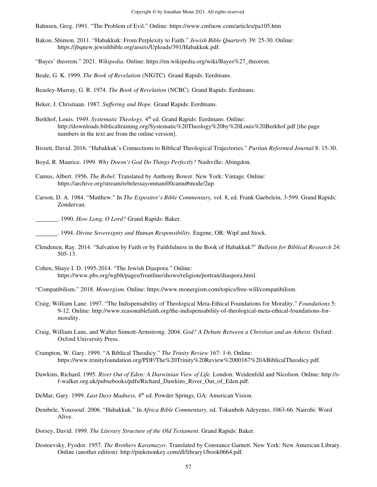Bahnsen, Greg. 1991. "The Problem of Evil." Online: https://www.cmfnow.com/articles/pa105.htm

Bakon, Shimon. 2011. "Habakkuk: From Perplexity to Faith." *Jewish Bible Quarterly* 39: 25-30. Online: https://jbqnew.jewishbible.org/assets/Uploads/391/Habakkuk.pdf.

"Bayes' theorem." 2021. *Wikipedia.* Online: https://en.wikipedia.org/wiki/Bayes%27\_theorem.

- Beale, G. K. 1999. *The Book of Revelation* (NIGTC). Grand Rapids: Eerdmans.
- Beasley-Murray, G. R. 1974. *The Book of Revelation* (NCBC). Grand Rapids: Eerdmans.
- Beker, J. Christiaan. 1987. *Suffering and Hope.* Grand Rapids: Eerdmans.
- Berkhof, Louis. 1949. Systematic Theology, 4<sup>th</sup> ed. Grand Rapids: Eerdmans. Online: http://downloads.biblicaltraining.org/Systematic%20Theology%20by%20Louis%20Berkhof.pdf [the page numbers in the text are from the online version].
- Bissett, David. 2016. "Habakkuk's Connections to Biblical Theological Trajectories." *Puritan Reformed Journal* 8: 15-30.
- Boyd, R. Maurice. 1999. *Why Doesn't God Do Things Perfectly?* Nashville: Abingdon.
- Camus, Albert. 1956. *The Rebel.* Translated by Anthony Bower. New York: Vintage. Online: https://archive.org/stream/rebelessayonmani00camu#mode/2up.
- Carson, D. A. 1984. "Matthew." In *The Expositor's Bible Commentary,* vol. 8, ed. Frank Gaebelein, 3-599. Grand Rapids: Zondervan.
	- . 1990. *How Long, O Lord?* Grand Rapids: Baker.

. 1994. *Divine Sovereignty and Human Responsibility.* Eugene, OR: Wipf and Stock.

- Clendenen, Ray. 2014. "Salvation by Faith or by Faithfulness in the Book of Habakkuk?" *Bulletin for Biblical Research* 24: 505-13.
- Cohen, Shaye I. D. 1995-2014. "The Jewish Diaspora." Online: https://www.pbs.org/wgbh/pages/frontline/shows/religion/portrait/diaspora.html.
- "Compatibilism." 2018. *Monergism.* Online: https://www.monergism.com/topics/free-will/compatibilism.
- Craig, William Lane. 1997. "The Indispensability of Theological Meta-Ethical Foundations for Morality." *Foundations* 5: 9-12. Online: http://www.reasonablefaith.org/the-indispensability-of-theological-meta-ethical-foundations-formorality.
- Craig, William Lane, and Walter Sinnott-Armstrong. 2004. *God? A Debate Between a Christian and an Atheist.* Oxford: Oxford University Press.
- Crampton, W. Gary. 1999. "A Biblical Theodicy." *The Trinity Review* 167: 1-6. Online: https://www.trinityfoundation.org/PDF/The%20Trinity%20Review%2000167%20ABiblicalTheodicy.pdf.
- Dawkins, Richard. 1995. *River Out of Eden: A Darwinian View of Life.* London: Weidenfeld and Nicolson. Online: http://sf-walker.org.uk/pubsebooks/pdfs/Richard\_Dawkins\_River\_Out\_of\_Eden.pdf.
- DeMar, Gary. 1999. Last Days Madness, 4<sup>th</sup> ed. Powder Springs, GA: American Vision.
- Dembele, Youssouf. 2006. "Habakkuk." In *Africa Bible Commentary,* ed. Tokunboh Adeyemo, 1063-66. Nairobi: Word Alive.
- Dorsey, David. 1999. *The Literary Structure of the Old Testament.* Grand Rapids: Baker.
- Dostoevsky, Fyodor. 1957. *The Brothers Karamazov*. Translated by Constance Garnett. New York: New American Library. Online (another edition): http://pinkmonkey.com/dl/library1/book0664.pdf.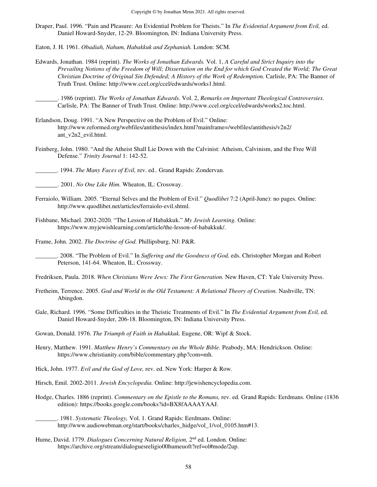- Draper, Paul. 1996. "Pain and Pleasure: An Evidential Problem for Theists." In *The Evidential Argument from Evil,* ed. Daniel Howard-Snyder, 12-29. Bloomington, IN: Indiana University Press.
- Eaton, J. H. 1961. *Obadiah, Nahum, Habakkuk and Zephaniah.* London: SCM.
- Edwards, Jonathan. 1984 (reprint). *The Works of Jonathan Edwards.* Vol. 1, *A Careful and Strict Inquiry into the Prevailing Notions of the Freedom of Will; Dissertation on the End for which God Created the World; The Great Christian Doctrine of Original Sin Defended; A History of the Work of Redemption. Carlisle, PA: The Banner of* Truth Trust. Online: http://www.ccel.org/ccel/edwards/works1.html.

 . 1986 (reprint). *The Works of Jonathan Edwards*. Vol. 2, *Remarks on Important Theological Controversies.*  Carlisle, PA: The Banner of Truth Trust. Online: http://www.ccel.org/ccel/edwards/works2.toc.html.

- Erlandson, Doug. 1991. "A New Perspective on the Problem of Evil." Online: http://www.reformed.org/webfiles/antithesis/index.html?mainframe=/webfiles/antithesis/v2n2/ ant\_v2n2\_evil.html.
- Feinberg, John. 1980. "And the Atheist Shall Lie Down with the Calvinist: Atheism, Calvinism, and the Free Will Defense." *Trinity Journal* 1: 142-52.
	- \_\_\_\_\_\_\_. 1994. *The Many Faces of Evil,* rev. ed.*.* Grand Rapids: Zondervan.
	- . 2001. *No One Like Him.* Wheaton, IL: Crossway.
- Ferraiolo, William. 2005. "Eternal Selves and the Problem of Evil." *Quodlibet* 7:2 (April-June): no pages. Online: http://www.quodlibet.net/articles/ferraiolo-evil.shtml.
- Fishbane, Michael. 2002-2020. "The Lesson of Habakkuk." *My Jewish Learning.* Online: https://www.myjewishlearning.com/article/the-lesson-of-habakkuk/.
- Frame, John. 2002. *The Doctrine of God.* Phillipsburg, NJ: P&R.
- \_\_\_\_\_\_\_. 2008. "The Problem of Evil." In *Suffering and the Goodness of God,* eds. Christopher Morgan and Robert Peterson, 141-64. Wheaton, IL: Crossway.

Fredriksen, Paula. 2018. *When Christians Were Jews: The First Generation.* New Haven, CT: Yale University Press.

- Fretheim, Terrence. 2005. *God and World in the Old Testament: A Relational Theory of Creation*. Nashville, TN: Abingdon.
- Gale, Richard. 1996. "Some Difficulties in the Theistic Treatments of Evil." In *The Evidential Argument from Evil,* ed. Daniel Howard-Snyder, 206-18. Bloomington, IN: Indiana University Press.
- Gowan, Donald. 1976. *The Triumph of Faith in Habakkuk.* Eugene, OR: Wipf & Stock.
- Henry, Matthew. 1991. *Matthew Henry's Commentary on the Whole Bible.* Peabody, MA: Hendrickson. Online: https://www.christianity.com/bible/commentary.php?com=mh.
- Hick, John. 1977. *Evil and the God of Love,* rev. ed. New York: Harper & Row.
- Hirsch, Emil. 2002-2011. *Jewish Encyclopedia.* Online: http://jewishencyclopedia.com.
- Hodge, Charles. 1886 (reprint). *Commentary on the Epistle to the Romans,* rev. ed*.* Grand Rapids: Eerdmans. Online (1836 edition): https://books.google.com/books?id=BX8fAAAAYAAJ.
- \_\_\_\_\_\_\_. 1981. *Systematic Theology,* Vol. 1. Grand Rapids: Eerdmans. Online: http://www.audiowebman.org/start/books/charles\_hidge/vol\_1/vol\_0105.htm#13.
- Hume, David. 1779. *Dialogues Concerning Natural Religion*, 2<sup>nd</sup> ed. London. Online: https://archive.org/stream/dialoguesreligio00humeuoft?ref=ol#mode/2up.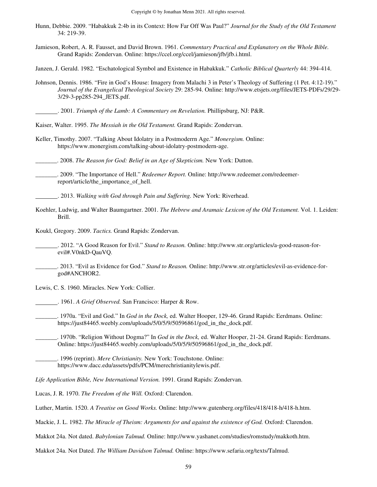- Hunn, Debbie. 2009. "Habakkuk 2:4b in its Context: How Far Off Was Paul?" *Journal for the Study of the Old Testament*  34: 219-39.
- Jamieson, Robert, A. R. Fausset, and David Brown. 1961. *Commentary Practical and Explanatory on the Whole Bible.*  Grand Rapids: Zondervan. Online: https://ccel.org/ccel/jamieson/jfb/jfb.i.html.
- Janzen, J. Gerald. 1982. "Eschatological Symbol and Existence in Habakkuk." *Catholic Biblical Quarterly* 44: 394-414.
- Johnson, Dennis. 1986. "Fire in God's House: Imagery from Malachi 3 in Peter's Theology of Suffering (1 Pet. 4:12-19)." *Journal of the Evangelical Theological Society* 29: 285-94. Online: http://www.etsjets.org/files/JETS-PDFs/29/29- 3/29-3-pp285-294\_JETS.pdf.
	- . 2001. *Triumph of the Lamb: A Commentary on Revelation.* Phillipsburg, NJ: P&R.
- Kaiser, Walter. 1995. *The Messiah in the Old Testament.* Grand Rapids: Zondervan.
- Keller, Timothy. 2007. "Talking About Idolatry in a Postmoderrn Age." *Monergism.* Online: https://www.monergism.com/talking-about-idolatry-postmodern-age.

\_\_\_\_\_\_\_. 2008. *The Reason for God: Belief in an Age of Skepticism.* New York: Dutton.

\_\_\_\_\_\_\_. 2009. "The Importance of Hell." *Redeemer Report.* Online: http://www.redeemer.com/redeemerreport/article/the\_importance\_of\_hell.

. 2013. *Walking with God through Pain and Suffering.* New York: Riverhead.

Koehler, Ludwig, and Walter Baumgartner. 2001. *The Hebrew and Aramaic Lexicon of the Old Testament.* Vol. 1. Leiden: Brill.

Koukl, Gregory. 2009. *Tactics.* Grand Rapids: Zondervan.

 . 2012. "A Good Reason for Evil." *Stand to Reason.* Online: http://www.str.org/articles/a-good-reason-forevil#.V0nkD-QauVQ.

\_\_\_\_\_\_\_. 2013. "Evil as Evidence for God." *Stand to Reason.* Online: http://www.str.org/articles/evil-as-evidence-forgod#ANCHOR2.

Lewis, C. S. 1960. Miracles. New York: Collier.

. 1961. *A Grief Observed.* San Francisco: Harper & Row.

\_\_\_\_\_\_\_. 1970a. "Evil and God." In *God in the Dock,* ed. Walter Hooper, 129-46. Grand Rapids: Eerdmans. Online: https://just84465.weebly.com/uploads/5/0/5/9/50596861/god\_in\_the\_dock.pdf.

\_\_\_\_\_\_\_. 1970b. "Religion Without Dogma?" In *God in the Dock,* ed. Walter Hooper, 21-24. Grand Rapids: Eerdmans. Online: https://just84465.weebly.com/uploads/5/0/5/9/50596861/god\_in\_the\_dock.pdf.

\_\_\_\_\_\_\_. 1996 (reprint). *Mere Christianity.* New York: Touchstone. Online: https://www.dacc.edu/assets/pdfs/PCM/merechristianitylewis.pdf.

*Life Application Bible, New International Version.* 1991. Grand Rapids: Zondervan.

Lucas, J. R. 1970. *The Freedom of the Will.* Oxford: Clarendon.

Luther, Martin. 1520. *A Treatise on Good Works.* Online: http://www.gutenberg.org/files/418/418-h/418-h.htm.

Mackie, J. L. 1982. *The Miracle of Theism: Arguments for and against the existence of God.* Oxford: Clarendon.

Makkot 24a. Not dated. *Babylonian Talmud.* Online: http://www.yashanet.com/studies/romstudy/makkoth.htm.

Makkot 24a. Not Dated. *The William Davidson Talmud.* Online: https://www.sefaria.org/texts/Talmud.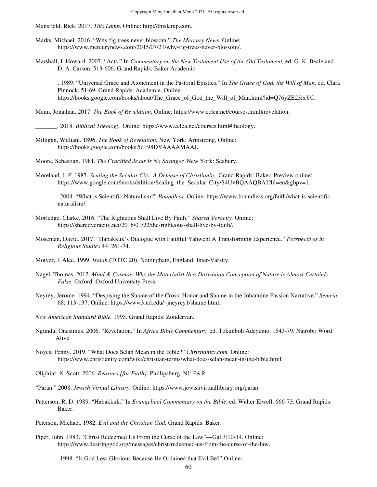Mansfield, Rick. 2017. *This Lamp.* Online: http://thislamp.com*.* 

- Marks, Michael. 2016. "Why fig trees never blossom." *The Mercury News.* Online: https://www.mercurynews.com/2015/07/21/why-fig-trees-never-blossom/.
- Marshall, I. Howard. 2007. "Acts." In *Commentary on the New Testament Use of the Old Testament,* ed. G. K. Beale and D. A. Carson, 513-606. Grand Rapids: Baker Academic.

 . 1989. "Universal Grace and Atonement in the Pastoral Epistles." In *The Grace of God, the Will of Man,* ed. Clark Pinnock, 51-69. Grand Rapids: Academie. Online: https://books.google.com/books/about/The\_Grace\_of\_God\_the\_Will\_of\_Man.html?id=Q76yZE23lxYC.

Menn, Jonathan. 2017. *The Book of Revelation.* Online: https://www.eclea.net/courses.html#revelation.

\_\_\_\_\_\_\_. 2018. *Biblical Theology.* Online: https://www.eclea.net/courses.html#theology.

Milligan, William. 1896. *The Book of Revelation.* New York: Armstrong. Online: https://books.google.com/books?id=98DYAAAAMAAJ.

Moore, Sebastian. 1981. *The Crucified Jesus Is No Stranger.* New York: Seabury.

Moreland, J. P. 1987. *Scaling the Secular City: A Defense of Christianity.* Grand Rapids: Baker. Preview online: https://www.google.com/books/edition/Scaling\_the\_Secular\_City/S4UvBQAAQBAJ?hl=en&gbpv=1.

\_\_\_\_\_\_\_. 2004. "What is Scientific Naturalism?" *Boundless.* Online: https://www.boundless.org/faith/what-is-scientificnaturalism/.

- Morledge, Clarke. 2016. "The Righteous Shall Live By Faith." *Shared Veracity.* Online: https://sharedveracity.net/2016/01/22/the-righteous-shall-live-by-faith/.
- Moseman, David. 2017. "Habakkuk's Dialogue with Faithful Yahweh: A Transforming Experience." *Perspectives in Religious Studies* 44: 261-74.
- Motyer, J. Alec. 1999. *Isaiah* (TOTC 20). Nottingham, England: Inter-Varsity.
- Nagel, Thomas. 2012. *Mind & Cosmos: Why the Materialist Neo-Darwinian Conception of Nature is Almost Certainly False.* Oxford: Oxford University Press.
- Neyrey, Jerome. 1994. "Despising the Shame of the Cross: Honor and Shame in the Johannine Passion Narrative." *Semeia*  68: 113-137. Online: https://www3.nd.edu/~jneyrey1/shame.html.

*New American Standard Bible.* 1995. Grand Rapids: Zondervan.

- Ngundu, Onesimus. 2006. "Revelation." In *Africa Bible Commentary,* ed. Tokunboh Adeyemo, 1543-79. Nairobi: Word Alive.
- Noyes, Penny. 2019. "What Does Selah Mean in the Bible?" *Christianity.com.* Online: https://www.christianity.com/wiki/christian-terms/what-does-selah-mean-in-the-bible.html.

Oliphint, K. Scott. 2006. *Reasons {for Faith}.* Phillipsburg, NJ: P&R.

- "Paran." 2008. *Jewish Virtual Library.* Online: https://www.jewishvirtuallibrary.org/paran.
- Patterson, R. D. 1989. "Habakkuk." In *Evangelical Commentary on the Bible*, ed. Walter Elwell, 666-73. Grand Rapids: Baker.

Peterson, Michael. 1982. *Evil and the Christian God.* Grand Rapids: Baker.

Piper, John. 1983. "Christ Redeemed Us From the Curse of the Law"—Gal 3:10-14. Online: https://www.desiringgod.org/messages/christ-redeemed-us-from-the-curse-of-the-law.

\_\_\_\_\_\_\_. 1998. "Is God Less Glorious Because He Ordained that Evil Be?" Online: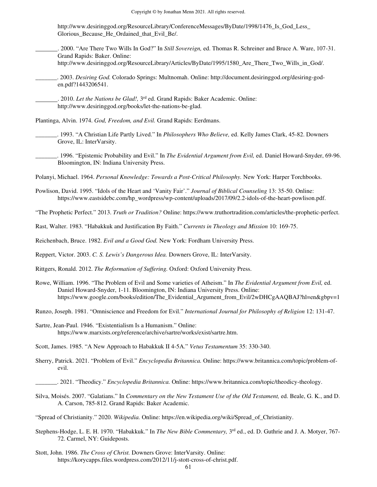http://www.desiringgod.org/ResourceLibrary/ConferenceMessages/ByDate/1998/1476 Is God Less Glorious Because He Ordained that Evil Be/.

 . 2000. "Are There Two Wills In God?" In *Still Sovereign,* ed. Thomas R. Schreiner and Bruce A. Ware, 107-31. Grand Rapids: Baker. Online:

http://www.desiringgod.org/ResourceLibrary/Articles/ByDate/1995/1580 Are There Two Wills in God/.

\_\_\_\_\_\_\_. 2003. *Desiring God.* Colorado Springs: Multnomah. Online: http://document.desiringgod.org/desiring-goden.pdf?1443206541.

. 2010. *Let the Nations be Glad!*, <sup>3rd</sup> ed. Grand Rapids: Baker Academic. Online: http://www.desiringgod.org/books/let-the-nations-be-glad.

Plantinga, Alvin. 1974. *God, Freedom, and Evil.* Grand Rapids: Eerdmans.

\_\_\_\_\_\_\_. 1993. "A Christian Life Partly Lived." In *Philosophers Who Believe,* ed. Kelly James Clark, 45-82. Downers Grove, IL: InterVarsity.

\_\_\_\_\_\_\_. 1996. "Epistemic Probability and Evil." In *The Evidential Argument from Evil,* ed. Daniel Howard-Snyder, 69-96. Bloomington, IN: Indiana University Press.

Polanyi, Michael. 1964. *Personal Knowledge: Towards a Post-Critical Philosophy.* New York: Harper Torchbooks.

Powlison, David. 1995. "Idols of the Heart and 'Vanity Fair'." *Journal of Biblical Counseling* 13: 35-50. Online: https://www.eastsidebc.com/hp\_wordpress/wp-content/uploads/2017/09/2.2-idols-of-the-heart-powlison.pdf.

"The Prophetic Perfect." 2013. *Truth or Tradition?* Online: https://www.truthortradition.com/articles/the-prophetic-perfect.

Rast, Walter. 1983. "Habakkuk and Justification By Faith." *Currents in Theology and Mission* 10: 169-75.

Reichenbach, Bruce. 1982. *Evil and a Good God.* New York: Fordham University Press.

Reppert, Victor. 2003. *C. S. Lewis's Dangerous Idea.* Downers Grove, IL: InterVarsity.

Rittgers, Ronald. 2012. *The Reformation of Suffering.* Oxford: Oxford University Press.

Rowe, William. 1996. "The Problem of Evil and Some varieties of Atheism." In *The Evidential Argument from Evil,* ed. Daniel Howard-Snyder, 1-11. Bloomington, IN: Indiana University Press. Online: https://www.google.com/books/edition/The\_Evidential\_Argument\_from\_Evil/2wDHCgAAQBAJ?hl=en&gbpv=1

Runzo, Joseph. 1981. "Omniscience and Freedom for Evil." *International Journal for Philosophy of Religion* 12: 131-47.

Sartre, Jean-Paul. 1946. "Existentialism Is a Humanism." Online: https://www.marxists.org/reference/archive/sartre/works/exist/sartre.htm.

Scott, James. 1985. "A New Approach to Habakkuk II 4-5A." *Vetus Testamentum* 35: 330-340.

- Sherry, Patrick. 2021. "Problem of Evil." *Encyclopedia Britannica.* Online: https://www.britannica.com/topic/problem-ofevil.
	- \_\_\_\_\_\_\_. 2021. "Theodicy." *Encyclopedia Britannica.* Online: https://www.britannica.com/topic/theodicy-theology.
- Silva, Moisés. 2007. "Galatians." In *Commentary on the New Testament Use of the Old Testament,* ed. Beale, G. K., and D. A. Carson, 785-812. Grand Rapids: Baker Academic.

"Spread of Christianity." 2020. *Wikipedia.* Online: https://en.wikipedia.org/wiki/Spread\_of\_Christianity.

- Stephens-Hodge, L. E. H. 1970. "Habakkuk." In *The New Bible Commentary*, 3<sup>rd</sup> ed., ed. D. Guthrie and J. A. Motyer, 767-72. Carmel, NY: Guideposts.
- Stott, John. 1986. *The Cross of Christ.* Downers Grove: InterVarsity. Online: https://korycapps.files.wordpress.com/2012/11/j-stott-cross-of-christ.pdf.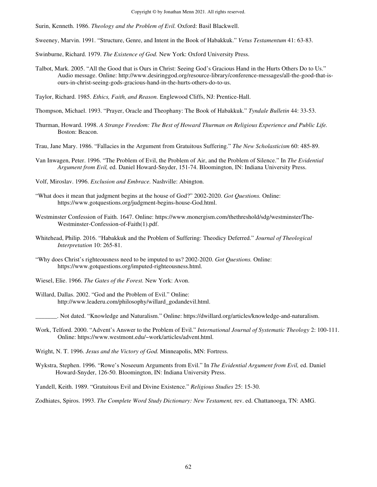Surin, Kenneth. 1986. *Theology and the Problem of Evil.* Oxford: Basil Blackwell.

Sweeney, Marvin. 1991. "Structure, Genre, and Intent in the Book of Habakkuk." *Vetus Testamentum* 41: 63-83.

Swinburne, Richard. 1979. *The Existence of God.* New York: Oxford University Press.

- Talbot, Mark. 2005. "All the Good that is Ours in Christ: Seeing God's Gracious Hand in the Hurts Others Do to Us." Audio message. Online: http://www.desiringgod.org/resource-library/conference-messages/all-the-good-that-is ours-in-christ-seeing-gods-gracious-hand-in-the-hurts-others-do-to-us.
- Taylor, Richard. 1985. *Ethics, Faith, and Reason.* Englewood Cliffs, NJ: Prentice-Hall.
- Thompson, Michael. 1993. "Prayer, Oracle and Theophany: The Book of Habakkuk." *Tyndale Bulletin* 44: 33-53.
- Thurman, Howard. 1998. *A Strange Freedom: The Best of Howard Thurman on Religious Experience and Public Life.*  Boston: Beacon.
- Trau, Jane Mary. 1986. "Fallacies in the Argument from Gratuitous Suffering." *The New Scholasticism* 60: 485-89.
- Van Inwagen, Peter. 1996. "The Problem of Evil, the Problem of Air, and the Problem of Silence." In *The Evidential Argument from Evil,* ed. Daniel Howard-Snyder, 151-74. Bloomington, IN: Indiana University Press.
- Volf, Miroslav. 1996. *Exclusion and Embrace.* Nashville: Abington.
- "What does it mean that judgment begins at the house of God?" 2002-2020. *Got Questions.* Online: https://www.gotquestions.org/judgment-begins-house-God.html.
- Westminster Confession of Faith. 1647. Online: https://www.monergism.com/thethreshold/sdg/westminster/The-Westminster-Confession-of-Faith(1).pdf.
- Whitehead, Philip. 2016. "Habakkuk and the Problem of Suffering: Theodicy Deferred." *Journal of Theological Interpretation* 10: 265-81.
- "Why does Christ's righteousness need to be imputed to us? 2002-2020. *Got Questions.* Online: https://www.gotquestions.org/imputed-righteousness.html.
- Wiesel, Elie. 1966. *The Gates of the Forest.* New York: Avon.
- Willard, Dallas. 2002. "God and the Problem of Evil." Online: http://www.leaderu.com/philosophy/willard\_godandevil.html.

\_\_\_\_\_\_\_. Not dated. "Knowledge and Naturalism." Online: https://dwillard.org/articles/knowledge-and-naturalism.

- Work, Telford. 2000. "Advent's Answer to the Problem of Evil." *International Journal of Systematic Theology* 2: 100-111. Online: https://www.westmont.edu/~work/articles/advent.html.
- Wright, N. T. 1996. *Jesus and the Victory of God.* Minneapolis, MN: Fortress.
- Wykstra, Stephen. 1996. "Rowe's Noseeum Arguments from Evil." In *The Evidential Argument from Evil,* ed. Daniel Howard-Snyder, 126-50. Bloomington, IN: Indiana University Press.

Yandell, Keith. 1989. "Gratuitous Evil and Divine Existence." *Religious Studies* 25: 15-30.

Zodhiates, Spiros. 1993. *The Complete Word Study Dictionary: New Testament,* rev. ed. Chattanooga, TN: AMG.